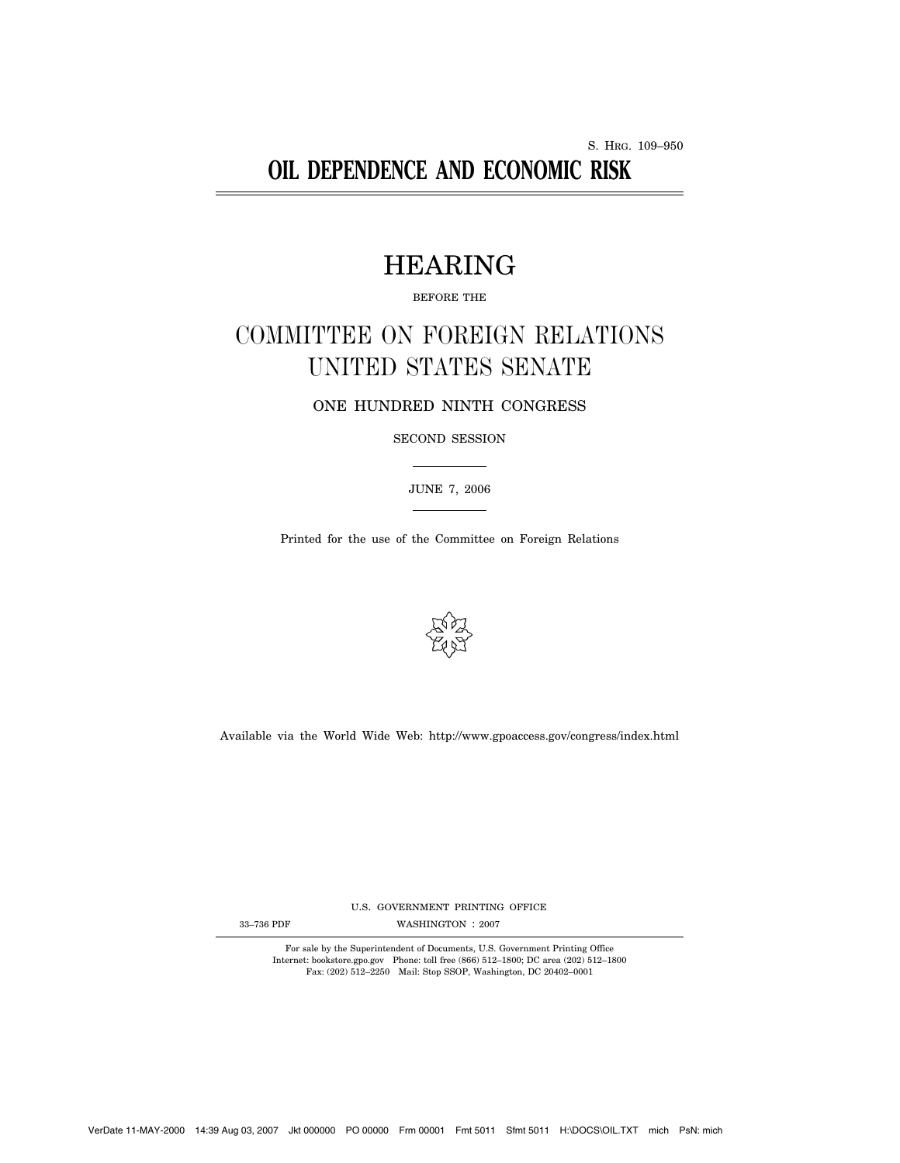S. HRG. 109–950

## **OIL DEPENDENCE AND ECONOMIC RISK**

# HEARING

BEFORE THE

# COMMITTEE ON FOREIGN RELATIONS UNITED STATES SENATE

### ONE HUNDRED NINTH CONGRESS

SECOND SESSION

JUNE 7, 2006

Printed for the use of the Committee on Foreign Relations



Available via the World Wide Web: http://www.gpoaccess.gov/congress/index.html

U.S. GOVERNMENT PRINTING OFFICE

33-736 PDF WASHINGTON : 2007

For sale by the Superintendent of Documents, U.S. Government Printing Office Internet: bookstore.gpo.gov Phone: toll free (866) 512–1800; DC area (202) 512–1800 Fax: (202) 512–2250 Mail: Stop SSOP, Washington, DC 20402–0001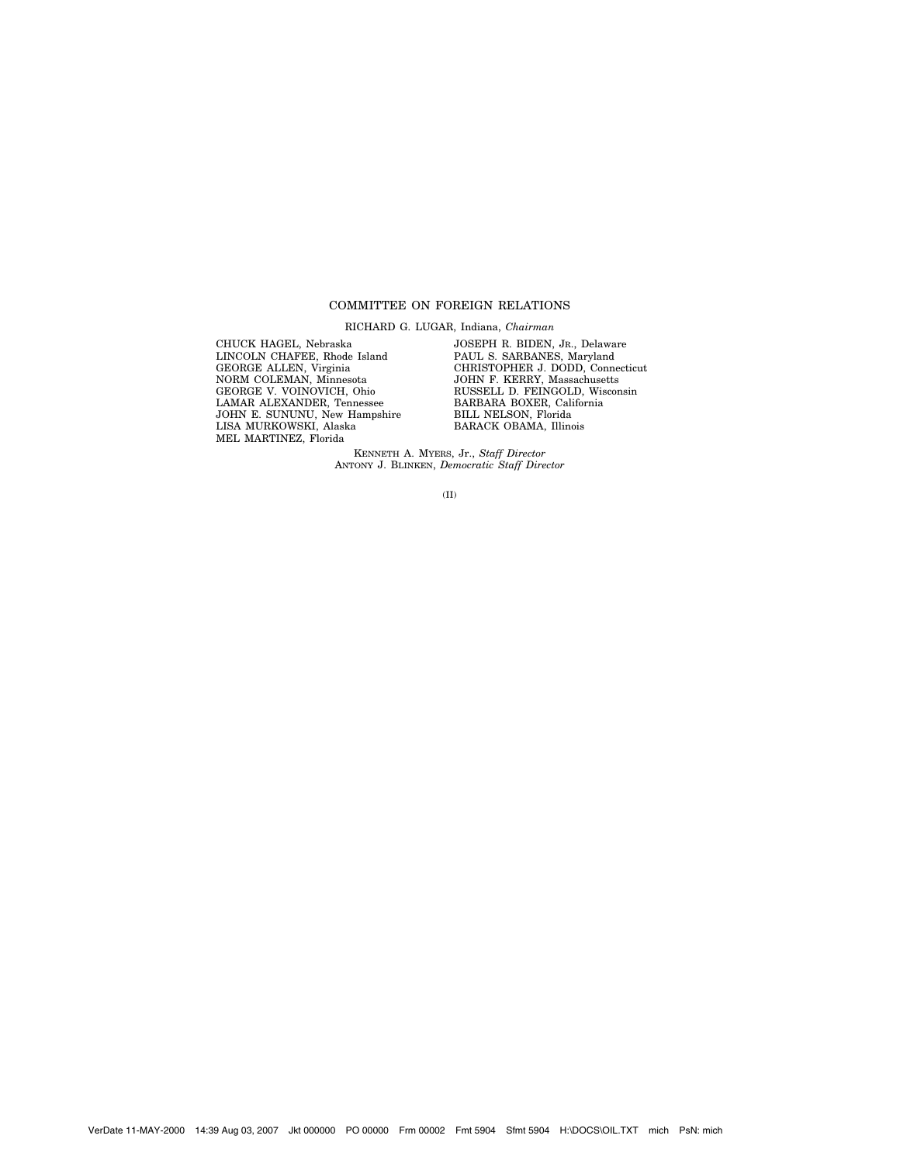#### COMMITTEE ON FOREIGN RELATIONS

RICHARD G. LUGAR, Indiana, *Chairman*

CHUCK HAGEL, Nebraska LINCOLN CHAFEE, Rhode Island GEORGE ALLEN, Virginia NORM COLEMAN, Minnesota GEORGE V. VOINOVICH, Ohio LAMAR ALEXANDER, Tennessee JOHN E. SUNUNU, New Hampshire LISA MURKOWSKI, Alaska MEL MARTINEZ, Florida

JOSEPH R. BIDEN, JR., Delaware PAUL S. SARBANES, Maryland CHRISTOPHER J. DODD, Connecticut JOHN F. KERRY, Massachusetts RUSSELL D. FEINGOLD, Wisconsin BARBARA BOXER, California BILL NELSON, Florida BARACK OBAMA, Illinois

KENNETH A. MYERS, Jr., *Staff Director* ANTONY J. BLINKEN, *Democratic Staff Director*

(II)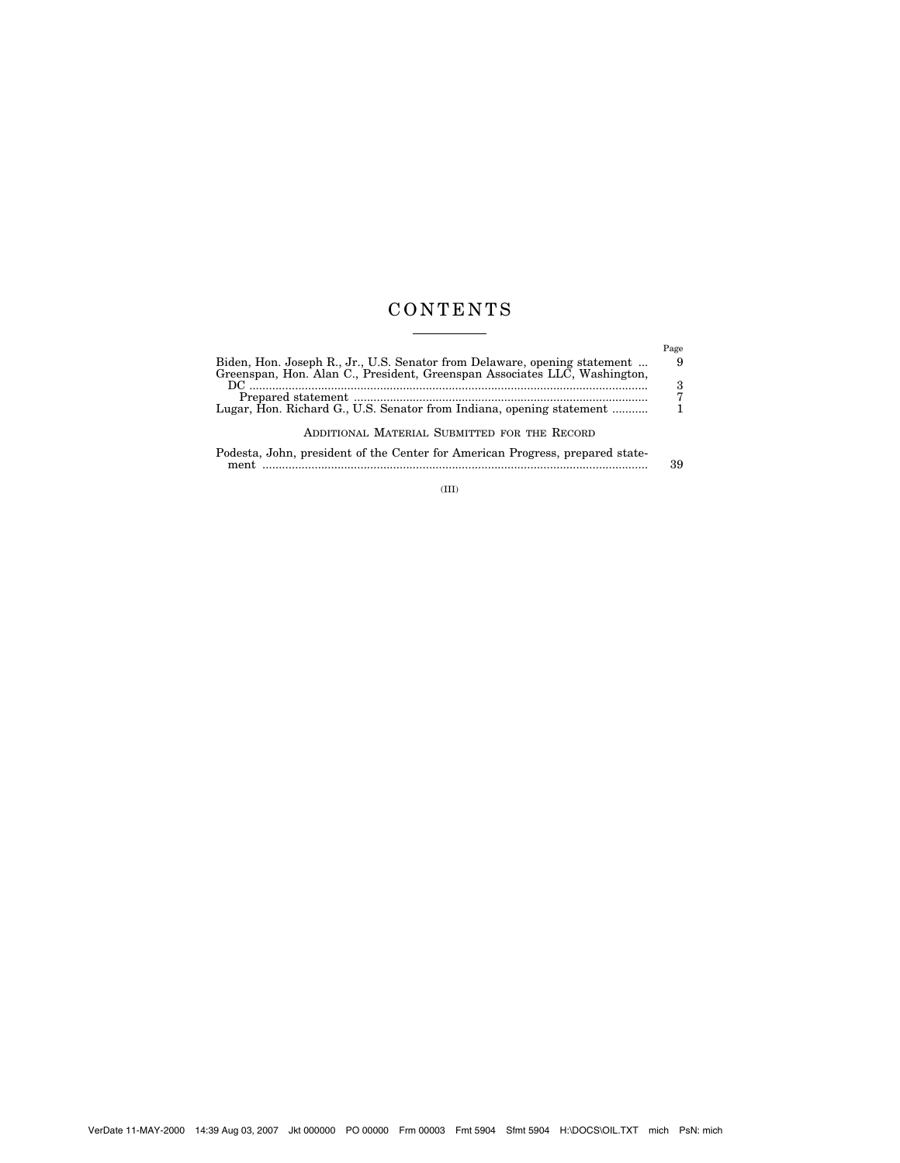## CONTENTS

|                                                                            | Page          |
|----------------------------------------------------------------------------|---------------|
| Biden, Hon. Joseph R., Jr., U.S. Senator from Delaware, opening statement  | 9             |
| Greenspan, Hon. Alan C., President, Greenspan Associates LLC, Washington,  |               |
|                                                                            | $\frac{3}{7}$ |
|                                                                            |               |
| Lugar, Hon. Richard G., U.S. Senator from Indiana, opening statement       | 1.            |
| ADDITIONAL MATERIAL SUBMITTED FOR THE RECORD                               |               |
| Podesta John president of the Center for American Progress prepared state. |               |

Podesta, John, president of the Center for American Progress, prepared statement ...................................................................................................................... 39

(III)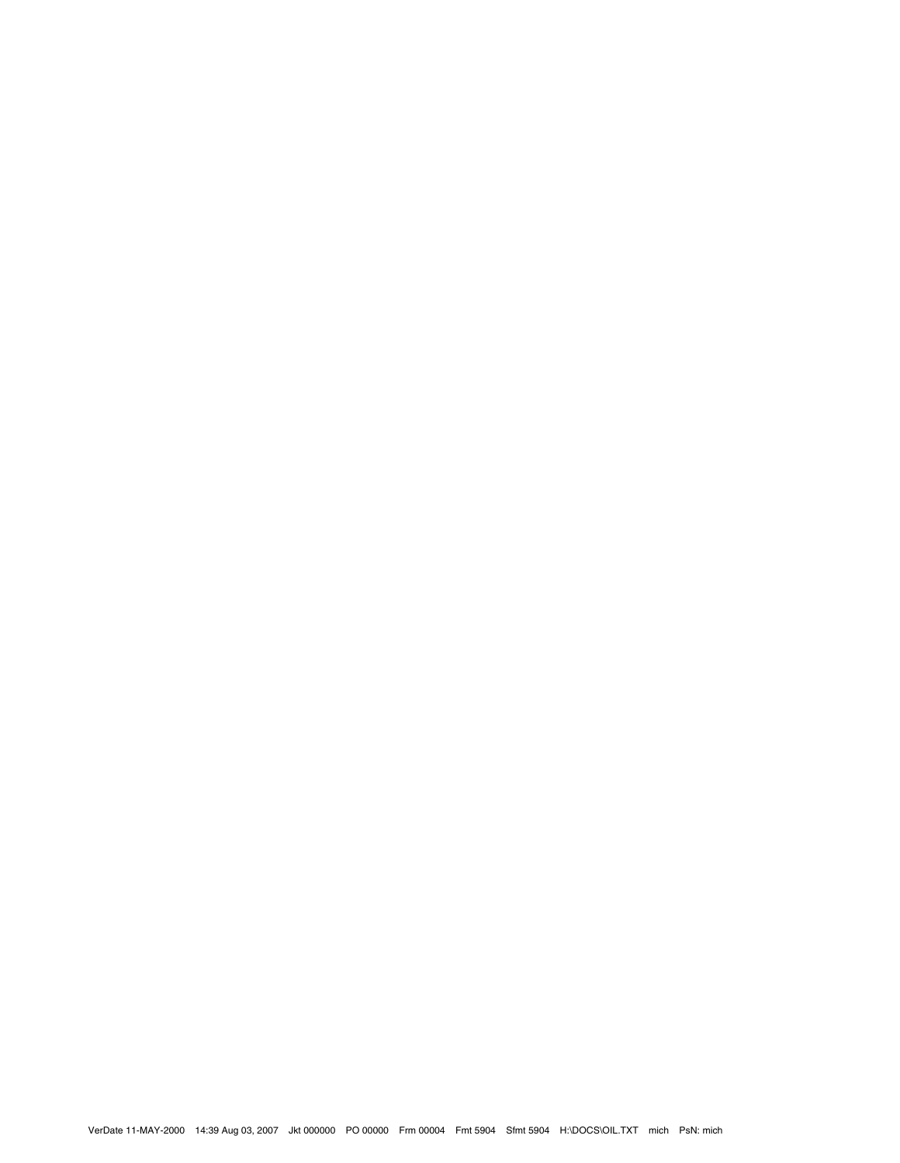VerDate 11-MAY-2000 14:39 Aug 03, 2007 Jkt 000000 PO 00000 Frm 00004 Fmt 5904 Sfmt 5904 H:\DOCS\OIL.TXT mich PsN: mich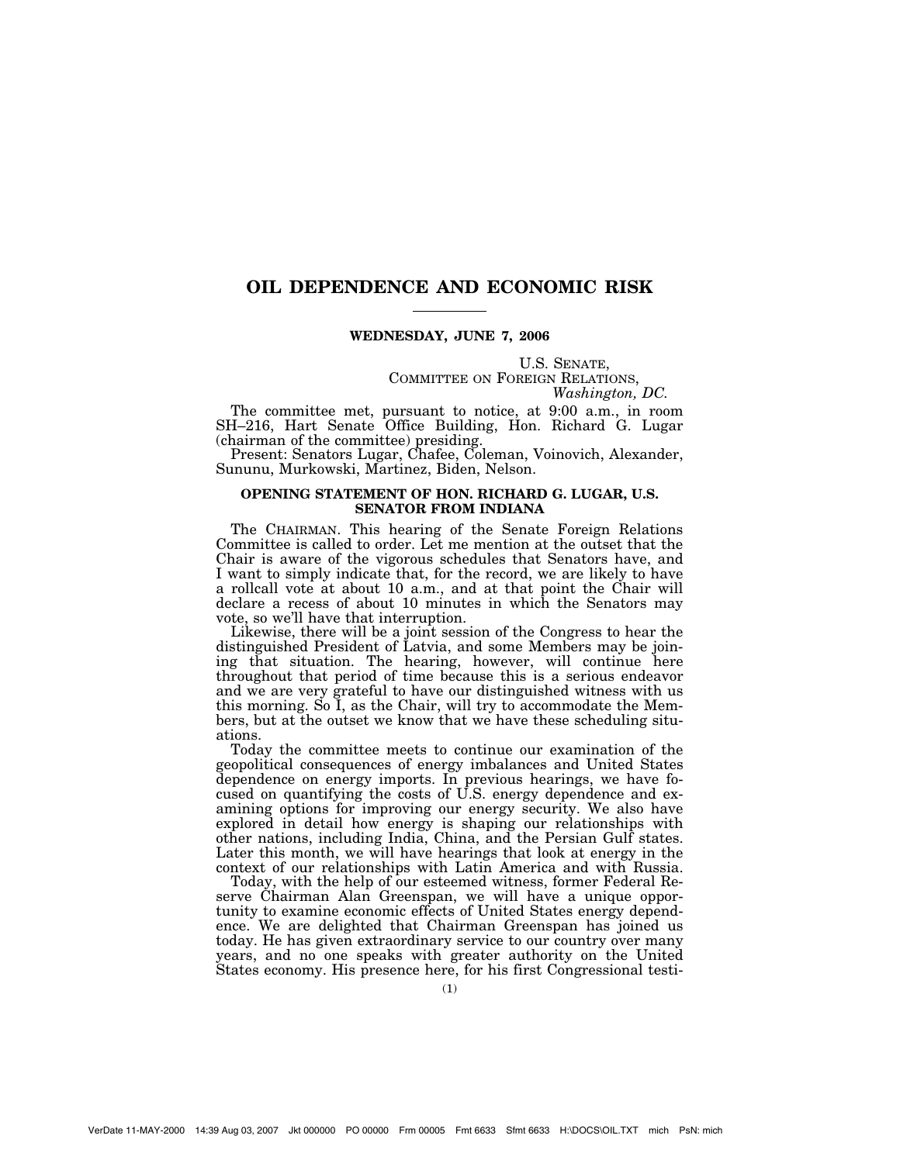## **OIL DEPENDENCE AND ECONOMIC RISK**

#### **WEDNESDAY, JUNE 7, 2006**

# U.S. SENATE,<br>COMMITTEE ON FOREIGN RELATIONS,<br>*Washington, DC*.

The committee met, pursuant to notice, at 9:00 a.m., in room SH–216, Hart Senate Office Building, Hon. Richard G. Lugar (chairman of the committee) presiding.

Present: Senators Lugar, Chafee, Coleman, Voinovich, Alexander, Sununu, Murkowski, Martinez, Biden, Nelson.

#### **OPENING STATEMENT OF HON. RICHARD G. LUGAR, U.S. SENATOR FROM INDIANA**

The CHAIRMAN. This hearing of the Senate Foreign Relations Committee is called to order. Let me mention at the outset that the Chair is aware of the vigorous schedules that Senators have, and I want to simply indicate that, for the record, we are likely to have a rollcall vote at about 10 a.m., and at that point the Chair will declare a recess of about 10 minutes in which the Senators may vote, so we'll have that interruption.

Likewise, there will be a joint session of the Congress to hear the distinguished President of Latvia, and some Members may be joining that situation. The hearing, however, will continue here throughout that period of time because this is a serious endeavor and we are very grateful to have our distinguished witness with us this morning. So I, as the Chair, will try to accommodate the Members, but at the outset we know that we have these scheduling situations.

Today the committee meets to continue our examination of the geopolitical consequences of energy imbalances and United States dependence on energy imports. In previous hearings, we have focused on quantifying the costs of U.S. energy dependence and examining options for improving our energy security. We also have explored in detail how energy is shaping our relationships with other nations, including India, China, and the Persian Gulf states. Later this month, we will have hearings that look at energy in the context of our relationships with Latin America and with Russia.

Today, with the help of our esteemed witness, former Federal Reserve Chairman Alan Greenspan, we will have a unique opportunity to examine economic effects of United States energy dependence. We are delighted that Chairman Greenspan has joined us today. He has given extraordinary service to our country over many years, and no one speaks with greater authority on the United States economy. His presence here, for his first Congressional testi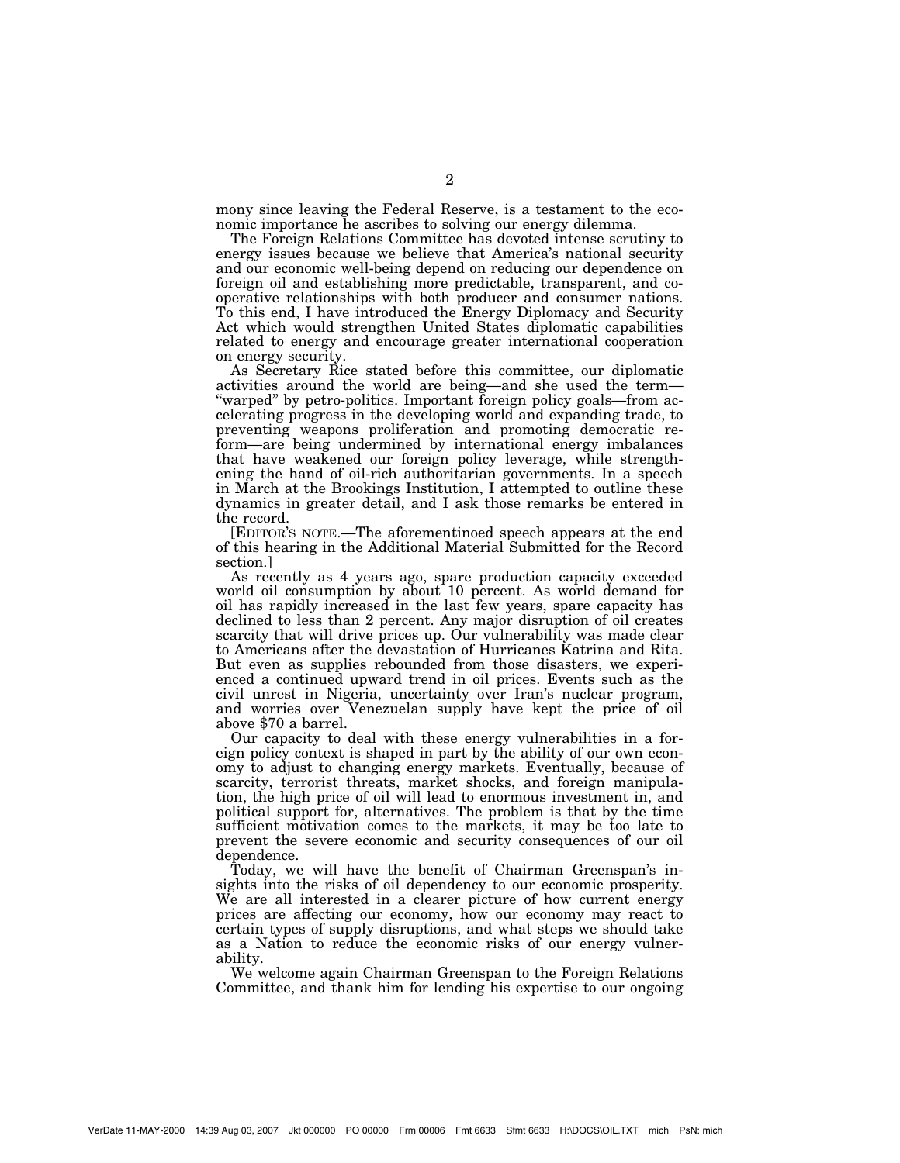mony since leaving the Federal Reserve, is a testament to the economic importance he ascribes to solving our energy dilemma.

The Foreign Relations Committee has devoted intense scrutiny to energy issues because we believe that America's national security and our economic well-being depend on reducing our dependence on foreign oil and establishing more predictable, transparent, and cooperative relationships with both producer and consumer nations. To this end, I have introduced the Energy Diplomacy and Security Act which would strengthen United States diplomatic capabilities related to energy and encourage greater international cooperation on energy security.

As Secretary Rice stated before this committee, our diplomatic activities around the world are being—and she used the term— "warped" by petro-politics. Important foreign policy goals—from accelerating progress in the developing world and expanding trade, to preventing weapons proliferation and promoting democratic reform—are being undermined by international energy imbalances that have weakened our foreign policy leverage, while strengthening the hand of oil-rich authoritarian governments. In a speech in March at the Brookings Institution, I attempted to outline these dynamics in greater detail, and I ask those remarks be entered in the record.

[EDITOR'S NOTE.—The aforementinoed speech appears at the end of this hearing in the Additional Material Submitted for the Record section.]

As recently as 4 years ago, spare production capacity exceeded world oil consumption by about 10 percent. As world demand for oil has rapidly increased in the last few years, spare capacity has declined to less than 2 percent. Any major disruption of oil creates scarcity that will drive prices up. Our vulnerability was made clear to Americans after the devastation of Hurricanes Katrina and Rita. But even as supplies rebounded from those disasters, we experienced a continued upward trend in oil prices. Events such as the civil unrest in Nigeria, uncertainty over Iran's nuclear program, and worries over Venezuelan supply have kept the price of oil above \$70 a barrel.

Our capacity to deal with these energy vulnerabilities in a foreign policy context is shaped in part by the ability of our own economy to adjust to changing energy markets. Eventually, because of scarcity, terrorist threats, market shocks, and foreign manipulation, the high price of oil will lead to enormous investment in, and political support for, alternatives. The problem is that by the time sufficient motivation comes to the markets, it may be too late to prevent the severe economic and security consequences of our oil dependence.

Today, we will have the benefit of Chairman Greenspan's insights into the risks of oil dependency to our economic prosperity. We are all interested in a clearer picture of how current energy prices are affecting our economy, how our economy may react to certain types of supply disruptions, and what steps we should take as a Nation to reduce the economic risks of our energy vulnerability.

We welcome again Chairman Greenspan to the Foreign Relations Committee, and thank him for lending his expertise to our ongoing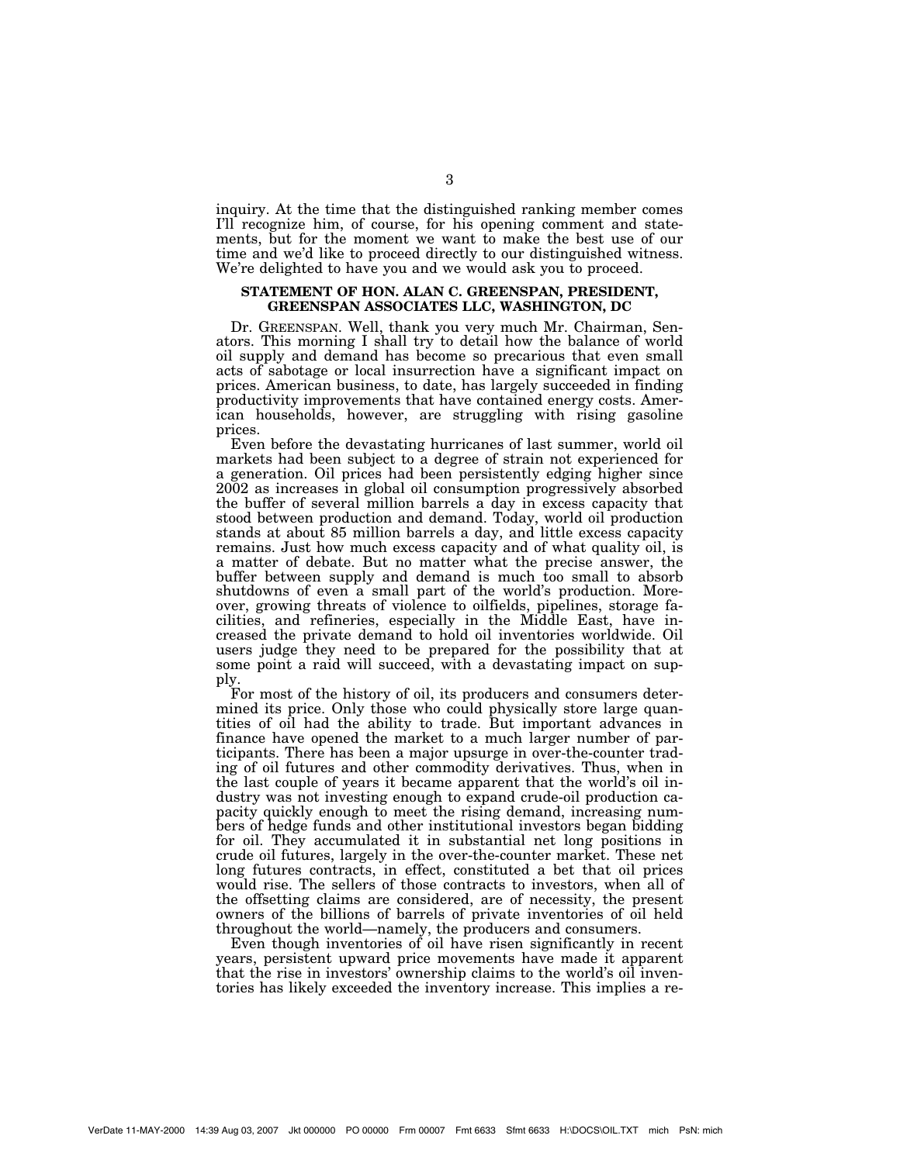inquiry. At the time that the distinguished ranking member comes I'll recognize him, of course, for his opening comment and statements, but for the moment we want to make the best use of our time and we'd like to proceed directly to our distinguished witness. We're delighted to have you and we would ask you to proceed.

#### **STATEMENT OF HON. ALAN C. GREENSPAN, PRESIDENT, GREENSPAN ASSOCIATES LLC, WASHINGTON, DC**

Dr. GREENSPAN. Well, thank you very much Mr. Chairman, Senators. This morning I shall try to detail how the balance of world oil supply and demand has become so precarious that even small acts of sabotage or local insurrection have a significant impact on prices. American business, to date, has largely succeeded in finding productivity improvements that have contained energy costs. American households, however, are struggling with rising gasoline prices.

Even before the devastating hurricanes of last summer, world oil markets had been subject to a degree of strain not experienced for a generation. Oil prices had been persistently edging higher since 2002 as increases in global oil consumption progressively absorbed the buffer of several million barrels a day in excess capacity that stood between production and demand. Today, world oil production stands at about 85 million barrels a day, and little excess capacity remains. Just how much excess capacity and of what quality oil, is a matter of debate. But no matter what the precise answer, the buffer between supply and demand is much too small to absorb shutdowns of even a small part of the world's production. Moreover, growing threats of violence to oilfields, pipelines, storage facilities, and refineries, especially in the Middle East, have increased the private demand to hold oil inventories worldwide. Oil users judge they need to be prepared for the possibility that at some point a raid will succeed, with a devastating impact on supply.

For most of the history of oil, its producers and consumers determined its price. Only those who could physically store large quantities of oil had the ability to trade. But important advances in finance have opened the market to a much larger number of participants. There has been a major upsurge in over-the-counter trading of oil futures and other commodity derivatives. Thus, when in the last couple of years it became apparent that the world's oil industry was not investing enough to expand crude-oil production capacity quickly enough to meet the rising demand, increasing numbers of hedge funds and other institutional investors began bidding for oil. They accumulated it in substantial net long positions in crude oil futures, largely in the over-the-counter market. These net long futures contracts, in effect, constituted a bet that oil prices would rise. The sellers of those contracts to investors, when all of the offsetting claims are considered, are of necessity, the present owners of the billions of barrels of private inventories of oil held throughout the world—namely, the producers and consumers.

Even though inventories of oil have risen significantly in recent years, persistent upward price movements have made it apparent that the rise in investors' ownership claims to the world's oil inventories has likely exceeded the inventory increase. This implies a re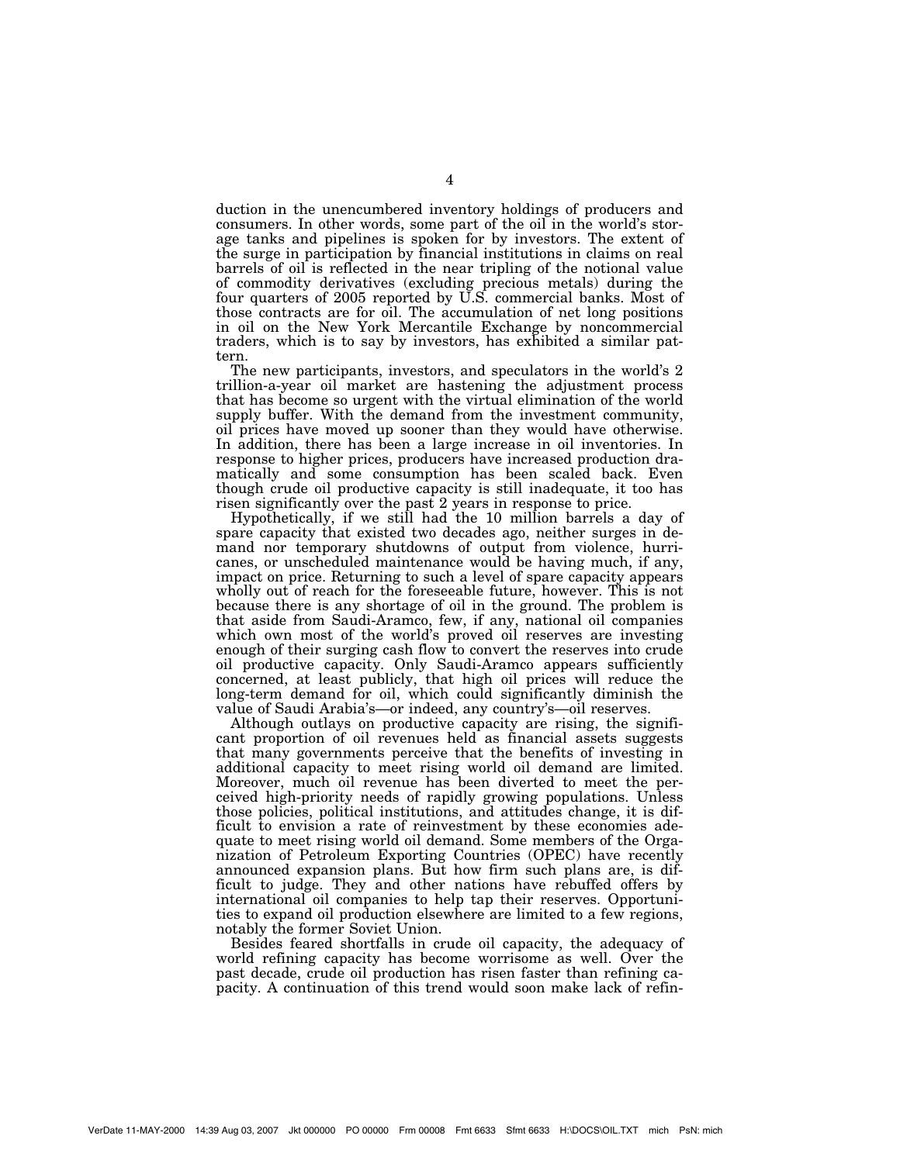duction in the unencumbered inventory holdings of producers and consumers. In other words, some part of the oil in the world's storage tanks and pipelines is spoken for by investors. The extent of the surge in participation by financial institutions in claims on real barrels of oil is reflected in the near tripling of the notional value of commodity derivatives (excluding precious metals) during the four quarters of 2005 reported by U.S. commercial banks. Most of those contracts are for oil. The accumulation of net long positions in oil on the New York Mercantile Exchange by noncommercial traders, which is to say by investors, has exhibited a similar pattern.

The new participants, investors, and speculators in the world's 2 trillion-a-year oil market are hastening the adjustment process that has become so urgent with the virtual elimination of the world supply buffer. With the demand from the investment community, oil prices have moved up sooner than they would have otherwise. In addition, there has been a large increase in oil inventories. In response to higher prices, producers have increased production dramatically and some consumption has been scaled back. Even though crude oil productive capacity is still inadequate, it too has risen significantly over the past 2 years in response to price.

Hypothetically, if we still had the 10 million barrels a day of spare capacity that existed two decades ago, neither surges in demand nor temporary shutdowns of output from violence, hurricanes, or unscheduled maintenance would be having much, if any, impact on price. Returning to such a level of spare capacity appears wholly out of reach for the foreseeable future, however. This is not because there is any shortage of oil in the ground. The problem is that aside from Saudi-Aramco, few, if any, national oil companies which own most of the world's proved oil reserves are investing enough of their surging cash flow to convert the reserves into crude oil productive capacity. Only Saudi-Aramco appears sufficiently concerned, at least publicly, that high oil prices will reduce the long-term demand for oil, which could significantly diminish the value of Saudi Arabia's—or indeed, any country's—oil reserves.

Although outlays on productive capacity are rising, the significant proportion of oil revenues held as financial assets suggests that many governments perceive that the benefits of investing in additional capacity to meet rising world oil demand are limited. Moreover, much oil revenue has been diverted to meet the perceived high-priority needs of rapidly growing populations. Unless those policies, political institutions, and attitudes change, it is difficult to envision a rate of reinvestment by these economies adequate to meet rising world oil demand. Some members of the Organization of Petroleum Exporting Countries (OPEC) have recently announced expansion plans. But how firm such plans are, is difficult to judge. They and other nations have rebuffed offers by international oil companies to help tap their reserves. Opportunities to expand oil production elsewhere are limited to a few regions, notably the former Soviet Union.

Besides feared shortfalls in crude oil capacity, the adequacy of world refining capacity has become worrisome as well. Over the past decade, crude oil production has risen faster than refining capacity. A continuation of this trend would soon make lack of refin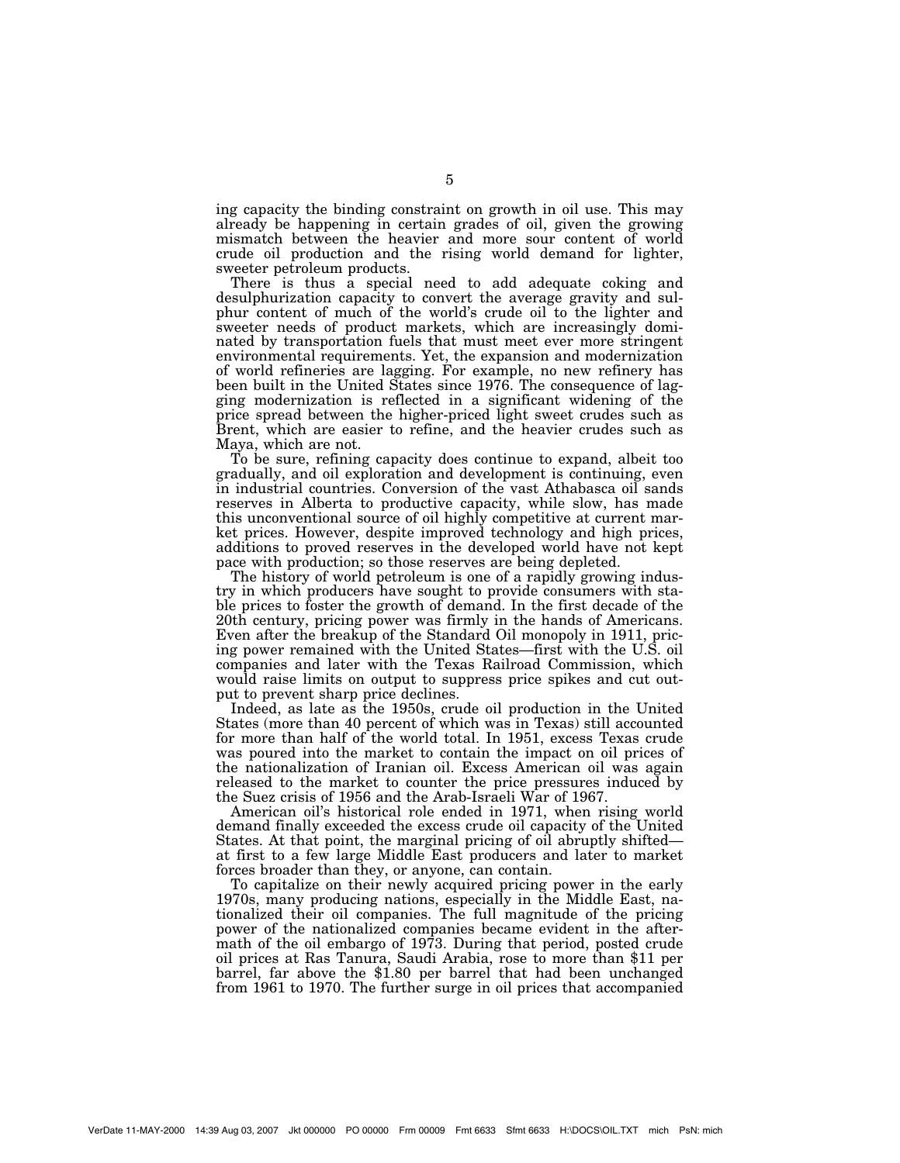ing capacity the binding constraint on growth in oil use. This may already be happening in certain grades of oil, given the growing mismatch between the heavier and more sour content of world crude oil production and the rising world demand for lighter, sweeter petroleum products.

There is thus a special need to add adequate coking and desulphurization capacity to convert the average gravity and sulphur content of much of the world's crude oil to the lighter and sweeter needs of product markets, which are increasingly dominated by transportation fuels that must meet ever more stringent environmental requirements. Yet, the expansion and modernization of world refineries are lagging. For example, no new refinery has been built in the United States since 1976. The consequence of lagging modernization is reflected in a significant widening of the price spread between the higher-priced light sweet crudes such as Brent, which are easier to refine, and the heavier crudes such as Maya, which are not.

To be sure, refining capacity does continue to expand, albeit too gradually, and oil exploration and development is continuing, even in industrial countries. Conversion of the vast Athabasca oil sands reserves in Alberta to productive capacity, while slow, has made this unconventional source of oil highly competitive at current market prices. However, despite improved technology and high prices, additions to proved reserves in the developed world have not kept pace with production; so those reserves are being depleted.

The history of world petroleum is one of a rapidly growing industry in which producers have sought to provide consumers with stable prices to foster the growth of demand. In the first decade of the 20th century, pricing power was firmly in the hands of Americans. Even after the breakup of the Standard Oil monopoly in 1911, pricing power remained with the United States—first with the U.S. oil companies and later with the Texas Railroad Commission, which would raise limits on output to suppress price spikes and cut output to prevent sharp price declines.

Indeed, as late as the 1950s, crude oil production in the United States (more than 40 percent of which was in Texas) still accounted for more than half of the world total. In 1951, excess Texas crude was poured into the market to contain the impact on oil prices of the nationalization of Iranian oil. Excess American oil was again released to the market to counter the price pressures induced by the Suez crisis of 1956 and the Arab-Israeli War of 1967.

American oil's historical role ended in 1971, when rising world demand finally exceeded the excess crude oil capacity of the United States. At that point, the marginal pricing of oil abruptly shifted at first to a few large Middle East producers and later to market forces broader than they, or anyone, can contain.

To capitalize on their newly acquired pricing power in the early 1970s, many producing nations, especially in the Middle East, nationalized their oil companies. The full magnitude of the pricing power of the nationalized companies became evident in the aftermath of the oil embargo of 1973. During that period, posted crude oil prices at Ras Tanura, Saudi Arabia, rose to more than \$11 per barrel, far above the \$1.80 per barrel that had been unchanged from 1961 to 1970. The further surge in oil prices that accompanied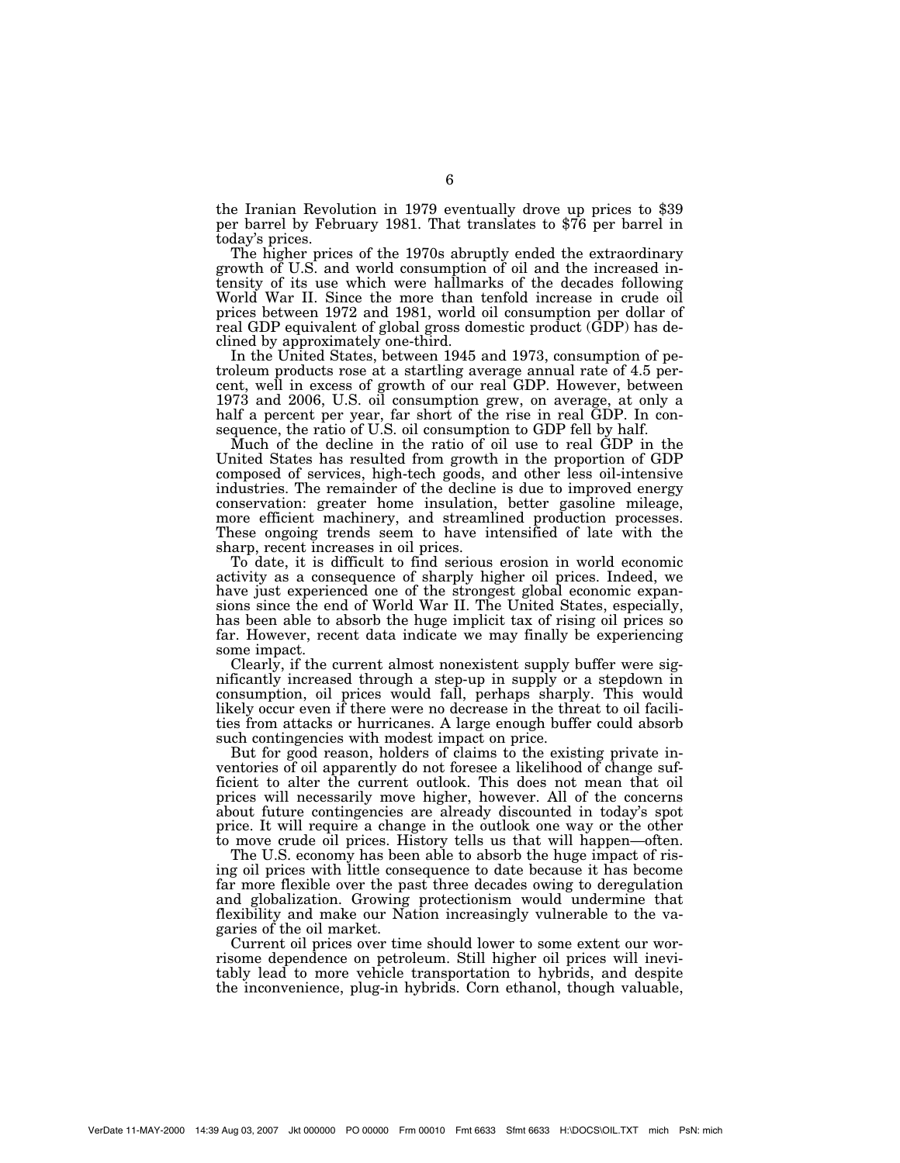the Iranian Revolution in 1979 eventually drove up prices to \$39 per barrel by February 1981. That translates to \$76 per barrel in today's prices.

The higher prices of the 1970s abruptly ended the extraordinary growth of U.S. and world consumption of oil and the increased intensity of its use which were hallmarks of the decades following World War II. Since the more than tenfold increase in crude oil prices between 1972 and 1981, world oil consumption per dollar of real GDP equivalent of global gross domestic product (GDP) has declined by approximately one-third.

In the United States, between 1945 and 1973, consumption of petroleum products rose at a startling average annual rate of 4.5 percent, well in excess of growth of our real GDP. However, between 1973 and 2006, U.S. oil consumption grew, on average, at only a half a percent per year, far short of the rise in real GDP. In consequence, the ratio of U.S. oil consumption to GDP fell by half.

Much of the decline in the ratio of oil use to real GDP in the United States has resulted from growth in the proportion of GDP composed of services, high-tech goods, and other less oil-intensive industries. The remainder of the decline is due to improved energy conservation: greater home insulation, better gasoline mileage, more efficient machinery, and streamlined production processes. These ongoing trends seem to have intensified of late with the sharp, recent increases in oil prices.

To date, it is difficult to find serious erosion in world economic activity as a consequence of sharply higher oil prices. Indeed, we have just experienced one of the strongest global economic expansions since the end of World War II. The United States, especially, has been able to absorb the huge implicit tax of rising oil prices so far. However, recent data indicate we may finally be experiencing some impact.

Clearly, if the current almost nonexistent supply buffer were significantly increased through a step-up in supply or a stepdown in consumption, oil prices would fall, perhaps sharply. This would likely occur even if there were no decrease in the threat to oil facilities from attacks or hurricanes. A large enough buffer could absorb such contingencies with modest impact on price.

But for good reason, holders of claims to the existing private inventories of oil apparently do not foresee a likelihood of change sufficient to alter the current outlook. This does not mean that oil prices will necessarily move higher, however. All of the concerns about future contingencies are already discounted in today's spot price. It will require a change in the outlook one way or the other to move crude oil prices. History tells us that will happen—often.

The U.S. economy has been able to absorb the huge impact of rising oil prices with little consequence to date because it has become far more flexible over the past three decades owing to deregulation and globalization. Growing protectionism would undermine that flexibility and make our Nation increasingly vulnerable to the vagaries of the oil market.

Current oil prices over time should lower to some extent our worrisome dependence on petroleum. Still higher oil prices will inevitably lead to more vehicle transportation to hybrids, and despite the inconvenience, plug-in hybrids. Corn ethanol, though valuable,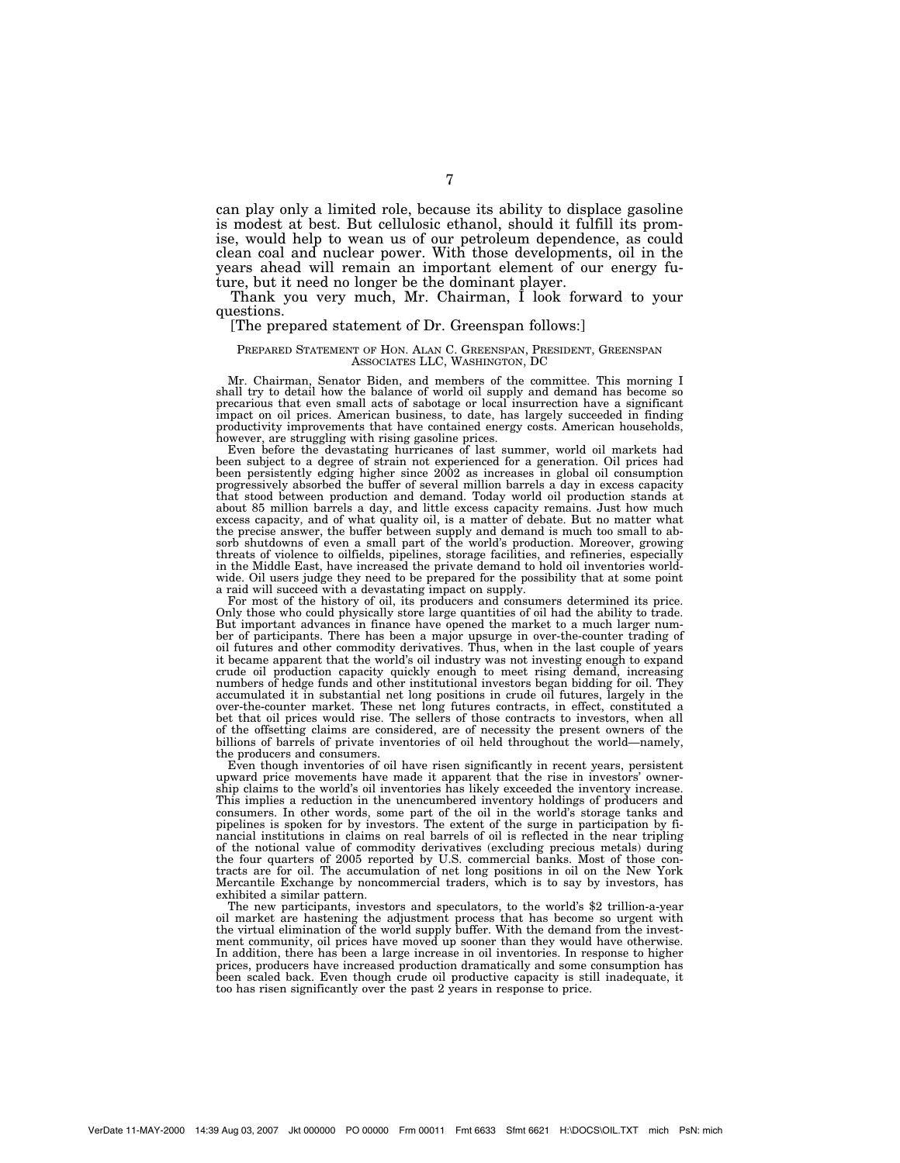can play only a limited role, because its ability to displace gasoline is modest at best. But cellulosic ethanol, should it fulfill its promise, would help to wean us of our petroleum dependence, as could clean coal and nuclear power. With those developments, oil in the years ahead will remain an important element of our energy future, but it need no longer be the dominant player.

Thank you very much, Mr. Chairman, I look forward to your questions.

#### [The prepared statement of Dr. Greenspan follows:]

#### PREPARED STATEMENT OF HON. ALAN C. GREENSPAN, PRESIDENT, GREENSPAN ASSOCIATES LLC, WASHINGTON, DC

Mr. Chairman, Senator Biden, and members of the committee. This morning I shall try to detail how the balance of world oil supply and demand has become so precarious that even small acts of sabotage or local insurrection have a significant impact on oil prices. American business, to date, has largely succeeded in finding productivity improvements that have contained energy costs. American households, however, are struggling with rising gasoline prices.

Even before the devastating hurricanes of last summer, world oil markets had been subject to a degree of strain not experienced for a generation. Oil prices had been persistently edging higher since 2002 as increases in global oil consumption progressively absorbed the buffer of several million barrels a day in excess capacity that stood between production and demand. Today world oil production stands at about 85 million barrels a day, and little excess capacity remains. Just how much excess capacity, and of what quality oil, is a matter of debate. But no matter what<br>the precise answer, the buffer between supply and demand is much too small to ab-<br>sorb shutdowns of even a small part of the world's produ wide. Oil users judge they need to be prepared for the possibility that at some point a raid will succeed with a devastating impact on supply.

For most of the history of oil, its producers and consumers determined its price. Only those who could physically store large quantities of oil had the ability to trade. But important advances in finance have opened the market to a much larger number of participants. There has been a major upsurge in over-the-counter trading of oil futures and other commodity derivatives. Thus, when in the last couple of years it became apparent that the world's oil industry was not investing enough to expand crude oil production capacity quickly enough to meet rising demand, increasing numbers of hedge funds and other institutional investors began bidding for oil. They accumulated it in substantial net long positions in crude oil futures, largely in the over-the-counter market. These net long futures contracts, in effect, constituted a bet that oil prices would rise. The sellers of those contracts to investors, when all of the offsetting claims are considered, are of necessity the present owners of the billions of barrels of private inventories of oil held throughout the world—namely, the producers and consumers.

Even though inventories of oil have risen significantly in recent years, persistent upward price movements have made it apparent that the rise in investors' ownership claims to the world's oil inventories has likely exceeded the inventory increase. This implies a reduction in the unencumbered inventory holdings of producers and consumers. In other words, some part of the oil in the world's storage tanks and pipelines is spoken for by investors. The extent of the surge in participation by financial institutions in claims on real barrels of oil is reflected in the near tripling of the notional value of commodity derivatives (excluding precious metals) during the four quarters of 2005 reported by U.S. commercial banks. Most of those contracts are for oil. The accumulation of net long positions in oil on the New York Mercantile Exchange by noncommercial traders, which is to say by investors, has exhibited a similar pattern.

The new participants, investors and speculators, to the world's \$2 trillion-a-year oil market are hastening the adjustment process that has become so urgent with the virtual elimination of the world supply buffer. With the demand from the investment community, oil prices have moved up sooner than they would have otherwise. In addition, there has been a large increase in oil inventories. In response to higher prices, producers have increased production dramatically and some consumption has been scaled back. Even though crude oil productive capacity is still inadequate, it too has risen significantly over the past 2 years in response to price.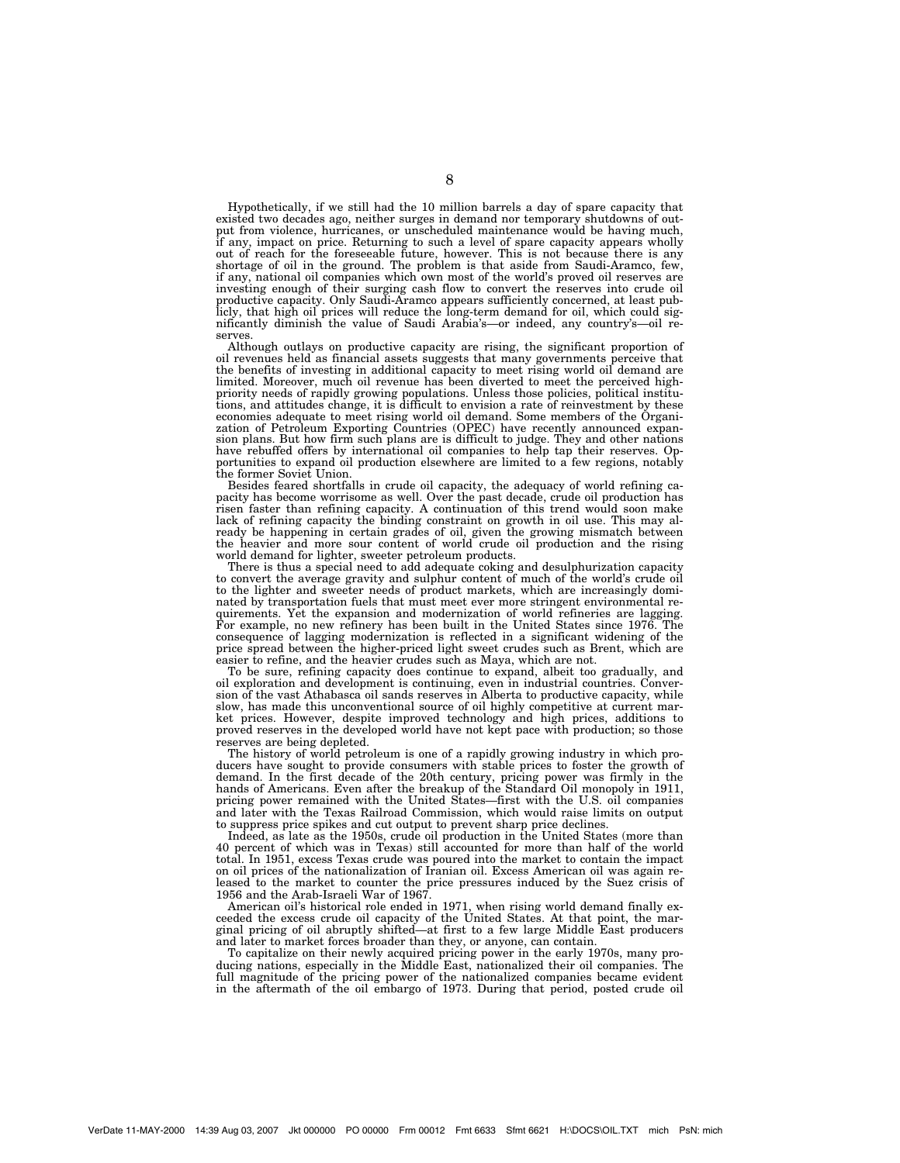Hypothetically, if we still had the 10 million barrels a day of spare capacity that existed two decades ago, neither surges in demand nor temporary shutdowns of output from violence, hurricanes, or unscheduled maintenance would be having much, if any, impact on price. Returning to such a level of spare capacity appears wholly out of reach for the foreseeable future, however. This is not because there is any shortage of oil in the ground. The problem is that aside from Saudi-Aramco, few, if any, national oil companies which own most of the world's proved oil reserves are investing enough of their surging cash flow to convert the reserves into crude oil productive capacity. Only Saudi-Aramco appears sufficiently concerned, at least publicly, that high oil prices will reduce the long-term demand for oil, which could sig-nificantly diminish the value of Saudi Arabia's—or indeed, any country's—oil re-

serves. Although outlays on productive capacity are rising, the significant proportion of oil revenues held as financial assets suggests that many governments perceive that the benefits of investing in additional capacity to meet rising world oil demand are limited. Moreover, much oil revenue has been diverted to meet the perceived highpriority needs of rapidly growing populations. Unless those policies, political institu-tions, and attitudes change, it is difficult to envision a rate of reinvestment by these economies adequate to meet rising world oil demand. Some members of the Organi-zation of Petroleum Exporting Countries (OPEC) have recently announced expansion plans. But how firm such plans are is difficult to judge. They and other nations have rebuffed offers by international oil companies to help tap their reserves. Opportunities to expand oil production elsewhere are limited to a few regions, notably the former Soviet Union.

Besides feared shortfalls in crude oil capacity, the adequacy of world refining ca-pacity has become worrisome as well. Over the past decade, crude oil production has risen faster than refining capacity. A continuation of this trend would soon make<br>lack of refining capacity the binding constraint on growth in oil use. This may al-<br>ready be happening in certain grades of oil, given the g world demand for lighter, sweeter petroleum products.

There is thus a special need to add adequate coking and desulphurization capacity to convert the average gravity and sulphur content of much of the world's crude oil to the lighter and sweeter needs of product markets, which are increasingly domi-nated by transportation fuels that must meet ever more stringent environmental requirements. Yet the expansion and modernization of world refineries are lagging. For example, no new refinery has been built in the United States since 1976. The consequence of lagging modernization is reflected in a significant widening of the price spread between the higher-priced light sweet crudes such as Brent, which are

easier to refine, and the heavier crudes such as Maya, which are not. To be sure, refining capacity does continue to expand, albeit too gradually, and oil exploration and development is continuing, even in industrial countries. Conversion of the vast Athabasca oil sands reserves in Alberta to productive capacity, while slow, has made this unconventional source of oil highly competitive at current market prices. However, despite improved technology and high prices, additions to proved reserves in the developed world have not kept pace with production; so those reserves are being depleted.

The history of world petroleum is one of a rapidly growing industry in which producers have sought to provide consumers with stable prices to foster the growth of demand. In the first decade of the 20th century, pricing power was firmly in the hands of Americans. Even after the breakup of the Standard Oil monopoly in 1911, pricing power remained with the United States—first with the U.S. oil companies and later with the Texas Railroad Commission, which would raise limits on output to suppress price spikes and cut output to prevent sharp price declines.

Indeed, as late as the 1950s, crude oil production in the United States (more than 40 percent of which was in Texas) still accounted for more than half of the world total. In 1951, excess Texas crude was poured into the market to contain the impact on oil prices of the nationalization of Iranian oil. Excess American oil was again released to the market to counter the price pressures induced by the Suez crisis of 1956 and the Arab-Israeli War of 1967.

American oil's historical role ended in 1971, when rising world demand finally exceeded the excess crude oil capacity of the United States. At that point, the marginal pricing of oil abruptly shifted—at first to a few large Middle East producers and later to market forces broader than they, or anyone, can contain.

To capitalize on their newly acquired pricing power in the early 1970s, many producing nations, especially in the Middle East, nationalized their oil companies. The full magnitude of the pricing power of the nationalized companies became evident in the aftermath of the oil embargo of 1973. During that period, posted crude oil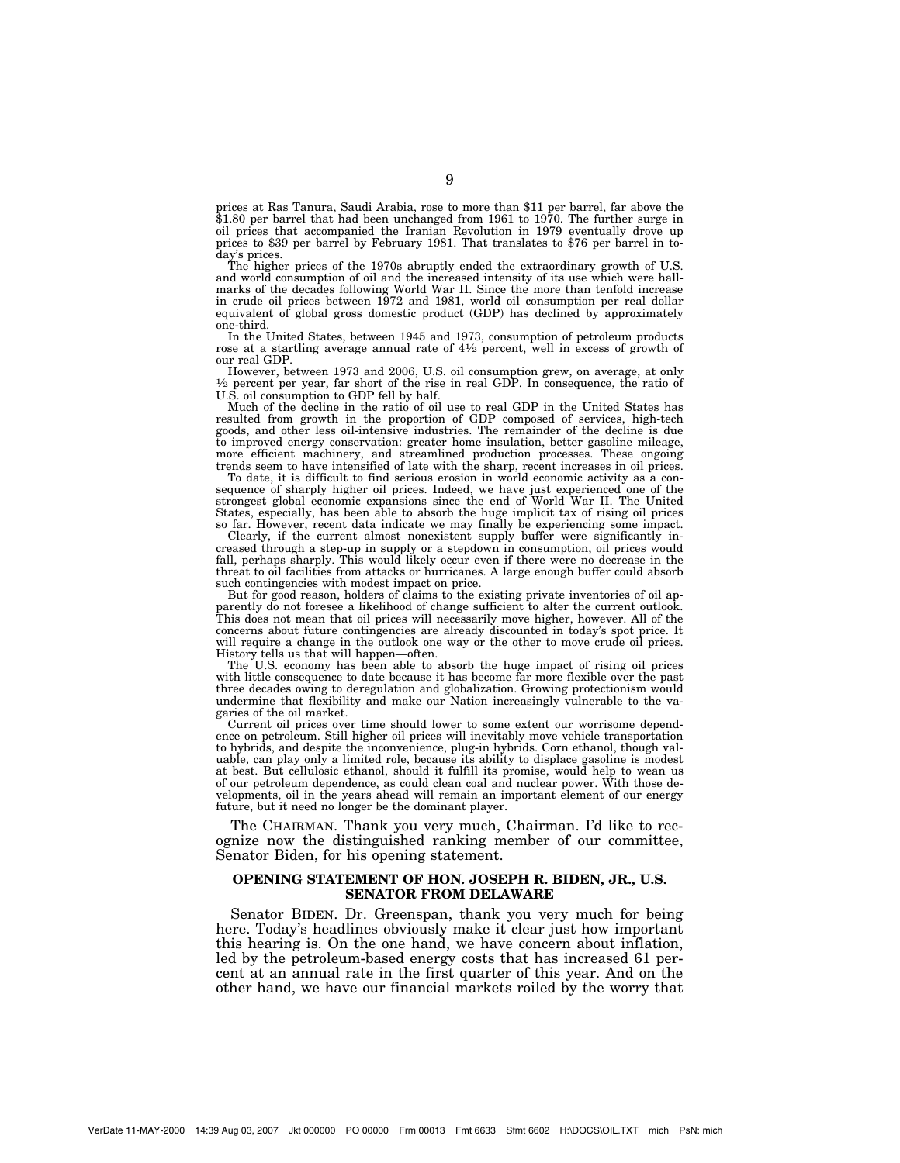prices at Ras Tanura, Saudi Arabia, rose to more than \$11 per barrel, far above the \$1.80 per barrel that had been unchanged from 1961 to 1970. The further surge in oil prices that accompanied the Iranian Revolution in 1979 eventually drove up prices to \$39 per barrel by February 1981. That translates to \$76 per barrel in today's prices.

The higher prices of the 1970s abruptly ended the extraordinary growth of U.S. and world consumption of oil and the increased intensity of its use which were hallmarks of the decades following World War II. Since the more than tenfold increase in crude oil prices between 1972 and 1981, world oil consumption per real dollar equivalent of global gross domestic product (GDP) has declined by approximately one-third.

In the United States, between 1945 and 1973, consumption of petroleum products rose at a startling average annual rate of  $4\frac{1}{2}$  percent, well in excess of growth of our real GDP.<br>However, between 1973 and 2006, U.S. oil consumption grew, on average, at only

 $\frac{1}{2}$  percent per year, far short of the rise in real GDP. In consequence, the ratio of U.S. oil consumption to GDP fell by half.

Much of the decline in the ratio of oil use to real GDP in the United States has resulted from growth in the proportion of GDP composed of services, high-tech goods, and other less oil-intensive industries. The remainder of the decline is due to improved energy conservation: greater home insulation, better gasoline mileage, more efficient machinery, and streamlined production processes. These ongoing trends seem to have intensified of late with the sharp, recent increases in oil prices.

To date, it is difficult to find serious erosion in world economic activity as a consequence of sharply higher oil prices. Indeed, we have just experienced one of the strongest global economic expansions since the end of World War II. The United States, especially, has been able to absorb the huge implicit tax of rising oil prices so far. However, recent data indicate we may finally be experiencing some impact.

Clearly, if the current almost nonexistent supply buffer were significantly increased through a step-up in supply or a stepdown in consumption, oil prices would fall, perhaps sharply. This would likely occur even if there were no decrease in the threat to oil facilities from attacks or hurricanes. A large enough buffer could absorb such contingencies with modest impact on price.

But for good reason, holders of claims to the existing private inventories of oil apparently do not foresee a likelihood of change sufficient to alter the current outlook. This does not mean that oil prices will necessarily move higher, however. All of the concerns about future contingencies are already discounted in today's spot price. It will require a change in the outlook one way or the other to move crude oil prices. History tells us that will happen—often.

The U.S. economy has been able to absorb the huge impact of rising oil prices with little consequence to date because it has become far more flexible over the past three decades owing to deregulation and globalization. Growing protectionism would undermine that flexibility and make our Nation increasingly vulnerable to the vagaries of the oil market.

Current oil prices over time should lower to some extent our worrisome dependence on petroleum. Still higher oil prices will inevitably move vehicle transportation to hybrids, and despite the inconvenience, plug-in hybrids. Corn ethanol, though valuable, can play only a limited role, because its ability to displace gasoline is modest at best. But cellulosic ethanol, should it fulfill its promise, would help to wean us of our petroleum dependence, as could clean coal and nuclear power. With those developments, oil in the years ahead will remain an important element of our energy future, but it need no longer be the dominant player.

The CHAIRMAN. Thank you very much, Chairman. I'd like to recognize now the distinguished ranking member of our committee, Senator Biden, for his opening statement.

#### **OPENING STATEMENT OF HON. JOSEPH R. BIDEN, JR., U.S. SENATOR FROM DELAWARE**

Senator BIDEN. Dr. Greenspan, thank you very much for being here. Today's headlines obviously make it clear just how important this hearing is. On the one hand, we have concern about inflation, led by the petroleum-based energy costs that has increased 61 percent at an annual rate in the first quarter of this year. And on the other hand, we have our financial markets roiled by the worry that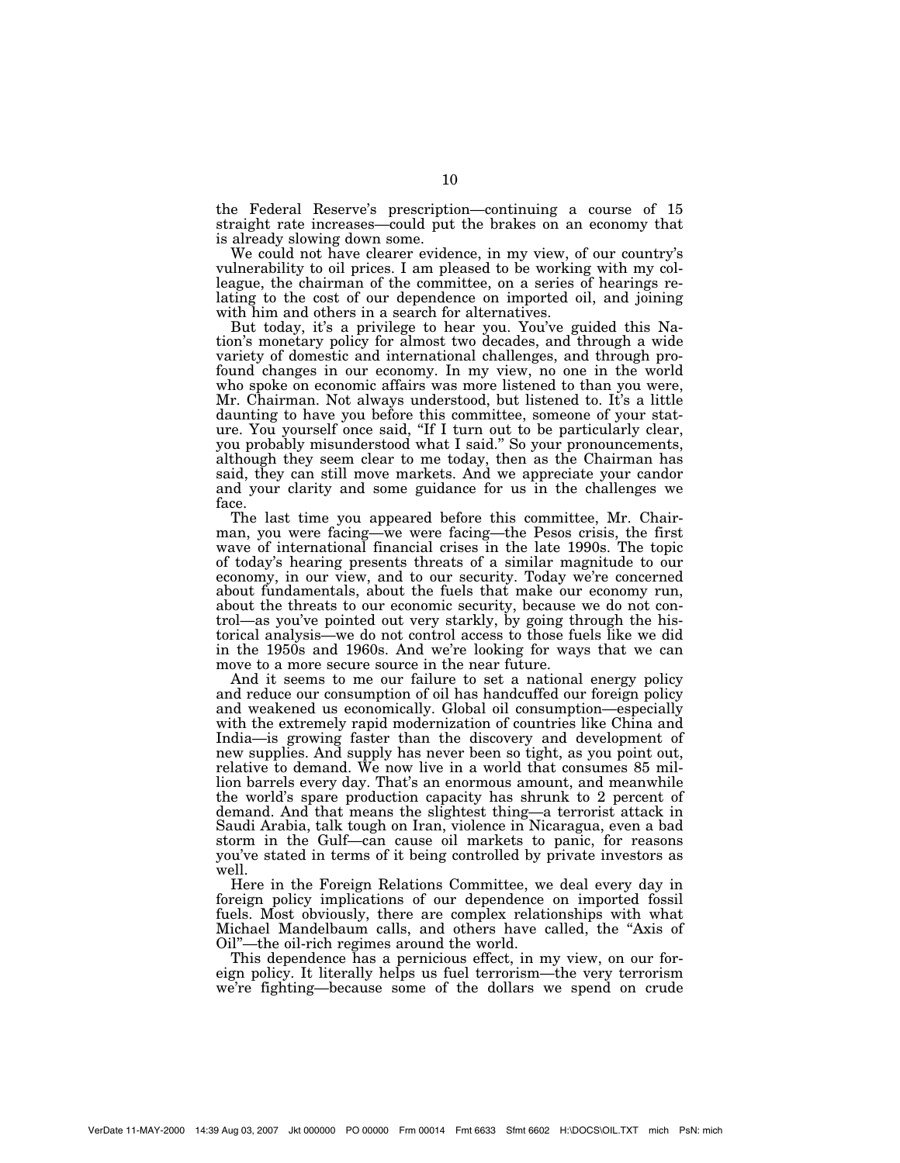the Federal Reserve's prescription—continuing a course of 15 straight rate increases—could put the brakes on an economy that is already slowing down some.

We could not have clearer evidence, in my view, of our country's vulnerability to oil prices. I am pleased to be working with my colleague, the chairman of the committee, on a series of hearings relating to the cost of our dependence on imported oil, and joining with him and others in a search for alternatives.

But today, it's a privilege to hear you. You've guided this Nation's monetary policy for almost two decades, and through a wide variety of domestic and international challenges, and through profound changes in our economy. In my view, no one in the world who spoke on economic affairs was more listened to than you were, Mr. Chairman. Not always understood, but listened to. It's a little daunting to have you before this committee, someone of your stature. You yourself once said, ''If I turn out to be particularly clear, you probably misunderstood what I said.'' So your pronouncements, although they seem clear to me today, then as the Chairman has said, they can still move markets. And we appreciate your candor and your clarity and some guidance for us in the challenges we face.

The last time you appeared before this committee, Mr. Chairman, you were facing—we were facing—the Pesos crisis, the first wave of international financial crises in the late 1990s. The topic of today's hearing presents threats of a similar magnitude to our economy, in our view, and to our security. Today we're concerned about fundamentals, about the fuels that make our economy run, about the threats to our economic security, because we do not control—as you've pointed out very starkly, by going through the historical analysis—we do not control access to those fuels like we did in the 1950s and 1960s. And we're looking for ways that we can move to a more secure source in the near future.

And it seems to me our failure to set a national energy policy and reduce our consumption of oil has handcuffed our foreign policy and weakened us economically. Global oil consumption—especially with the extremely rapid modernization of countries like China and India—is growing faster than the discovery and development of new supplies. And supply has never been so tight, as you point out, relative to demand. We now live in a world that consumes 85 million barrels every day. That's an enormous amount, and meanwhile the world's spare production capacity has shrunk to 2 percent of demand. And that means the slightest thing—a terrorist attack in Saudi Arabia, talk tough on Iran, violence in Nicaragua, even a bad storm in the Gulf—can cause oil markets to panic, for reasons you've stated in terms of it being controlled by private investors as well.

Here in the Foreign Relations Committee, we deal every day in foreign policy implications of our dependence on imported fossil fuels. Most obviously, there are complex relationships with what Michael Mandelbaum calls, and others have called, the "Axis of Oil''—the oil-rich regimes around the world.

This dependence has a pernicious effect, in my view, on our foreign policy. It literally helps us fuel terrorism—the very terrorism we're fighting—because some of the dollars we spend on crude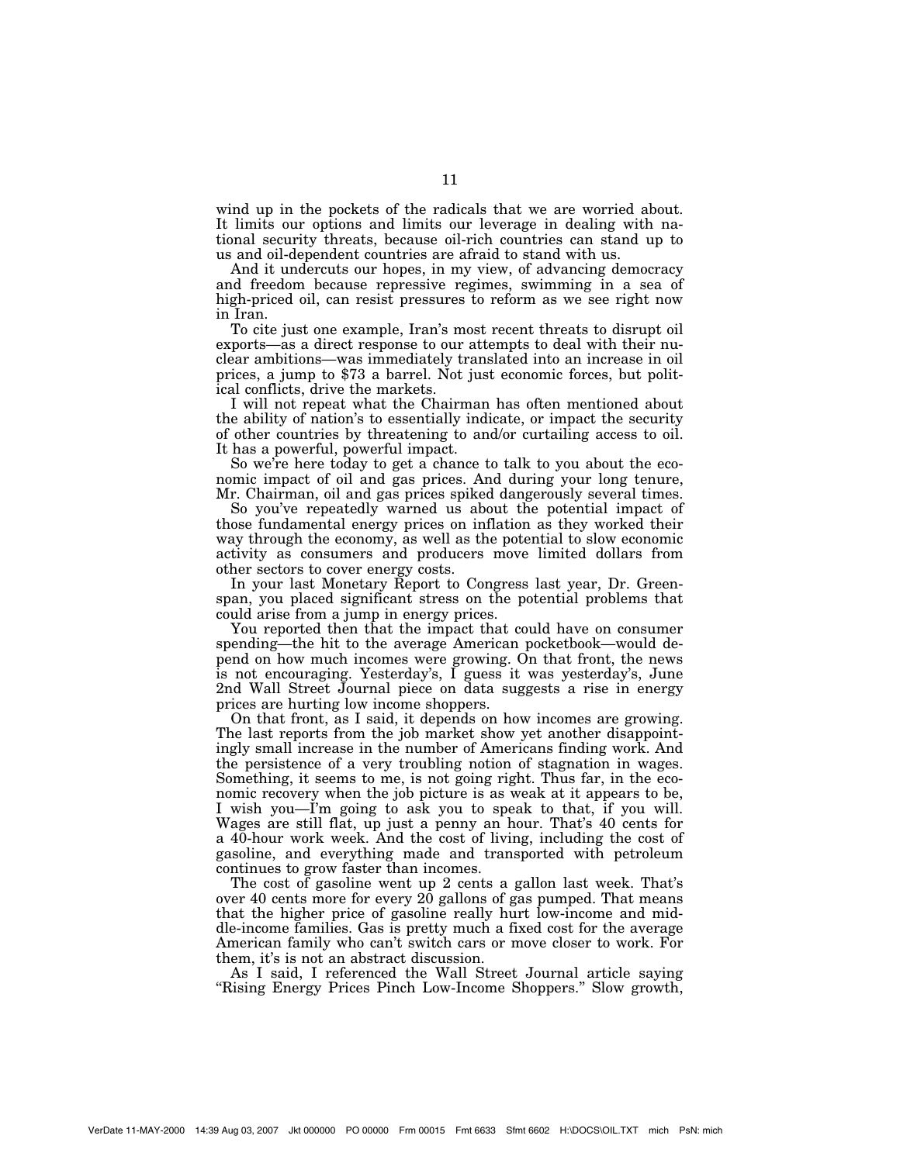wind up in the pockets of the radicals that we are worried about. It limits our options and limits our leverage in dealing with national security threats, because oil-rich countries can stand up to us and oil-dependent countries are afraid to stand with us.

And it undercuts our hopes, in my view, of advancing democracy and freedom because repressive regimes, swimming in a sea of high-priced oil, can resist pressures to reform as we see right now in Iran.

To cite just one example, Iran's most recent threats to disrupt oil exports—as a direct response to our attempts to deal with their nuclear ambitions—was immediately translated into an increase in oil prices, a jump to \$73 a barrel. Not just economic forces, but political conflicts, drive the markets.

I will not repeat what the Chairman has often mentioned about the ability of nation's to essentially indicate, or impact the security of other countries by threatening to and/or curtailing access to oil. It has a powerful, powerful impact.

So we're here today to get a chance to talk to you about the economic impact of oil and gas prices. And during your long tenure, Mr. Chairman, oil and gas prices spiked dangerously several times.

So you've repeatedly warned us about the potential impact of those fundamental energy prices on inflation as they worked their way through the economy, as well as the potential to slow economic activity as consumers and producers move limited dollars from other sectors to cover energy costs.

In your last Monetary Report to Congress last year, Dr. Greenspan, you placed significant stress on the potential problems that could arise from a jump in energy prices.

You reported then that the impact that could have on consumer spending—the hit to the average American pocketbook—would depend on how much incomes were growing. On that front, the news is not encouraging. Yesterday's, I guess it was yesterday's, June 2nd Wall Street Journal piece on data suggests a rise in energy prices are hurting low income shoppers.

On that front, as I said, it depends on how incomes are growing. The last reports from the job market show yet another disappointingly small increase in the number of Americans finding work. And the persistence of a very troubling notion of stagnation in wages. Something, it seems to me, is not going right. Thus far, in the economic recovery when the job picture is as weak at it appears to be, I wish you—I'm going to ask you to speak to that, if you will. Wages are still flat, up just a penny an hour. That's 40 cents for a 40-hour work week. And the cost of living, including the cost of gasoline, and everything made and transported with petroleum continues to grow faster than incomes.

The cost of gasoline went up 2 cents a gallon last week. That's over 40 cents more for every  $20$  gallons of gas pumped. That means that the higher price of gasoline really hurt low-income and middle-income families. Gas is pretty much a fixed cost for the average American family who can't switch cars or move closer to work. For them, it's is not an abstract discussion.

As I said, I referenced the Wall Street Journal article saying "Rising Energy Prices Pinch Low-Income Shoppers." Slow growth,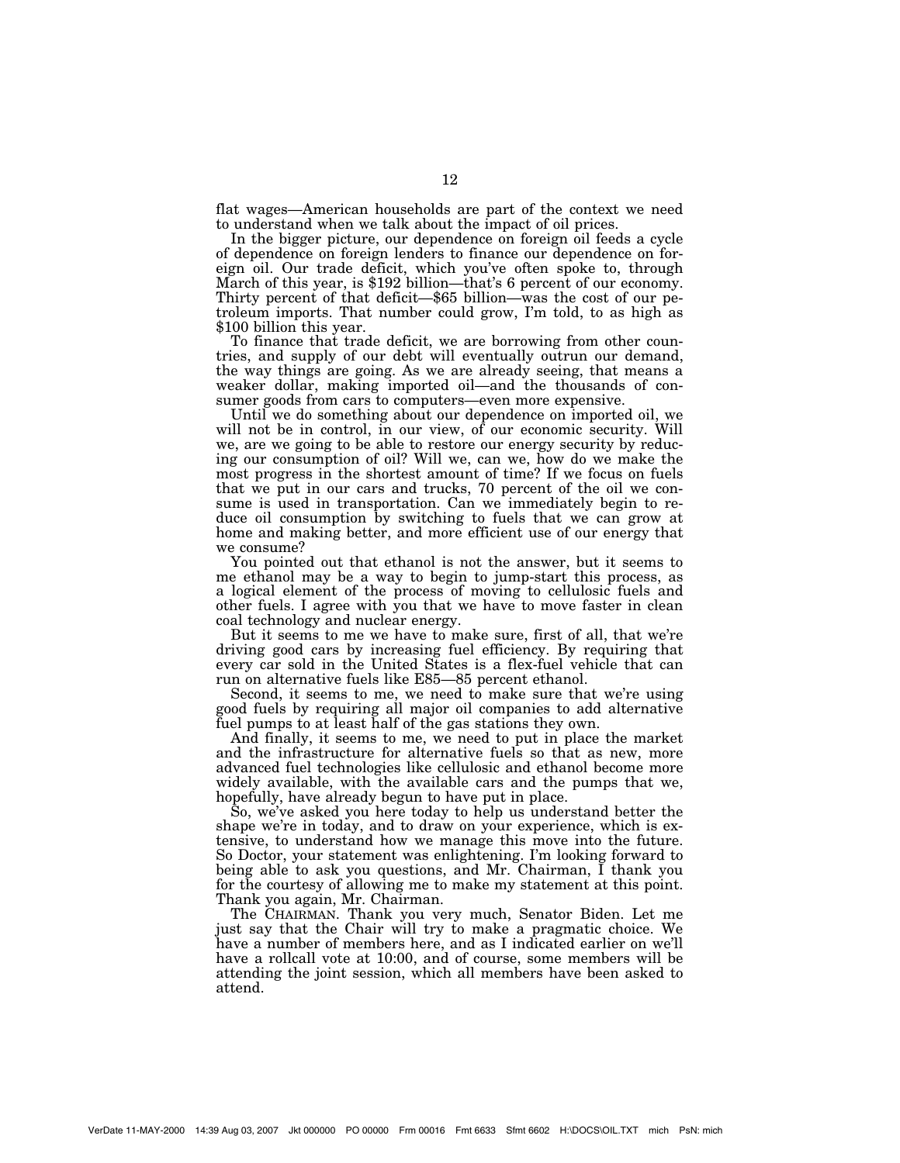flat wages—American households are part of the context we need to understand when we talk about the impact of oil prices.

In the bigger picture, our dependence on foreign oil feeds a cycle of dependence on foreign lenders to finance our dependence on foreign oil. Our trade deficit, which you've often spoke to, through March of this year, is \$192 billion—that's 6 percent of our economy. Thirty percent of that deficit—\$65 billion—was the cost of our petroleum imports. That number could grow, I'm told, to as high as \$100 billion this year.

To finance that trade deficit, we are borrowing from other countries, and supply of our debt will eventually outrun our demand, the way things are going. As we are already seeing, that means a weaker dollar, making imported oil—and the thousands of consumer goods from cars to computers—even more expensive.

Until we do something about our dependence on imported oil, we will not be in control, in our view, of our economic security. Will we, are we going to be able to restore our energy security by reducing our consumption of oil? Will we, can we, how do we make the most progress in the shortest amount of time? If we focus on fuels that we put in our cars and trucks, 70 percent of the oil we consume is used in transportation. Can we immediately begin to reduce oil consumption by switching to fuels that we can grow at home and making better, and more efficient use of our energy that we consume?

You pointed out that ethanol is not the answer, but it seems to me ethanol may be a way to begin to jump-start this process, as a logical element of the process of moving to cellulosic fuels and other fuels. I agree with you that we have to move faster in clean coal technology and nuclear energy.

But it seems to me we have to make sure, first of all, that we're driving good cars by increasing fuel efficiency. By requiring that every car sold in the United States is a flex-fuel vehicle that can run on alternative fuels like E85—85 percent ethanol.

Second, it seems to me, we need to make sure that we're using good fuels by requiring all major oil companies to add alternative fuel pumps to at least half of the gas stations they own.

And finally, it seems to me, we need to put in place the market and the infrastructure for alternative fuels so that as new, more advanced fuel technologies like cellulosic and ethanol become more widely available, with the available cars and the pumps that we, hopefully, have already begun to have put in place.

So, we've asked you here today to help us understand better the shape we're in today, and to draw on your experience, which is extensive, to understand how we manage this move into the future. So Doctor, your statement was enlightening. I'm looking forward to being able to ask you questions, and Mr. Chairman, I thank you for the courtesy of allowing me to make my statement at this point. Thank you again, Mr. Chairman.

The CHAIRMAN. Thank you very much, Senator Biden. Let me just say that the Chair will try to make a pragmatic choice. We have a number of members here, and as I indicated earlier on we'll have a rollcall vote at 10:00, and of course, some members will be attending the joint session, which all members have been asked to attend.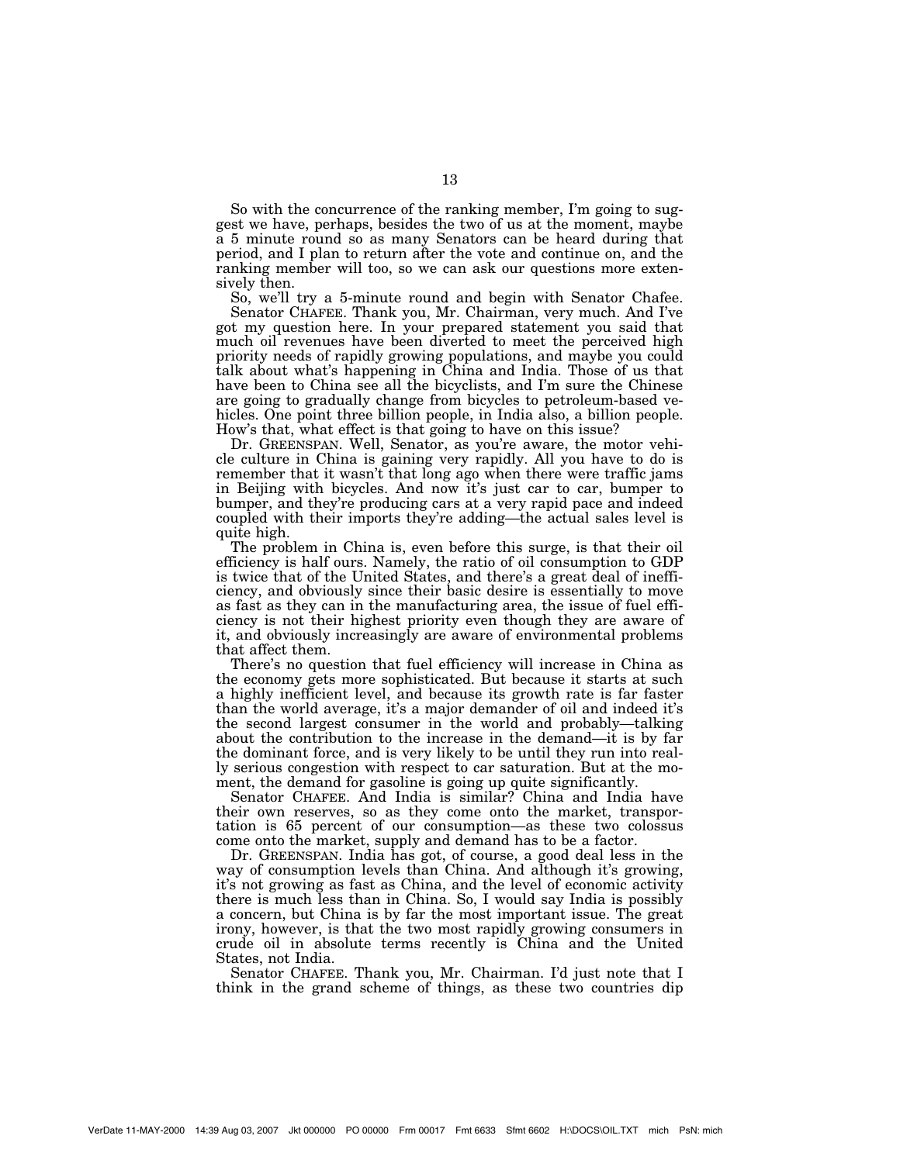So with the concurrence of the ranking member, I'm going to suggest we have, perhaps, besides the two of us at the moment, maybe a 5 minute round so as many Senators can be heard during that period, and I plan to return after the vote and continue on, and the ranking member will too, so we can ask our questions more extensively then.

So, we'll try a 5-minute round and begin with Senator Chafee.

Senator CHAFEE. Thank you, Mr. Chairman, very much. And I've got my question here. In your prepared statement you said that much oil revenues have been diverted to meet the perceived high priority needs of rapidly growing populations, and maybe you could talk about what's happening in China and India. Those of us that have been to China see all the bicyclists, and I'm sure the Chinese are going to gradually change from bicycles to petroleum-based vehicles. One point three billion people, in India also, a billion people. How's that, what effect is that going to have on this issue?

Dr. GREENSPAN. Well, Senator, as you're aware, the motor vehicle culture in China is gaining very rapidly. All you have to do is remember that it wasn't that long ago when there were traffic jams in Beijing with bicycles. And now it's just car to car, bumper to bumper, and they're producing cars at a very rapid pace and indeed coupled with their imports they're adding—the actual sales level is quite high.

The problem in China is, even before this surge, is that their oil efficiency is half ours. Namely, the ratio of oil consumption to GDP is twice that of the United States, and there's a great deal of inefficiency, and obviously since their basic desire is essentially to move as fast as they can in the manufacturing area, the issue of fuel efficiency is not their highest priority even though they are aware of it, and obviously increasingly are aware of environmental problems that affect them.

There's no question that fuel efficiency will increase in China as the economy gets more sophisticated. But because it starts at such a highly inefficient level, and because its growth rate is far faster than the world average, it's a major demander of oil and indeed it's the second largest consumer in the world and probably—talking about the contribution to the increase in the demand—it is by far the dominant force, and is very likely to be until they run into really serious congestion with respect to car saturation. But at the moment, the demand for gasoline is going up quite significantly.

Senator CHAFEE. And India is similar? China and India have their own reserves, so as they come onto the market, transportation is 65 percent of our consumption—as these two colossus come onto the market, supply and demand has to be a factor.

Dr. GREENSPAN. India has got, of course, a good deal less in the way of consumption levels than China. And although it's growing, it's not growing as fast as China, and the level of economic activity there is much less than in China. So, I would say India is possibly a concern, but China is by far the most important issue. The great irony, however, is that the two most rapidly growing consumers in crude oil in absolute terms recently is China and the United States, not India.

Senator CHAFEE. Thank you, Mr. Chairman. I'd just note that I think in the grand scheme of things, as these two countries dip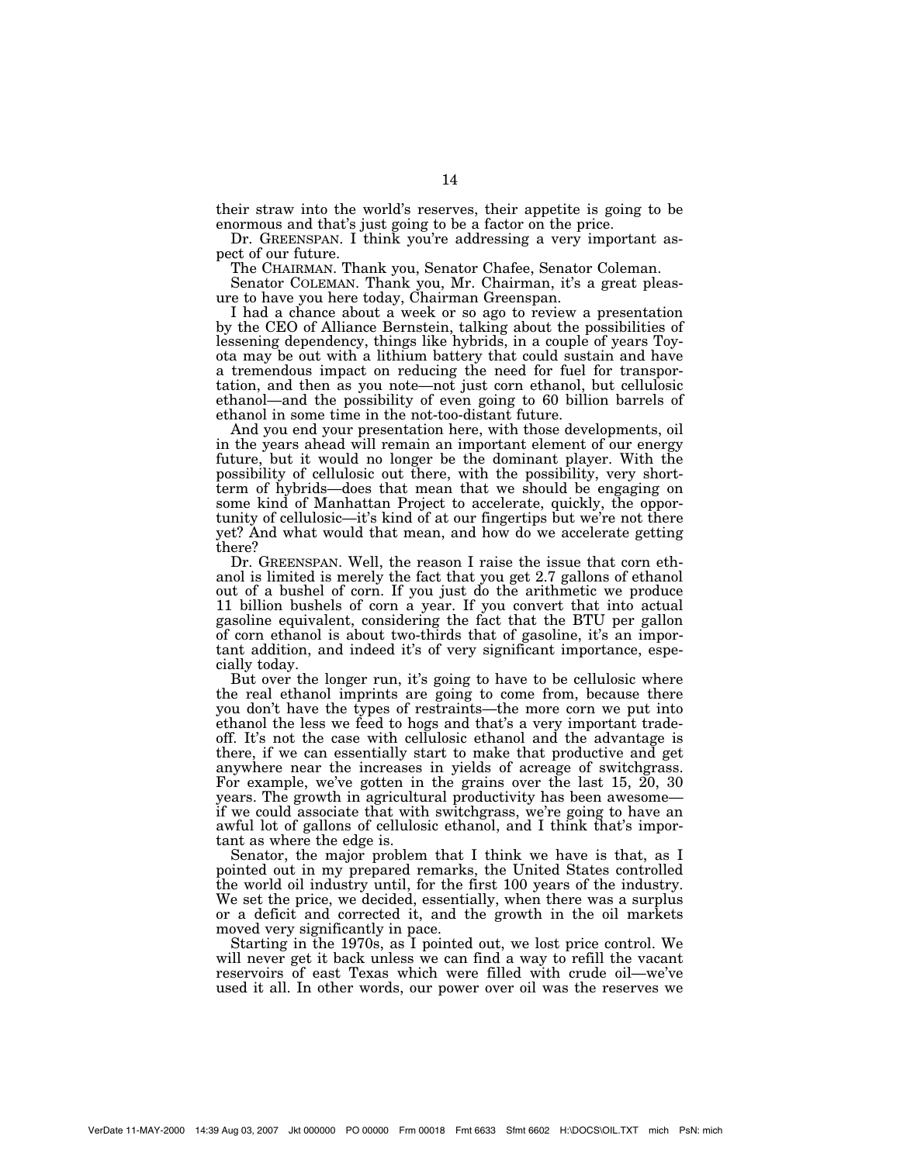their straw into the world's reserves, their appetite is going to be enormous and that's just going to be a factor on the price.

Dr. GREENSPAN. I think you're addressing a very important aspect of our future.

The CHAIRMAN. Thank you, Senator Chafee, Senator Coleman.

Senator COLEMAN. Thank you, Mr. Chairman, it's a great pleasure to have you here today, Chairman Greenspan.

I had a chance about a week or so ago to review a presentation by the CEO of Alliance Bernstein, talking about the possibilities of lessening dependency, things like hybrids, in a couple of years Toyota may be out with a lithium battery that could sustain and have a tremendous impact on reducing the need for fuel for transportation, and then as you note—not just corn ethanol, but cellulosic ethanol—and the possibility of even going to 60 billion barrels of ethanol in some time in the not-too-distant future.

And you end your presentation here, with those developments, oil in the years ahead will remain an important element of our energy future, but it would no longer be the dominant player. With the possibility of cellulosic out there, with the possibility, very shortterm of hybrids—does that mean that we should be engaging on some kind of Manhattan Project to accelerate, quickly, the opportunity of cellulosic—it's kind of at our fingertips but we're not there yet? And what would that mean, and how do we accelerate getting there?

Dr. GREENSPAN. Well, the reason I raise the issue that corn ethanol is limited is merely the fact that you get 2.7 gallons of ethanol out of a bushel of corn. If you just do the arithmetic we produce 11 billion bushels of corn a year. If you convert that into actual gasoline equivalent, considering the fact that the BTU per gallon of corn ethanol is about two-thirds that of gasoline, it's an important addition, and indeed it's of very significant importance, especially today.

But over the longer run, it's going to have to be cellulosic where the real ethanol imprints are going to come from, because there you don't have the types of restraints—the more corn we put into ethanol the less we feed to hogs and that's a very important tradeoff. It's not the case with cellulosic ethanol and the advantage is there, if we can essentially start to make that productive and get anywhere near the increases in yields of acreage of switchgrass. For example, we've gotten in the grains over the last 15, 20, 30 years. The growth in agricultural productivity has been awesome if we could associate that with switchgrass, we're going to have an awful lot of gallons of cellulosic ethanol, and I think that's important as where the edge is.

Senator, the major problem that I think we have is that, as I pointed out in my prepared remarks, the United States controlled the world oil industry until, for the first 100 years of the industry. We set the price, we decided, essentially, when there was a surplus or a deficit and corrected it, and the growth in the oil markets moved very significantly in pace.

Starting in the 1970s, as I pointed out, we lost price control. We will never get it back unless we can find a way to refill the vacant reservoirs of east Texas which were filled with crude oil—we've used it all. In other words, our power over oil was the reserves we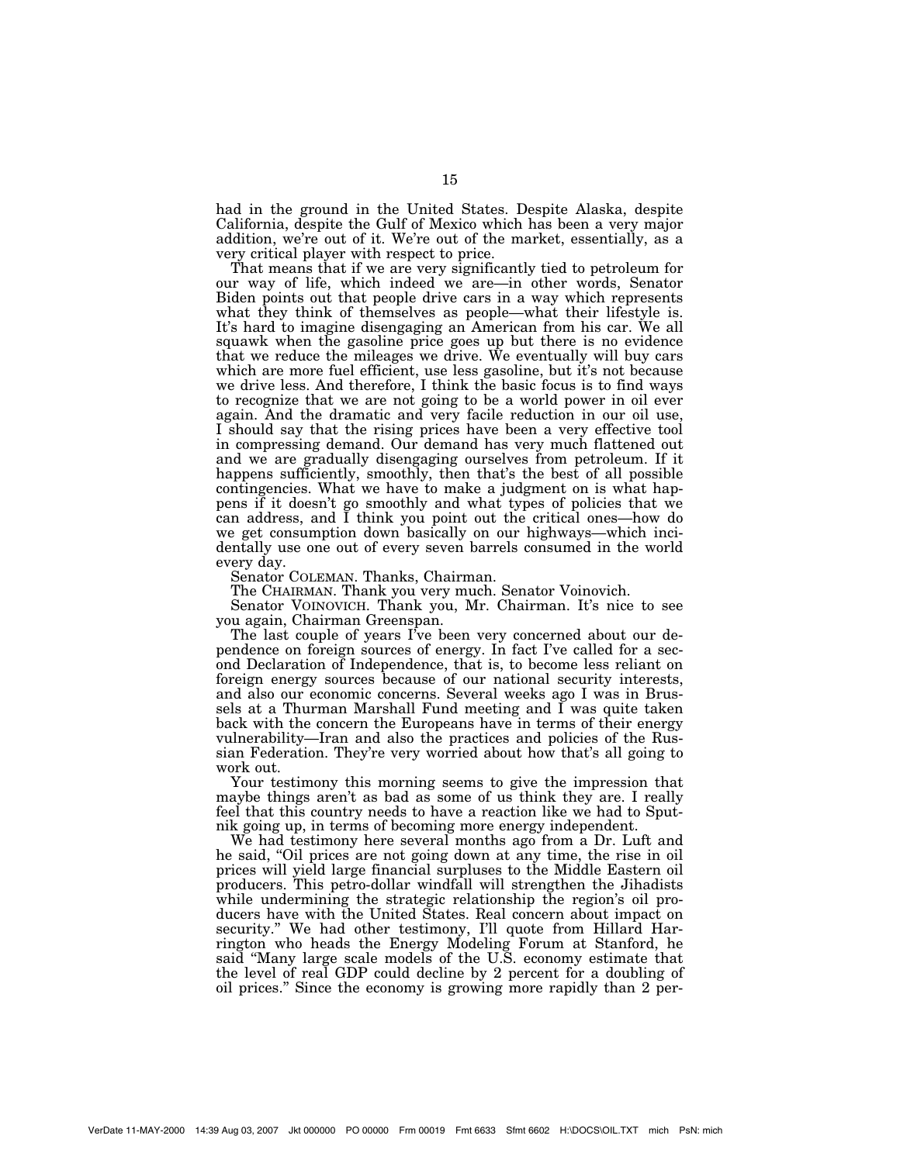had in the ground in the United States. Despite Alaska, despite California, despite the Gulf of Mexico which has been a very major addition, we're out of it. We're out of the market, essentially, as a very critical player with respect to price.

That means that if we are very significantly tied to petroleum for our way of life, which indeed we are—in other words, Senator Biden points out that people drive cars in a way which represents what they think of themselves as people—what their lifestyle is. It's hard to imagine disengaging an American from his car. We all squawk when the gasoline price goes up but there is no evidence that we reduce the mileages we drive. We eventually will buy cars which are more fuel efficient, use less gasoline, but it's not because we drive less. And therefore, I think the basic focus is to find ways to recognize that we are not going to be a world power in oil ever again. And the dramatic and very facile reduction in our oil use, I should say that the rising prices have been a very effective tool in compressing demand. Our demand has very much flattened out and we are gradually disengaging ourselves from petroleum. If it happens sufficiently, smoothly, then that's the best of all possible contingencies. What we have to make a judgment on is what happens if it doesn't go smoothly and what types of policies that we can address, and I think you point out the critical ones—how do we get consumption down basically on our highways—which incidentally use one out of every seven barrels consumed in the world every day.

Senator COLEMAN. Thanks, Chairman.

The CHAIRMAN. Thank you very much. Senator Voinovich.

Senator VOINOVICH. Thank you, Mr. Chairman. It's nice to see you again, Chairman Greenspan.

The last couple of years I've been very concerned about our dependence on foreign sources of energy. In fact I've called for a second Declaration of Independence, that is, to become less reliant on foreign energy sources because of our national security interests, and also our economic concerns. Several weeks ago I was in Brussels at a Thurman Marshall Fund meeting and I was quite taken back with the concern the Europeans have in terms of their energy vulnerability—Iran and also the practices and policies of the Russian Federation. They're very worried about how that's all going to work out.

Your testimony this morning seems to give the impression that maybe things aren't as bad as some of us think they are. I really feel that this country needs to have a reaction like we had to Sputnik going up, in terms of becoming more energy independent.

We had testimony here several months ago from a Dr. Luft and he said, "Oil prices are not going down at any time, the rise in oil prices will yield large financial surpluses to the Middle Eastern oil producers. This petro-dollar windfall will strengthen the Jihadists while undermining the strategic relationship the region's oil producers have with the United States. Real concern about impact on security.'' We had other testimony, I'll quote from Hillard Harrington who heads the Energy Modeling Forum at Stanford, he said ''Many large scale models of the U.S. economy estimate that the level of real GDP could decline by 2 percent for a doubling of oil prices.'' Since the economy is growing more rapidly than 2 per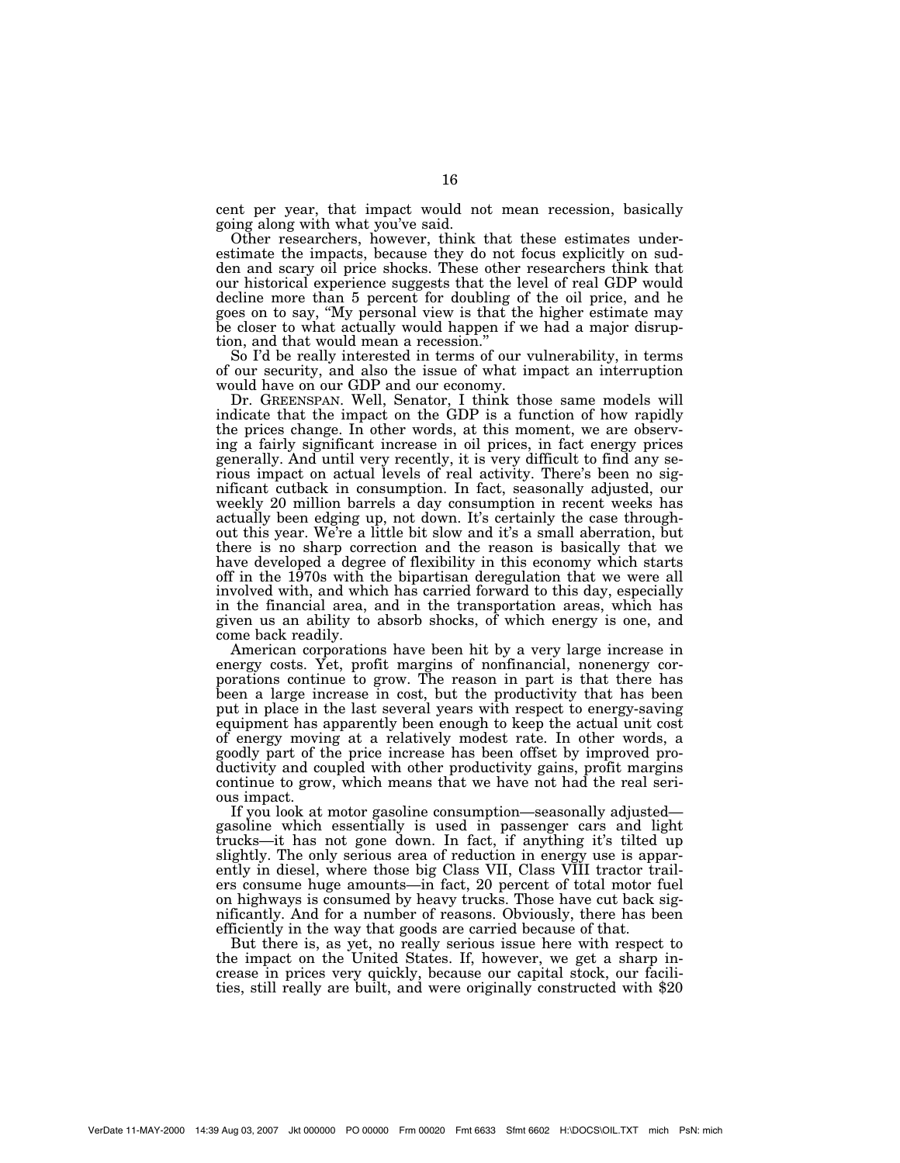cent per year, that impact would not mean recession, basically going along with what you've said.

Other researchers, however, think that these estimates underestimate the impacts, because they do not focus explicitly on sudden and scary oil price shocks. These other researchers think that our historical experience suggests that the level of real GDP would decline more than 5 percent for doubling of the oil price, and he goes on to say, ''My personal view is that the higher estimate may be closer to what actually would happen if we had a major disruption, and that would mean a recession.''

So I'd be really interested in terms of our vulnerability, in terms of our security, and also the issue of what impact an interruption would have on our GDP and our economy.

Dr. GREENSPAN. Well, Senator, I think those same models will indicate that the impact on the GDP is a function of how rapidly the prices change. In other words, at this moment, we are observing a fairly significant increase in oil prices, in fact energy prices generally. And until very recently, it is very difficult to find any serious impact on actual levels of real activity. There's been no significant cutback in consumption. In fact, seasonally adjusted, our weekly 20 million barrels a day consumption in recent weeks has actually been edging up, not down. It's certainly the case throughout this year. We're a little bit slow and it's a small aberration, but there is no sharp correction and the reason is basically that we have developed a degree of flexibility in this economy which starts off in the 1970s with the bipartisan deregulation that we were all involved with, and which has carried forward to this day, especially in the financial area, and in the transportation areas, which has given us an ability to absorb shocks, of which energy is one, and come back readily.

American corporations have been hit by a very large increase in energy costs. Yet, profit margins of nonfinancial, nonenergy corporations continue to grow. The reason in part is that there has been a large increase in cost, but the productivity that has been put in place in the last several years with respect to energy-saving equipment has apparently been enough to keep the actual unit cost of energy moving at a relatively modest rate. In other words, a goodly part of the price increase has been offset by improved productivity and coupled with other productivity gains, profit margins continue to grow, which means that we have not had the real serious impact.

If you look at motor gasoline consumption—seasonally adjusted gasoline which essentially is used in passenger cars and light trucks—it has not gone down. In fact, if anything it's tilted up slightly. The only serious area of reduction in energy use is apparently in diesel, where those big Class VII, Class VIII tractor trailers consume huge amounts—in fact, 20 percent of total motor fuel on highways is consumed by heavy trucks. Those have cut back significantly. And for a number of reasons. Obviously, there has been efficiently in the way that goods are carried because of that.

But there is, as yet, no really serious issue here with respect to the impact on the United States. If, however, we get a sharp increase in prices very quickly, because our capital stock, our facilities, still really are built, and were originally constructed with \$20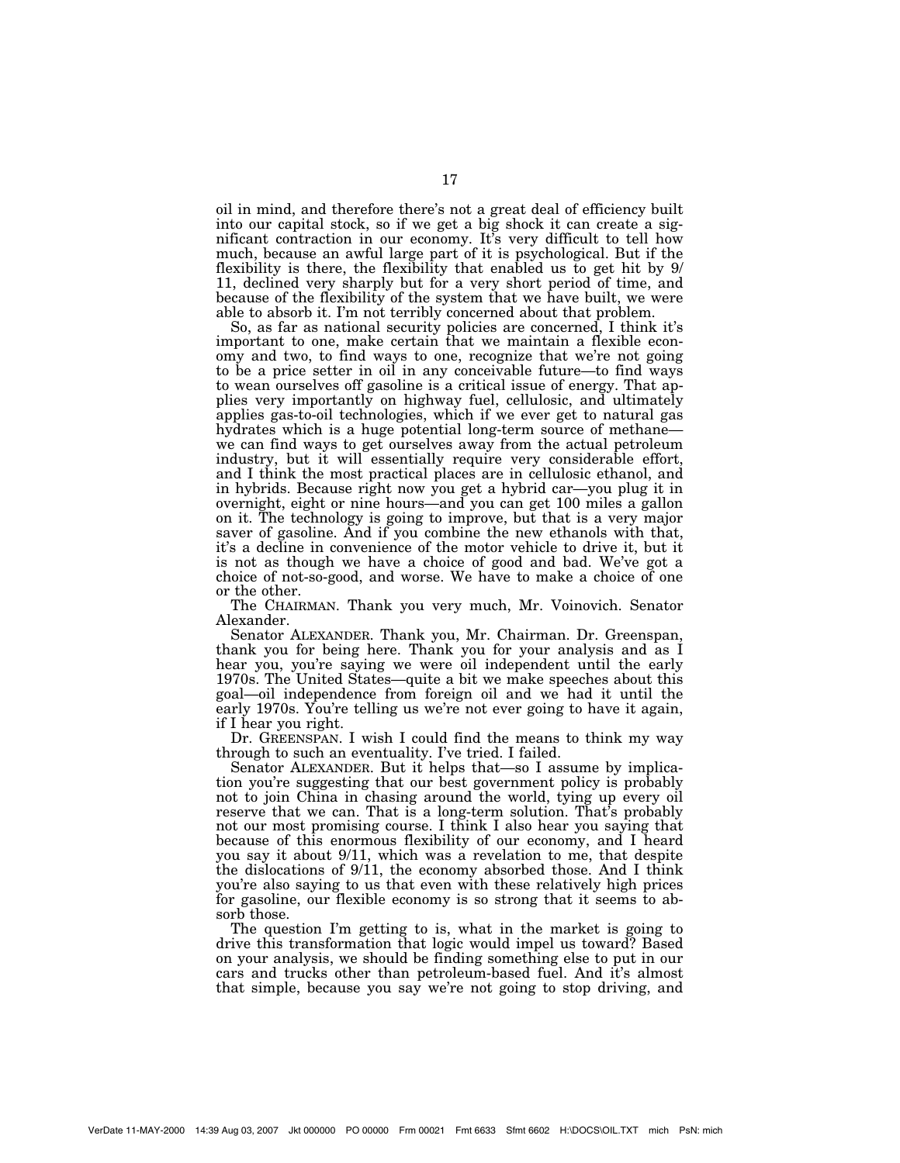oil in mind, and therefore there's not a great deal of efficiency built into our capital stock, so if we get a big shock it can create a significant contraction in our economy. It's very difficult to tell how much, because an awful large part of it is psychological. But if the flexibility is there, the flexibility that enabled us to get hit by 9/ 11, declined very sharply but for a very short period of time, and because of the flexibility of the system that we have built, we were able to absorb it. I'm not terribly concerned about that problem.

So, as far as national security policies are concerned, I think it's important to one, make certain that we maintain a flexible economy and two, to find ways to one, recognize that we're not going to be a price setter in oil in any conceivable future—to find ways to wean ourselves off gasoline is a critical issue of energy. That applies very importantly on highway fuel, cellulosic, and ultimately applies gas-to-oil technologies, which if we ever get to natural gas hydrates which is a huge potential long-term source of methane we can find ways to get ourselves away from the actual petroleum industry, but it will essentially require very considerable effort, and I think the most practical places are in cellulosic ethanol, and in hybrids. Because right now you get a hybrid car—you plug it in overnight, eight or nine hours—and you can get 100 miles a gallon on it. The technology is going to improve, but that is a very major saver of gasoline. And if you combine the new ethanols with that, it's a decline in convenience of the motor vehicle to drive it, but it is not as though we have a choice of good and bad. We've got a choice of not-so-good, and worse. We have to make a choice of one or the other.

The CHAIRMAN. Thank you very much, Mr. Voinovich. Senator Alexander.

Senator ALEXANDER. Thank you, Mr. Chairman. Dr. Greenspan, thank you for being here. Thank you for your analysis and as I hear you, you're saying we were oil independent until the early 1970s. The United States—quite a bit we make speeches about this goal—oil independence from foreign oil and we had it until the early 1970s. You're telling us we're not ever going to have it again, if I hear you right.

Dr. GREENSPAN. I wish I could find the means to think my way through to such an eventuality. I've tried. I failed.

Senator ALEXANDER. But it helps that—so I assume by implication you're suggesting that our best government policy is probably not to join China in chasing around the world, tying up every oil reserve that we can. That is a long-term solution. That's probably not our most promising course. I think I also hear you saying that because of this enormous flexibility of our economy, and I heard you say it about 9/11, which was a revelation to me, that despite the dislocations of 9/11, the economy absorbed those. And I think you're also saying to us that even with these relatively high prices for gasoline, our flexible economy is so strong that it seems to absorb those.

The question I'm getting to is, what in the market is going to drive this transformation that logic would impel us toward? Based on your analysis, we should be finding something else to put in our cars and trucks other than petroleum-based fuel. And it's almost that simple, because you say we're not going to stop driving, and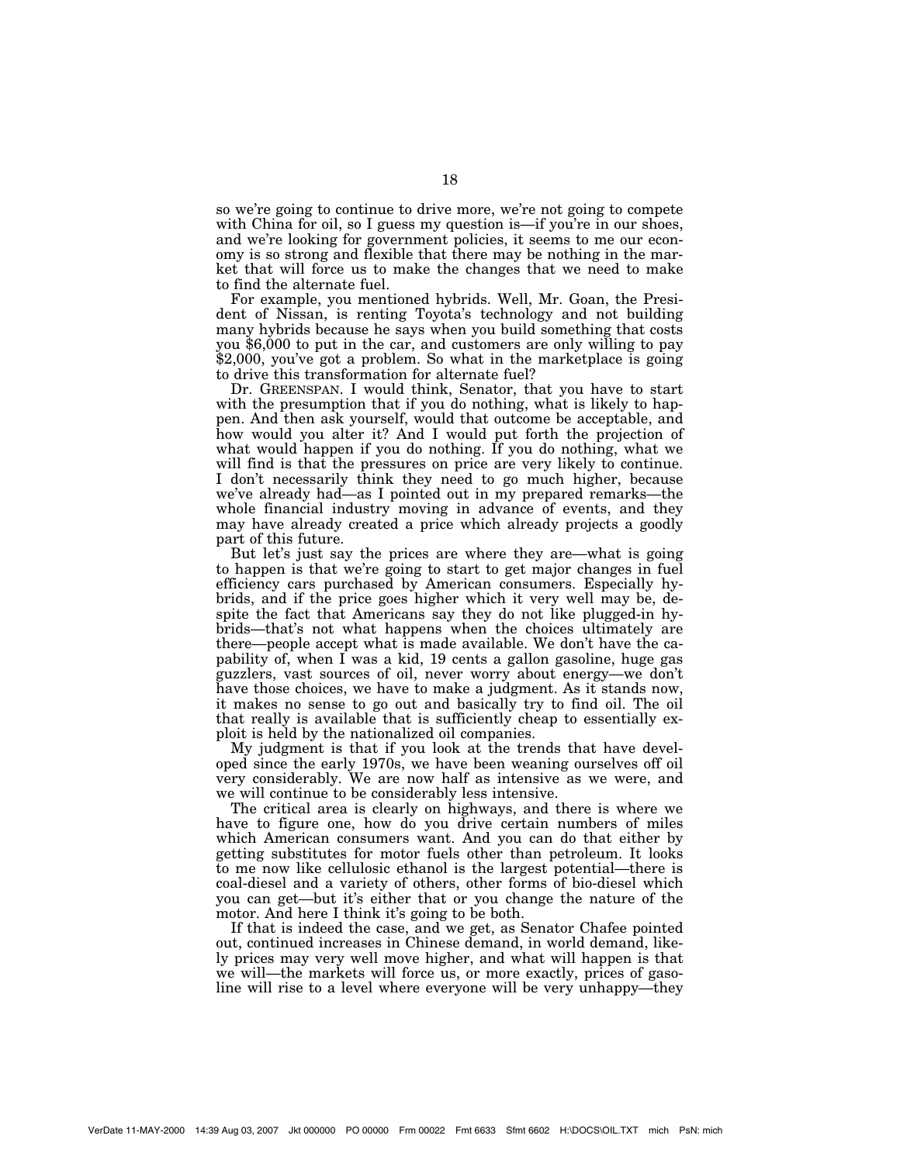so we're going to continue to drive more, we're not going to compete with China for oil, so I guess my question is—if you're in our shoes, and we're looking for government policies, it seems to me our economy is so strong and flexible that there may be nothing in the market that will force us to make the changes that we need to make to find the alternate fuel.

For example, you mentioned hybrids. Well, Mr. Goan, the President of Nissan, is renting Toyota's technology and not building many hybrids because he says when you build something that costs you \$6,000 to put in the car, and customers are only willing to pay \$2,000, you've got a problem. So what in the marketplace is going to drive this transformation for alternate fuel?

Dr. GREENSPAN. I would think, Senator, that you have to start with the presumption that if you do nothing, what is likely to happen. And then ask yourself, would that outcome be acceptable, and how would you alter it? And I would put forth the projection of what would happen if you do nothing. If you do nothing, what we will find is that the pressures on price are very likely to continue. I don't necessarily think they need to go much higher, because we've already had—as I pointed out in my prepared remarks—the whole financial industry moving in advance of events, and they may have already created a price which already projects a goodly part of this future.

But let's just say the prices are where they are—what is going to happen is that we're going to start to get major changes in fuel efficiency cars purchased by American consumers. Especially hybrids, and if the price goes higher which it very well may be, despite the fact that Americans say they do not like plugged-in hybrids—that's not what happens when the choices ultimately are there—people accept what is made available. We don't have the capability of, when I was a kid, 19 cents a gallon gasoline, huge gas guzzlers, vast sources of oil, never worry about energy—we don't have those choices, we have to make a judgment. As it stands now, it makes no sense to go out and basically try to find oil. The oil that really is available that is sufficiently cheap to essentially exploit is held by the nationalized oil companies.

My judgment is that if you look at the trends that have developed since the early 1970s, we have been weaning ourselves off oil very considerably. We are now half as intensive as we were, and we will continue to be considerably less intensive.

The critical area is clearly on highways, and there is where we have to figure one, how do you drive certain numbers of miles which American consumers want. And you can do that either by getting substitutes for motor fuels other than petroleum. It looks to me now like cellulosic ethanol is the largest potential—there is coal-diesel and a variety of others, other forms of bio-diesel which you can get—but it's either that or you change the nature of the motor. And here I think it's going to be both.

If that is indeed the case, and we get, as Senator Chafee pointed out, continued increases in Chinese demand, in world demand, likely prices may very well move higher, and what will happen is that we will—the markets will force us, or more exactly, prices of gasoline will rise to a level where everyone will be very unhappy—they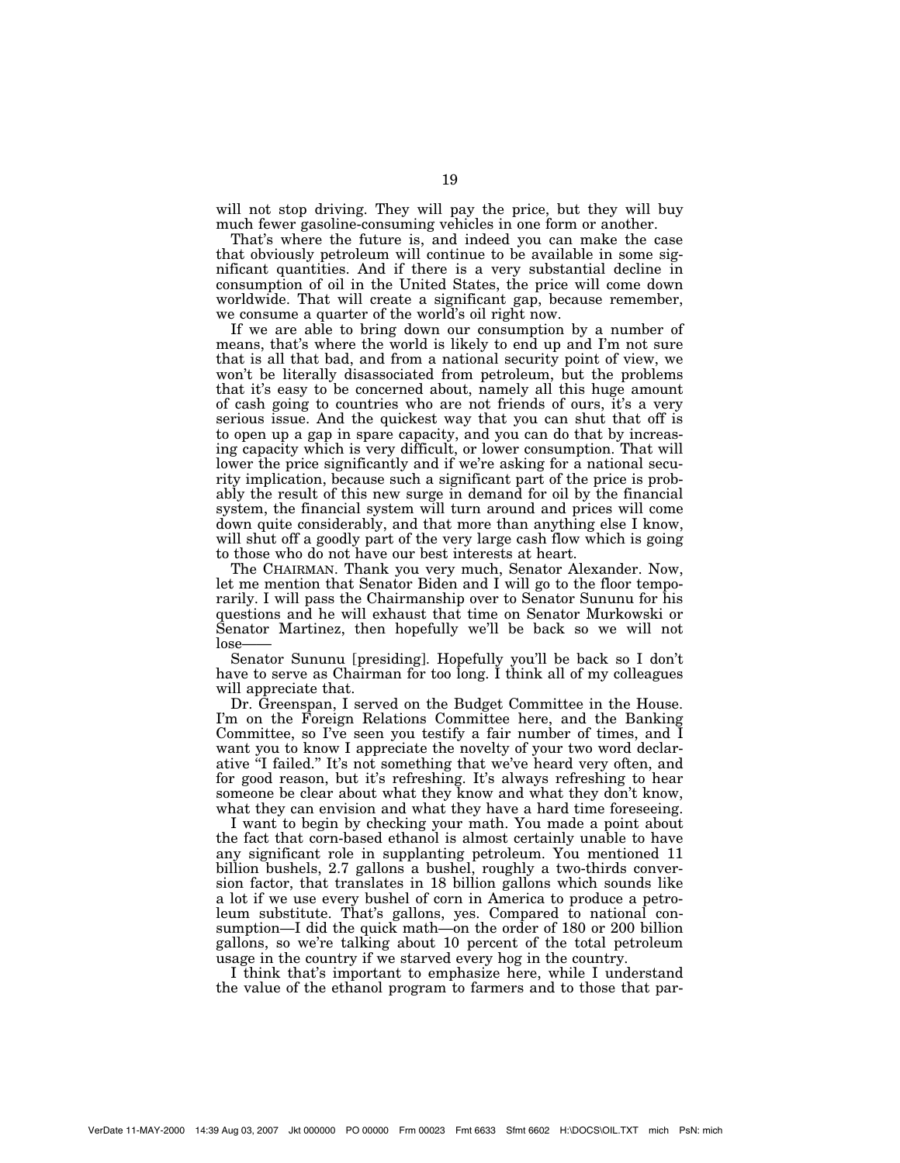will not stop driving. They will pay the price, but they will buy much fewer gasoline-consuming vehicles in one form or another.

That's where the future is, and indeed you can make the case that obviously petroleum will continue to be available in some significant quantities. And if there is a very substantial decline in consumption of oil in the United States, the price will come down worldwide. That will create a significant gap, because remember, we consume a quarter of the world's oil right now.

If we are able to bring down our consumption by a number of means, that's where the world is likely to end up and I'm not sure that is all that bad, and from a national security point of view, we won't be literally disassociated from petroleum, but the problems that it's easy to be concerned about, namely all this huge amount of cash going to countries who are not friends of ours, it's a very serious issue. And the quickest way that you can shut that off is to open up a gap in spare capacity, and you can do that by increasing capacity which is very difficult, or lower consumption. That will lower the price significantly and if we're asking for a national security implication, because such a significant part of the price is probably the result of this new surge in demand for oil by the financial system, the financial system will turn around and prices will come down quite considerably, and that more than anything else I know, will shut off a goodly part of the very large cash flow which is going to those who do not have our best interests at heart.

The CHAIRMAN. Thank you very much, Senator Alexander. Now, let me mention that Senator Biden and I will go to the floor temporarily. I will pass the Chairmanship over to Senator Sununu for his questions and he will exhaust that time on Senator Murkowski or Senator Martinez, then hopefully we'll be back so we will not lose-

Senator Sununu [presiding]. Hopefully you'll be back so I don't have to serve as Chairman for too long. I think all of my colleagues will appreciate that.

Dr. Greenspan, I served on the Budget Committee in the House. I'm on the Foreign Relations Committee here, and the Banking Committee, so I've seen you testify a fair number of times, and I want you to know I appreciate the novelty of your two word declarative ''I failed.'' It's not something that we've heard very often, and for good reason, but it's refreshing. It's always refreshing to hear someone be clear about what they know and what they don't know, what they can envision and what they have a hard time foreseeing.

I want to begin by checking your math. You made a point about the fact that corn-based ethanol is almost certainly unable to have any significant role in supplanting petroleum. You mentioned 11 billion bushels, 2.7 gallons a bushel, roughly a two-thirds conversion factor, that translates in 18 billion gallons which sounds like a lot if we use every bushel of corn in America to produce a petroleum substitute. That's gallons, yes. Compared to national consumption—I did the quick math—on the order of 180 or 200 billion gallons, so we're talking about 10 percent of the total petroleum usage in the country if we starved every hog in the country.

I think that's important to emphasize here, while I understand the value of the ethanol program to farmers and to those that par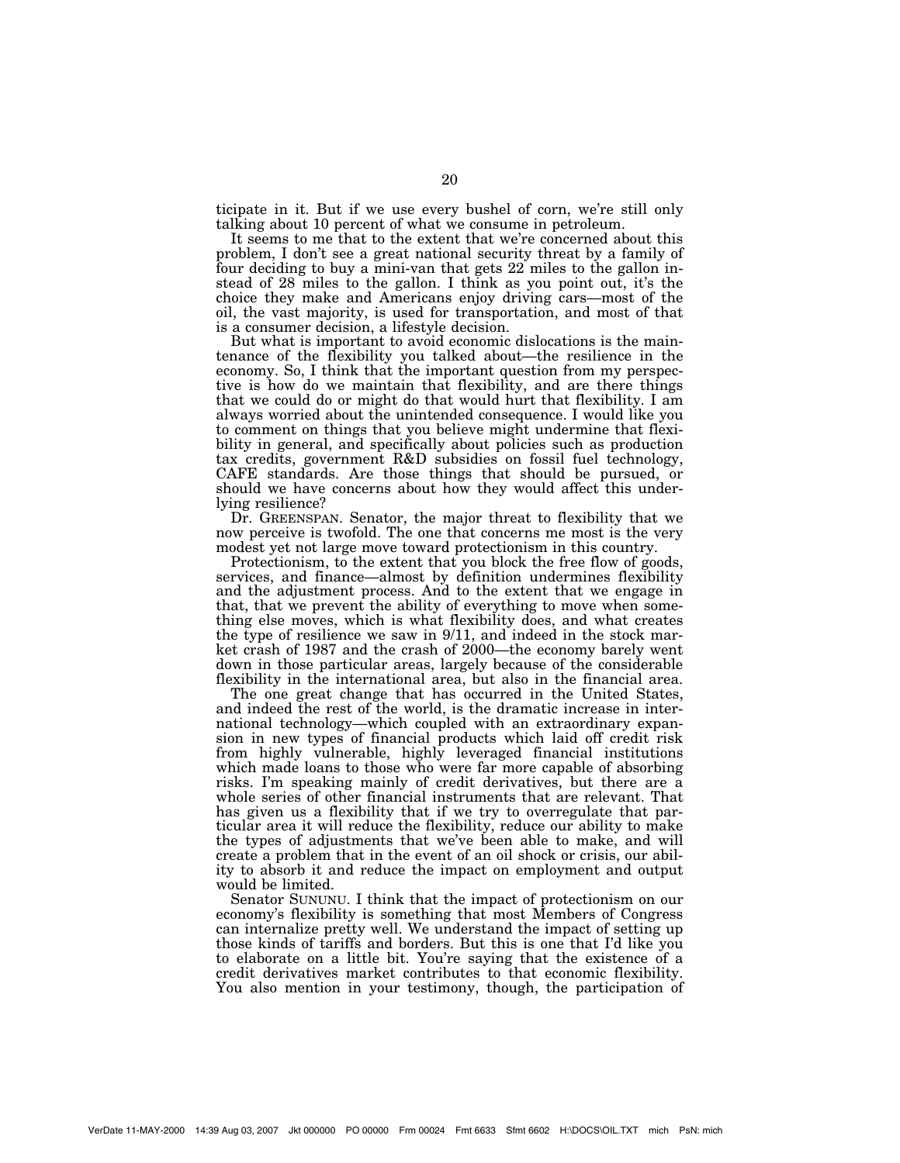ticipate in it. But if we use every bushel of corn, we're still only talking about 10 percent of what we consume in petroleum.

It seems to me that to the extent that we're concerned about this problem, I don't see a great national security threat by a family of four deciding to buy a mini-van that gets 22 miles to the gallon instead of 28 miles to the gallon. I think as you point out, it's the choice they make and Americans enjoy driving cars—most of the oil, the vast majority, is used for transportation, and most of that is a consumer decision, a lifestyle decision.

But what is important to avoid economic dislocations is the maintenance of the flexibility you talked about—the resilience in the economy. So, I think that the important question from my perspective is how do we maintain that flexibility, and are there things that we could do or might do that would hurt that flexibility. I am always worried about the unintended consequence. I would like you to comment on things that you believe might undermine that flexibility in general, and specifically about policies such as production tax credits, government R&D subsidies on fossil fuel technology, CAFE standards. Are those things that should be pursued, or should we have concerns about how they would affect this underlying resilience?

Dr. GREENSPAN. Senator, the major threat to flexibility that we now perceive is twofold. The one that concerns me most is the very modest yet not large move toward protectionism in this country.

Protectionism, to the extent that you block the free flow of goods, services, and finance—almost by definition undermines flexibility and the adjustment process. And to the extent that we engage in that, that we prevent the ability of everything to move when something else moves, which is what flexibility does, and what creates the type of resilience we saw in 9/11, and indeed in the stock market crash of 1987 and the crash of 2000—the economy barely went down in those particular areas, largely because of the considerable flexibility in the international area, but also in the financial area.

The one great change that has occurred in the United States, and indeed the rest of the world, is the dramatic increase in international technology—which coupled with an extraordinary expansion in new types of financial products which laid off credit risk from highly vulnerable, highly leveraged financial institutions which made loans to those who were far more capable of absorbing risks. I'm speaking mainly of credit derivatives, but there are a whole series of other financial instruments that are relevant. That has given us a flexibility that if we try to overregulate that particular area it will reduce the flexibility, reduce our ability to make the types of adjustments that we've been able to make, and will create a problem that in the event of an oil shock or crisis, our ability to absorb it and reduce the impact on employment and output would be limited.

Senator SUNUNU. I think that the impact of protectionism on our economy's flexibility is something that most Members of Congress can internalize pretty well. We understand the impact of setting up those kinds of tariffs and borders. But this is one that I'd like you to elaborate on a little bit. You're saying that the existence of a credit derivatives market contributes to that economic flexibility. You also mention in your testimony, though, the participation of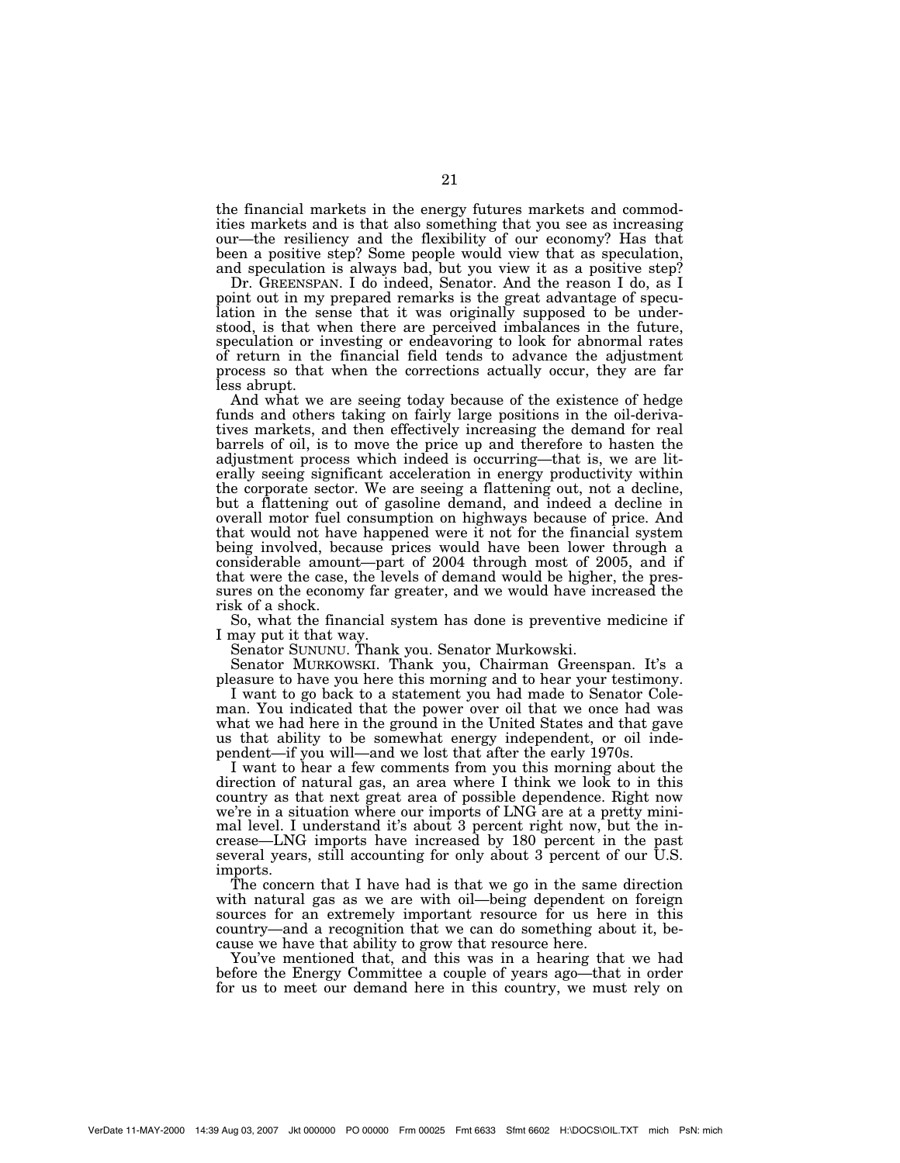the financial markets in the energy futures markets and commodities markets and is that also something that you see as increasing our—the resiliency and the flexibility of our economy? Has that been a positive step? Some people would view that as speculation, and speculation is always bad, but you view it as a positive step?

Dr. GREENSPAN. I do indeed, Senator. And the reason I do, as I point out in my prepared remarks is the great advantage of speculation in the sense that it was originally supposed to be understood, is that when there are perceived imbalances in the future, speculation or investing or endeavoring to look for abnormal rates of return in the financial field tends to advance the adjustment process so that when the corrections actually occur, they are far less abrupt.

And what we are seeing today because of the existence of hedge funds and others taking on fairly large positions in the oil-derivatives markets, and then effectively increasing the demand for real barrels of oil, is to move the price up and therefore to hasten the adjustment process which indeed is occurring—that is, we are literally seeing significant acceleration in energy productivity within the corporate sector. We are seeing a flattening out, not a decline, but a flattening out of gasoline demand, and indeed a decline in overall motor fuel consumption on highways because of price. And that would not have happened were it not for the financial system being involved, because prices would have been lower through a considerable amount—part of 2004 through most of 2005, and if that were the case, the levels of demand would be higher, the pressures on the economy far greater, and we would have increased the risk of a shock.

So, what the financial system has done is preventive medicine if I may put it that way.

Senator SUNUNU. Thank you. Senator Murkowski.

Senator MURKOWSKI. Thank you, Chairman Greenspan. It's a pleasure to have you here this morning and to hear your testimony.

I want to go back to a statement you had made to Senator Coleman. You indicated that the power over oil that we once had was what we had here in the ground in the United States and that gave us that ability to be somewhat energy independent, or oil independent—if you will—and we lost that after the early 1970s.

I want to hear a few comments from you this morning about the direction of natural gas, an area where I think we look to in this country as that next great area of possible dependence. Right now we're in a situation where our imports of LNG are at a pretty minimal level. I understand it's about 3 percent right now, but the increase—LNG imports have increased by 180 percent in the past several years, still accounting for only about 3 percent of our U.S. imports.

The concern that I have had is that we go in the same direction with natural gas as we are with oil—being dependent on foreign sources for an extremely important resource for us here in this country—and a recognition that we can do something about it, because we have that ability to grow that resource here.

You've mentioned that, and this was in a hearing that we had before the Energy Committee a couple of years ago—that in order for us to meet our demand here in this country, we must rely on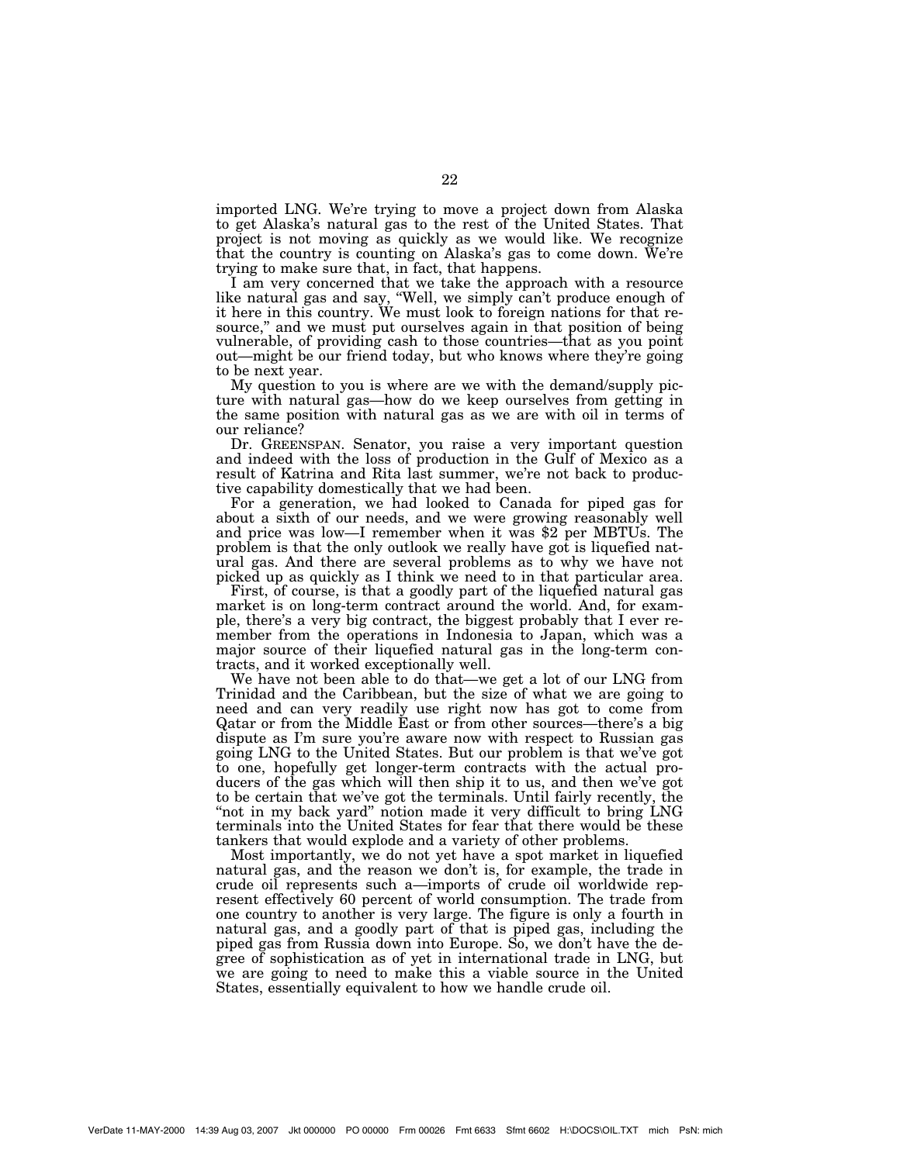imported LNG. We're trying to move a project down from Alaska to get Alaska's natural gas to the rest of the United States. That project is not moving as quickly as we would like. We recognize that the country is counting on Alaska's gas to come down. We're trying to make sure that, in fact, that happens.

I am very concerned that we take the approach with a resource like natural gas and say, ''Well, we simply can't produce enough of it here in this country. We must look to foreign nations for that resource,'' and we must put ourselves again in that position of being vulnerable, of providing cash to those countries—that as you point out—might be our friend today, but who knows where they're going to be next year.

My question to you is where are we with the demand/supply picture with natural gas—how do we keep ourselves from getting in the same position with natural gas as we are with oil in terms of our reliance?

Dr. GREENSPAN. Senator, you raise a very important question and indeed with the loss of production in the Gulf of Mexico as a result of Katrina and Rita last summer, we're not back to productive capability domestically that we had been.

For a generation, we had looked to Canada for piped gas for about a sixth of our needs, and we were growing reasonably well and price was low—I remember when it was \$2 per MBTUs. The problem is that the only outlook we really have got is liquefied natural gas. And there are several problems as to why we have not picked up as quickly as I think we need to in that particular area.

First, of course, is that a goodly part of the liquefied natural gas market is on long-term contract around the world. And, for example, there's a very big contract, the biggest probably that I ever remember from the operations in Indonesia to Japan, which was a major source of their liquefied natural gas in the long-term contracts, and it worked exceptionally well.

We have not been able to do that—we get a lot of our LNG from Trinidad and the Caribbean, but the size of what we are going to need and can very readily use right now has got to come from Qatar or from the Middle East or from other sources—there's a big dispute as I'm sure you're aware now with respect to Russian gas going LNG to the United States. But our problem is that we've got to one, hopefully get longer-term contracts with the actual producers of the gas which will then ship it to us, and then we've got to be certain that we've got the terminals. Until fairly recently, the "not in my back yard" notion made it very difficult to bring LNG terminals into the United States for fear that there would be these tankers that would explode and a variety of other problems.

Most importantly, we do not yet have a spot market in liquefied natural gas, and the reason we don't is, for example, the trade in crude oil represents such a—imports of crude oil worldwide represent effectively 60 percent of world consumption. The trade from one country to another is very large. The figure is only a fourth in natural gas, and a goodly part of that is piped gas, including the piped gas from Russia down into Europe. So, we don't have the degree of sophistication as of yet in international trade in LNG, but we are going to need to make this a viable source in the United States, essentially equivalent to how we handle crude oil.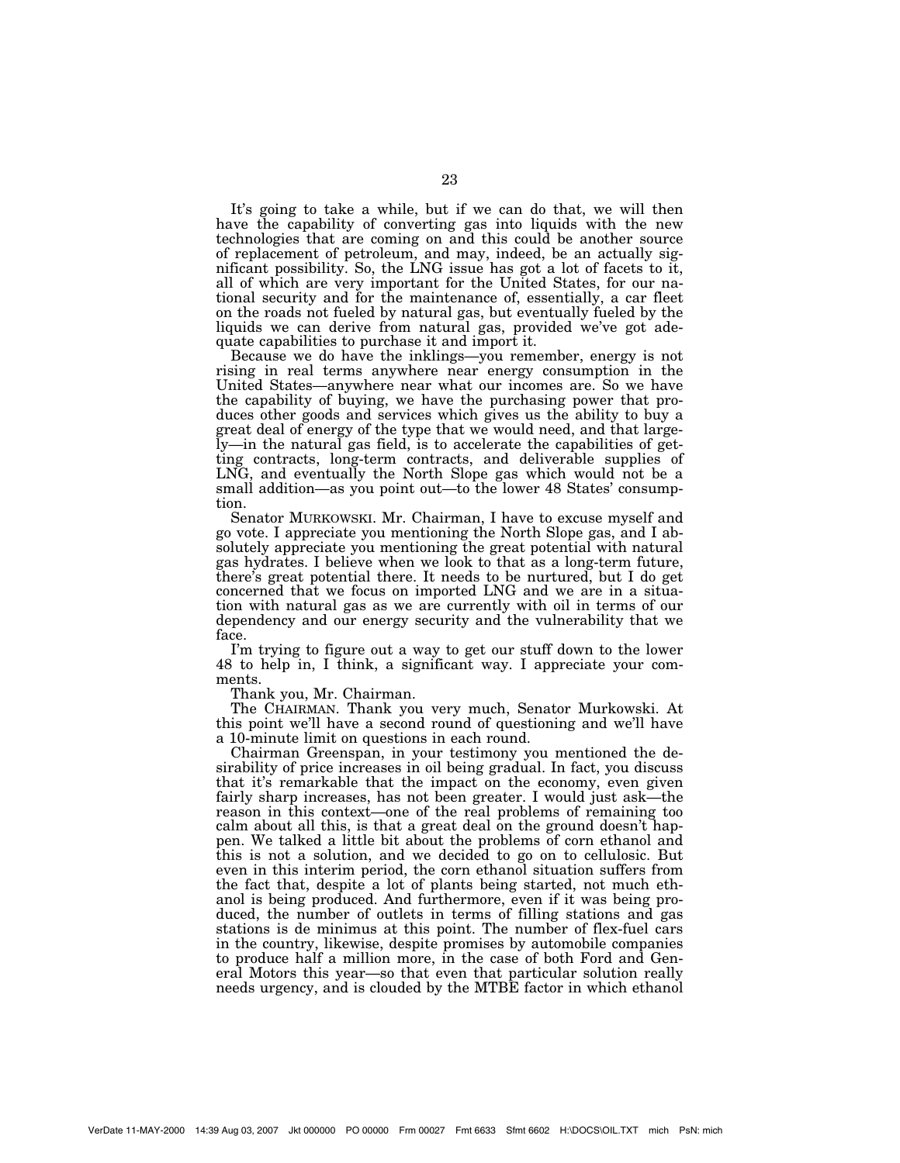It's going to take a while, but if we can do that, we will then have the capability of converting gas into liquids with the new technologies that are coming on and this could be another source of replacement of petroleum, and may, indeed, be an actually significant possibility. So, the LNG issue has got a lot of facets to it, all of which are very important for the United States, for our national security and for the maintenance of, essentially, a car fleet on the roads not fueled by natural gas, but eventually fueled by the liquids we can derive from natural gas, provided we've got adequate capabilities to purchase it and import it.

Because we do have the inklings—you remember, energy is not rising in real terms anywhere near energy consumption in the United States—anywhere near what our incomes are. So we have the capability of buying, we have the purchasing power that produces other goods and services which gives us the ability to buy a great deal of energy of the type that we would need, and that largely—in the natural gas field, is to accelerate the capabilities of getting contracts, long-term contracts, and deliverable supplies of LNG, and eventually the North Slope gas which would not be a small addition—as you point out—to the lower 48 States' consumption.

Senator MURKOWSKI. Mr. Chairman, I have to excuse myself and go vote. I appreciate you mentioning the North Slope gas, and I absolutely appreciate you mentioning the great potential with natural gas hydrates. I believe when we look to that as a long-term future, there's great potential there. It needs to be nurtured, but I do get concerned that we focus on imported LNG and we are in a situation with natural gas as we are currently with oil in terms of our dependency and our energy security and the vulnerability that we face.

I'm trying to figure out a way to get our stuff down to the lower 48 to help in, I think, a significant way. I appreciate your comments.

Thank you, Mr. Chairman.

The CHAIRMAN. Thank you very much, Senator Murkowski. At this point we'll have a second round of questioning and we'll have a 10-minute limit on questions in each round.

Chairman Greenspan, in your testimony you mentioned the desirability of price increases in oil being gradual. In fact, you discuss that it's remarkable that the impact on the economy, even given fairly sharp increases, has not been greater. I would just ask—the reason in this context—one of the real problems of remaining too calm about all this, is that a great deal on the ground doesn't happen. We talked a little bit about the problems of corn ethanol and this is not a solution, and we decided to go on to cellulosic. But even in this interim period, the corn ethanol situation suffers from the fact that, despite a lot of plants being started, not much ethanol is being produced. And furthermore, even if it was being produced, the number of outlets in terms of filling stations and gas stations is de minimus at this point. The number of flex-fuel cars in the country, likewise, despite promises by automobile companies to produce half a million more, in the case of both Ford and General Motors this year—so that even that particular solution really needs urgency, and is clouded by the MTBE factor in which ethanol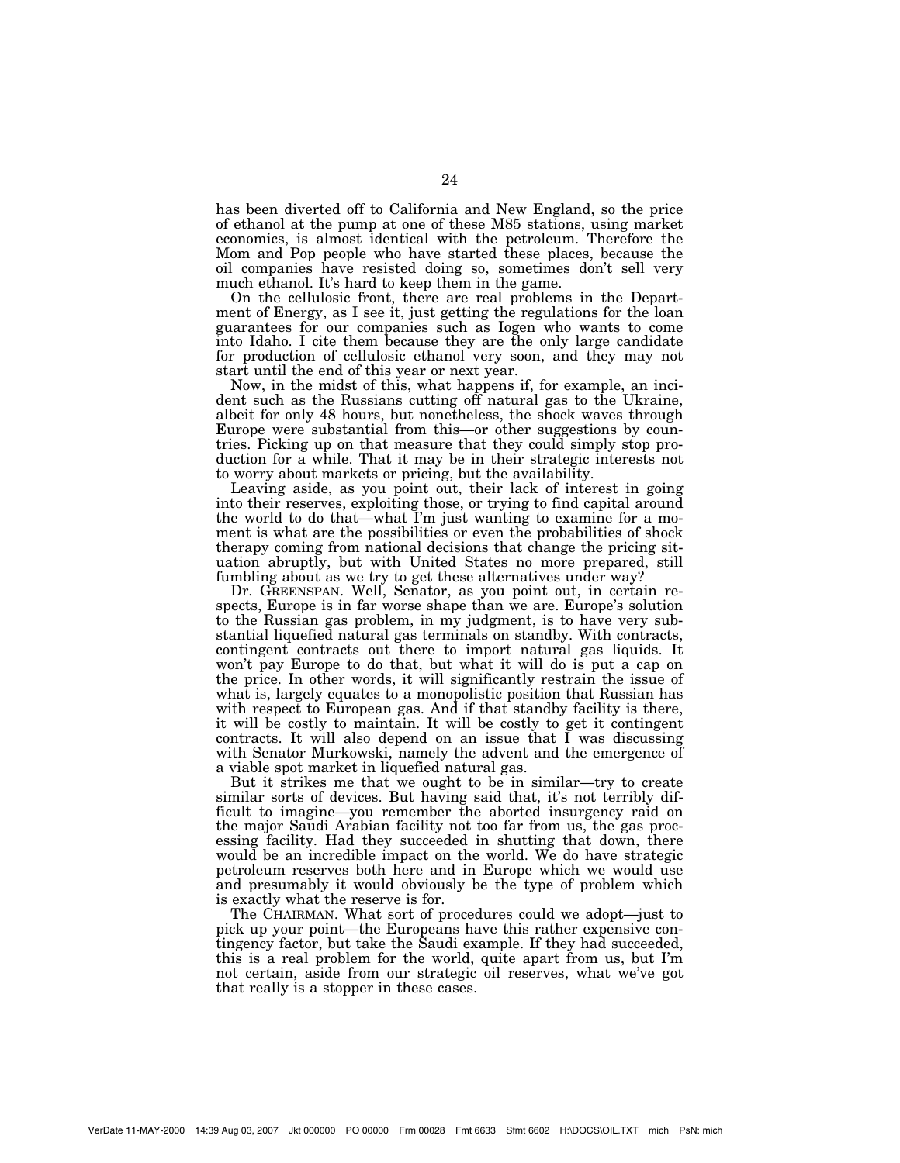has been diverted off to California and New England, so the price of ethanol at the pump at one of these M85 stations, using market economics, is almost identical with the petroleum. Therefore the Mom and Pop people who have started these places, because the oil companies have resisted doing so, sometimes don't sell very much ethanol. It's hard to keep them in the game.

On the cellulosic front, there are real problems in the Department of Energy, as I see it, just getting the regulations for the loan guarantees for our companies such as Iogen who wants to come into Idaho. I cite them because they are the only large candidate for production of cellulosic ethanol very soon, and they may not start until the end of this year or next year.

Now, in the midst of this, what happens if, for example, an incident such as the Russians cutting off natural gas to the Ukraine, albeit for only 48 hours, but nonetheless, the shock waves through Europe were substantial from this—or other suggestions by countries. Picking up on that measure that they could simply stop production for a while. That it may be in their strategic interests not to worry about markets or pricing, but the availability.

Leaving aside, as you point out, their lack of interest in going into their reserves, exploiting those, or trying to find capital around the world to do that—what I'm just wanting to examine for a moment is what are the possibilities or even the probabilities of shock therapy coming from national decisions that change the pricing situation abruptly, but with United States no more prepared, still fumbling about as we try to get these alternatives under way?

Dr. GREENSPAN. Well, Senator, as you point out, in certain respects, Europe is in far worse shape than we are. Europe's solution to the Russian gas problem, in my judgment, is to have very substantial liquefied natural gas terminals on standby. With contracts, contingent contracts out there to import natural gas liquids. It won't pay Europe to do that, but what it will do is put a cap on the price. In other words, it will significantly restrain the issue of what is, largely equates to a monopolistic position that Russian has with respect to European gas. And if that standby facility is there, it will be costly to maintain. It will be costly to get it contingent contracts. It will also depend on an issue that I was discussing with Senator Murkowski, namely the advent and the emergence of a viable spot market in liquefied natural gas.

But it strikes me that we ought to be in similar—try to create similar sorts of devices. But having said that, it's not terribly difficult to imagine—you remember the aborted insurgency raid on the major Saudi Arabian facility not too far from us, the gas processing facility. Had they succeeded in shutting that down, there would be an incredible impact on the world. We do have strategic petroleum reserves both here and in Europe which we would use and presumably it would obviously be the type of problem which is exactly what the reserve is for.

The CHAIRMAN. What sort of procedures could we adopt—just to pick up your point—the Europeans have this rather expensive contingency factor, but take the Saudi example. If they had succeeded, this is a real problem for the world, quite apart from us, but I'm not certain, aside from our strategic oil reserves, what we've got that really is a stopper in these cases.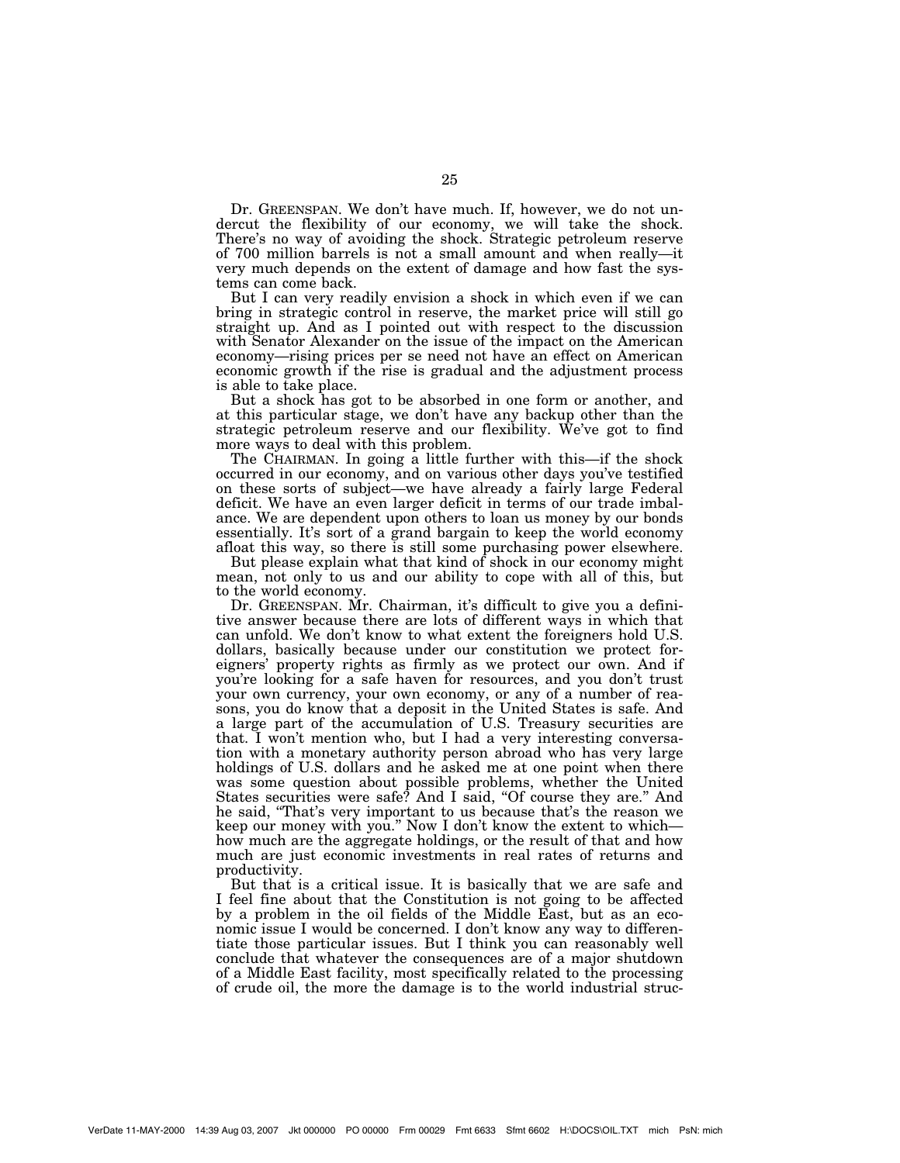Dr. GREENSPAN. We don't have much. If, however, we do not undercut the flexibility of our economy, we will take the shock. There's no way of avoiding the shock. Strategic petroleum reserve of 700 million barrels is not a small amount and when really—it very much depends on the extent of damage and how fast the systems can come back.

But I can very readily envision a shock in which even if we can bring in strategic control in reserve, the market price will still go straight up. And as I pointed out with respect to the discussion with Senator Alexander on the issue of the impact on the American economy—rising prices per se need not have an effect on American economic growth if the rise is gradual and the adjustment process is able to take place.

But a shock has got to be absorbed in one form or another, and at this particular stage, we don't have any backup other than the strategic petroleum reserve and our flexibility. We've got to find more ways to deal with this problem.

The CHAIRMAN. In going a little further with this—if the shock occurred in our economy, and on various other days you've testified on these sorts of subject—we have already a fairly large Federal deficit. We have an even larger deficit in terms of our trade imbalance. We are dependent upon others to loan us money by our bonds essentially. It's sort of a grand bargain to keep the world economy afloat this way, so there is still some purchasing power elsewhere.

But please explain what that kind of shock in our economy might mean, not only to us and our ability to cope with all of this, but to the world economy.

Dr. GREENSPAN. Mr. Chairman, it's difficult to give you a definitive answer because there are lots of different ways in which that can unfold. We don't know to what extent the foreigners hold U.S. dollars, basically because under our constitution we protect foreigners' property rights as firmly as we protect our own. And if you're looking for a safe haven for resources, and you don't trust your own currency, your own economy, or any of a number of reasons, you do know that a deposit in the United States is safe. And a large part of the accumulation of U.S. Treasury securities are that. I won't mention who, but I had a very interesting conversation with a monetary authority person abroad who has very large holdings of U.S. dollars and he asked me at one point when there was some question about possible problems, whether the United States securities were safe? And I said, "Of course they are." And he said, ''That's very important to us because that's the reason we keep our money with you.'' Now I don't know the extent to which how much are the aggregate holdings, or the result of that and how much are just economic investments in real rates of returns and productivity.

But that is a critical issue. It is basically that we are safe and I feel fine about that the Constitution is not going to be affected by a problem in the oil fields of the Middle East, but as an economic issue I would be concerned. I don't know any way to differentiate those particular issues. But I think you can reasonably well conclude that whatever the consequences are of a major shutdown of a Middle East facility, most specifically related to the processing of crude oil, the more the damage is to the world industrial struc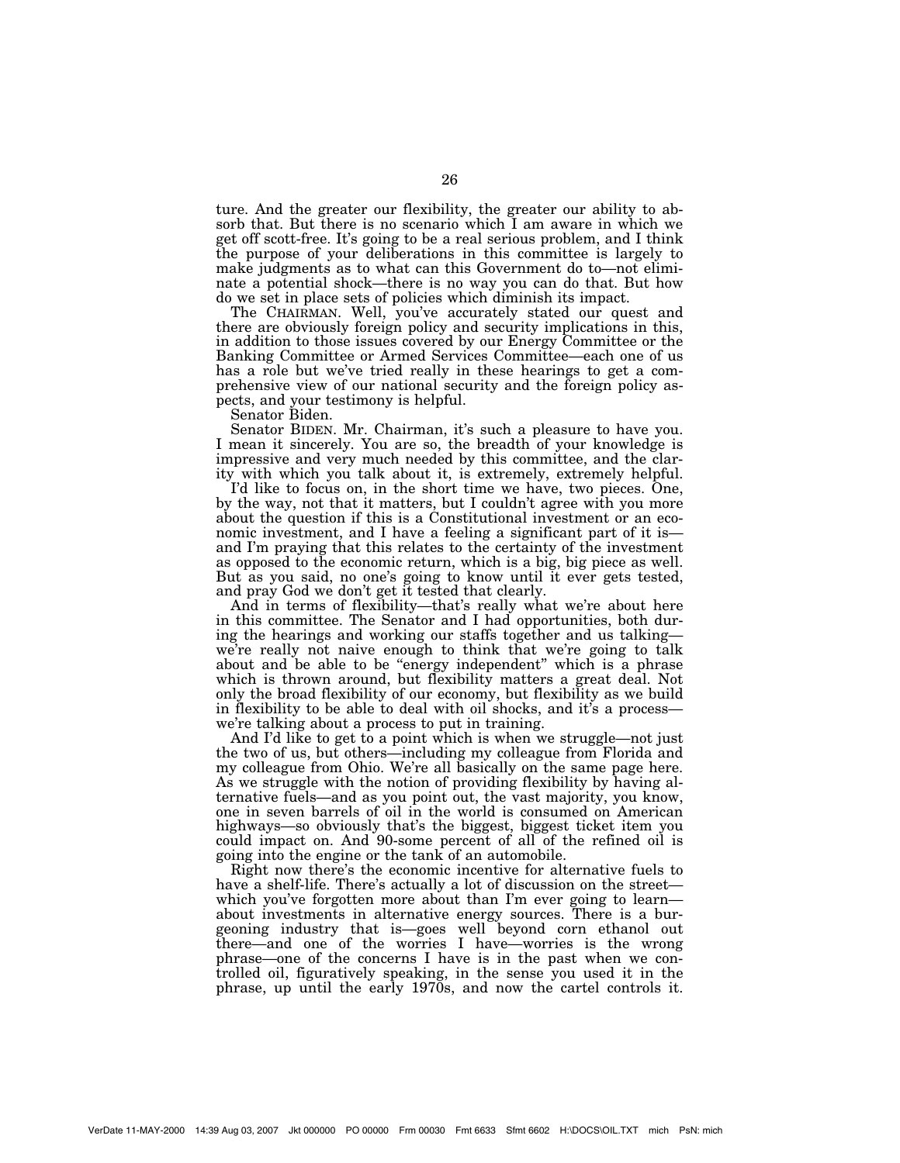ture. And the greater our flexibility, the greater our ability to absorb that. But there is no scenario which I am aware in which we get off scott-free. It's going to be a real serious problem, and I think the purpose of your deliberations in this committee is largely to make judgments as to what can this Government do to—not eliminate a potential shock—there is no way you can do that. But how do we set in place sets of policies which diminish its impact.

The CHAIRMAN. Well, you've accurately stated our quest and there are obviously foreign policy and security implications in this, in addition to those issues covered by our Energy Committee or the Banking Committee or Armed Services Committee—each one of us has a role but we've tried really in these hearings to get a comprehensive view of our national security and the foreign policy aspects, and your testimony is helpful.

Senator Biden.

Senator BIDEN. Mr. Chairman, it's such a pleasure to have you. I mean it sincerely. You are so, the breadth of your knowledge is impressive and very much needed by this committee, and the clarity with which you talk about it, is extremely, extremely helpful.

I'd like to focus on, in the short time we have, two pieces. One, by the way, not that it matters, but I couldn't agree with you more about the question if this is a Constitutional investment or an economic investment, and I have a feeling a significant part of it is and I'm praying that this relates to the certainty of the investment as opposed to the economic return, which is a big, big piece as well. But as you said, no one's going to know until it ever gets tested, and pray God we don't get it tested that clearly.

And in terms of flexibility—that's really what we're about here in this committee. The Senator and I had opportunities, both during the hearings and working our staffs together and us talking we're really not naive enough to think that we're going to talk about and be able to be ''energy independent'' which is a phrase which is thrown around, but flexibility matters a great deal. Not only the broad flexibility of our economy, but flexibility as we build in flexibility to be able to deal with oil shocks, and it's a process we're talking about a process to put in training.

And I'd like to get to a point which is when we struggle—not just the two of us, but others—including my colleague from Florida and my colleague from Ohio. We're all basically on the same page here. As we struggle with the notion of providing flexibility by having alternative fuels—and as you point out, the vast majority, you know, one in seven barrels of oil in the world is consumed on American highways—so obviously that's the biggest, biggest ticket item you could impact on. And 90-some percent of all of the refined oil is going into the engine or the tank of an automobile.

Right now there's the economic incentive for alternative fuels to have a shelf-life. There's actually a lot of discussion on the street which you've forgotten more about than I'm ever going to learn about investments in alternative energy sources. There is a burgeoning industry that is—goes well beyond corn ethanol out there—and one of the worries I have—worries is the wrong phrase—one of the concerns I have is in the past when we controlled oil, figuratively speaking, in the sense you used it in the phrase, up until the early 1970s, and now the cartel controls it.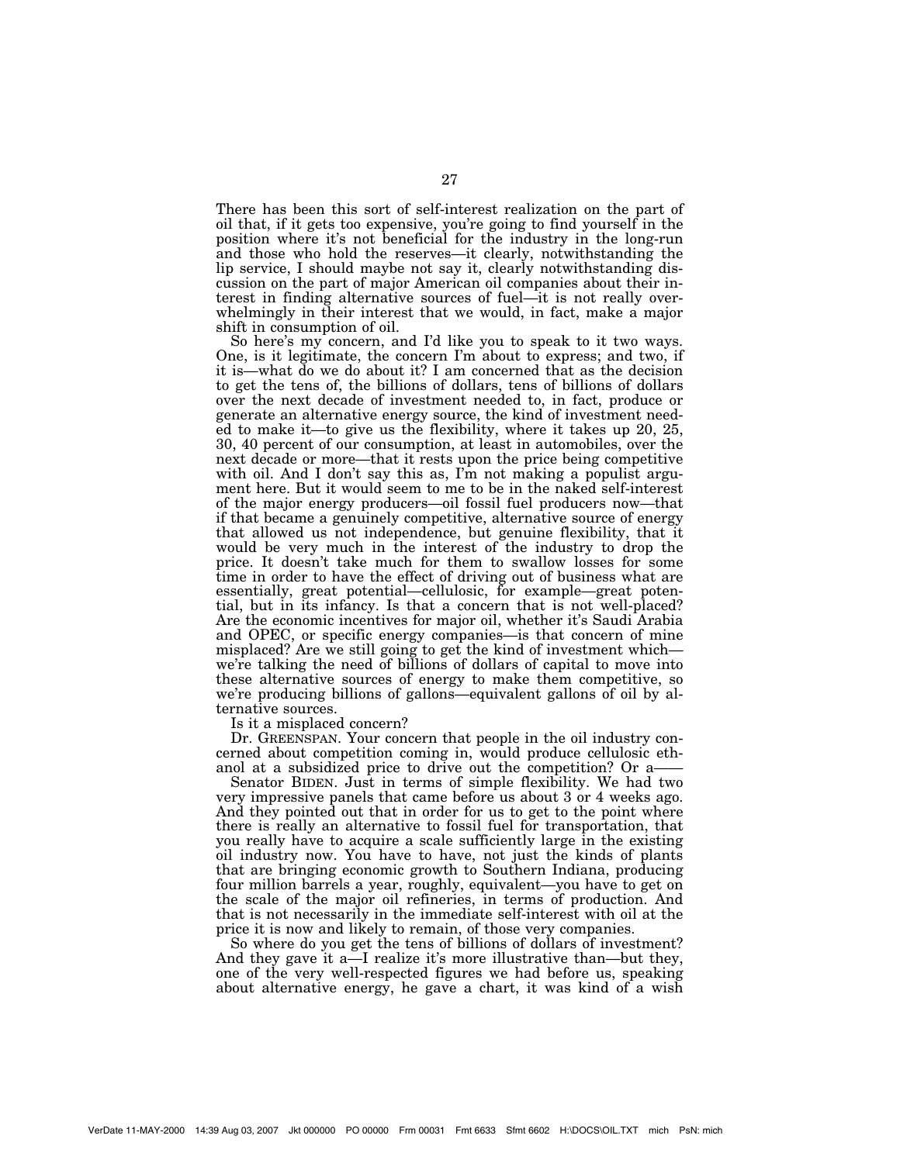There has been this sort of self-interest realization on the part of oil that, if it gets too expensive, you're going to find yourself in the position where it's not beneficial for the industry in the long-run and those who hold the reserves—it clearly, notwithstanding the lip service, I should maybe not say it, clearly notwithstanding discussion on the part of major American oil companies about their interest in finding alternative sources of fuel—it is not really overwhelmingly in their interest that we would, in fact, make a major shift in consumption of oil.

So here's my concern, and I'd like you to speak to it two ways. One, is it legitimate, the concern I'm about to express; and two, if it is—what do we do about it? I am concerned that as the decision to get the tens of, the billions of dollars, tens of billions of dollars over the next decade of investment needed to, in fact, produce or generate an alternative energy source, the kind of investment needed to make it—to give us the flexibility, where it takes up 20, 25, 30, 40 percent of our consumption, at least in automobiles, over the next decade or more—that it rests upon the price being competitive with oil. And I don't say this as, I'm not making a populist argument here. But it would seem to me to be in the naked self-interest of the major energy producers—oil fossil fuel producers now—that if that became a genuinely competitive, alternative source of energy that allowed us not independence, but genuine flexibility, that it would be very much in the interest of the industry to drop the price. It doesn't take much for them to swallow losses for some time in order to have the effect of driving out of business what are essentially, great potential—cellulosic, for example—great potential, but in its infancy. Is that a concern that is not well-placed? Are the economic incentives for major oil, whether it's Saudi Arabia and OPEC, or specific energy companies—is that concern of mine misplaced? Are we still going to get the kind of investment which we're talking the need of billions of dollars of capital to move into these alternative sources of energy to make them competitive, so we're producing billions of gallons—equivalent gallons of oil by alternative sources.

Is it a misplaced concern?

Dr. GREENSPAN. Your concern that people in the oil industry concerned about competition coming in, would produce cellulosic ethanol at a subsidized price to drive out the competition? Or a-

Senator BIDEN. Just in terms of simple flexibility. We had two very impressive panels that came before us about 3 or 4 weeks ago. And they pointed out that in order for us to get to the point where there is really an alternative to fossil fuel for transportation, that you really have to acquire a scale sufficiently large in the existing oil industry now. You have to have, not just the kinds of plants that are bringing economic growth to Southern Indiana, producing four million barrels a year, roughly, equivalent—you have to get on the scale of the major oil refineries, in terms of production. And that is not necessarily in the immediate self-interest with oil at the price it is now and likely to remain, of those very companies.

So where do you get the tens of billions of dollars of investment? And they gave it a—I realize it's more illustrative than—but they, one of the very well-respected figures we had before us, speaking about alternative energy, he gave a chart, it was kind of a wish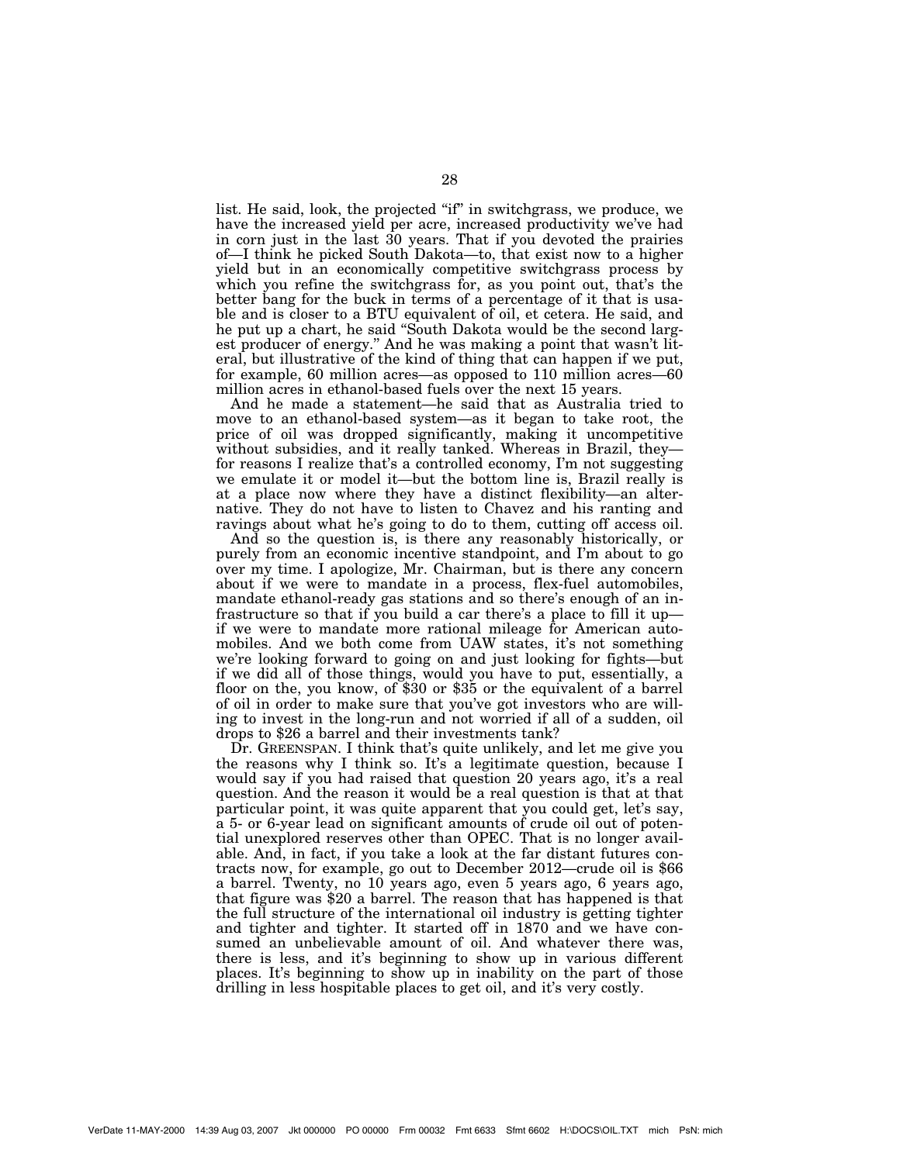list. He said, look, the projected "if" in switchgrass, we produce, we have the increased yield per acre, increased productivity we've had in corn just in the last 30 years. That if you devoted the prairies of—I think he picked South Dakota—to, that exist now to a higher yield but in an economically competitive switchgrass process by which you refine the switchgrass for, as you point out, that's the better bang for the buck in terms of a percentage of it that is usable and is closer to a BTU equivalent of oil, et cetera. He said, and he put up a chart, he said "South Dakota would be the second largest producer of energy.'' And he was making a point that wasn't literal, but illustrative of the kind of thing that can happen if we put, for example, 60 million acres—as opposed to 110 million acres—60 million acres in ethanol-based fuels over the next 15 years.

And he made a statement—he said that as Australia tried to move to an ethanol-based system—as it began to take root, the price of oil was dropped significantly, making it uncompetitive without subsidies, and it really tanked. Whereas in Brazil, they for reasons I realize that's a controlled economy, I'm not suggesting we emulate it or model it—but the bottom line is, Brazil really is at a place now where they have a distinct flexibility—an alternative. They do not have to listen to Chavez and his ranting and ravings about what he's going to do to them, cutting off access oil.

And so the question is, is there any reasonably historically, or purely from an economic incentive standpoint, and I'm about to go over my time. I apologize, Mr. Chairman, but is there any concern about if we were to mandate in a process, flex-fuel automobiles, mandate ethanol-ready gas stations and so there's enough of an infrastructure so that if you build a car there's a place to fill it up if we were to mandate more rational mileage for American automobiles. And we both come from UAW states, it's not something we're looking forward to going on and just looking for fights—but if we did all of those things, would you have to put, essentially, a floor on the, you know, of \$30 or \$35 or the equivalent of a barrel of oil in order to make sure that you've got investors who are willing to invest in the long-run and not worried if all of a sudden, oil drops to \$26 a barrel and their investments tank?

Dr. GREENSPAN. I think that's quite unlikely, and let me give you the reasons why I think so. It's a legitimate question, because I would say if you had raised that question 20 years ago, it's a real question. And the reason it would be a real question is that at that particular point, it was quite apparent that you could get, let's say, a 5- or 6-year lead on significant amounts of crude oil out of potential unexplored reserves other than OPEC. That is no longer available. And, in fact, if you take a look at the far distant futures contracts now, for example, go out to December 2012—crude oil is \$66 a barrel. Twenty, no 10 years ago, even 5 years ago, 6 years ago, that figure was \$20 a barrel. The reason that has happened is that the full structure of the international oil industry is getting tighter and tighter and tighter. It started off in 1870 and we have consumed an unbelievable amount of oil. And whatever there was, there is less, and it's beginning to show up in various different places. It's beginning to show up in inability on the part of those drilling in less hospitable places to get oil, and it's very costly.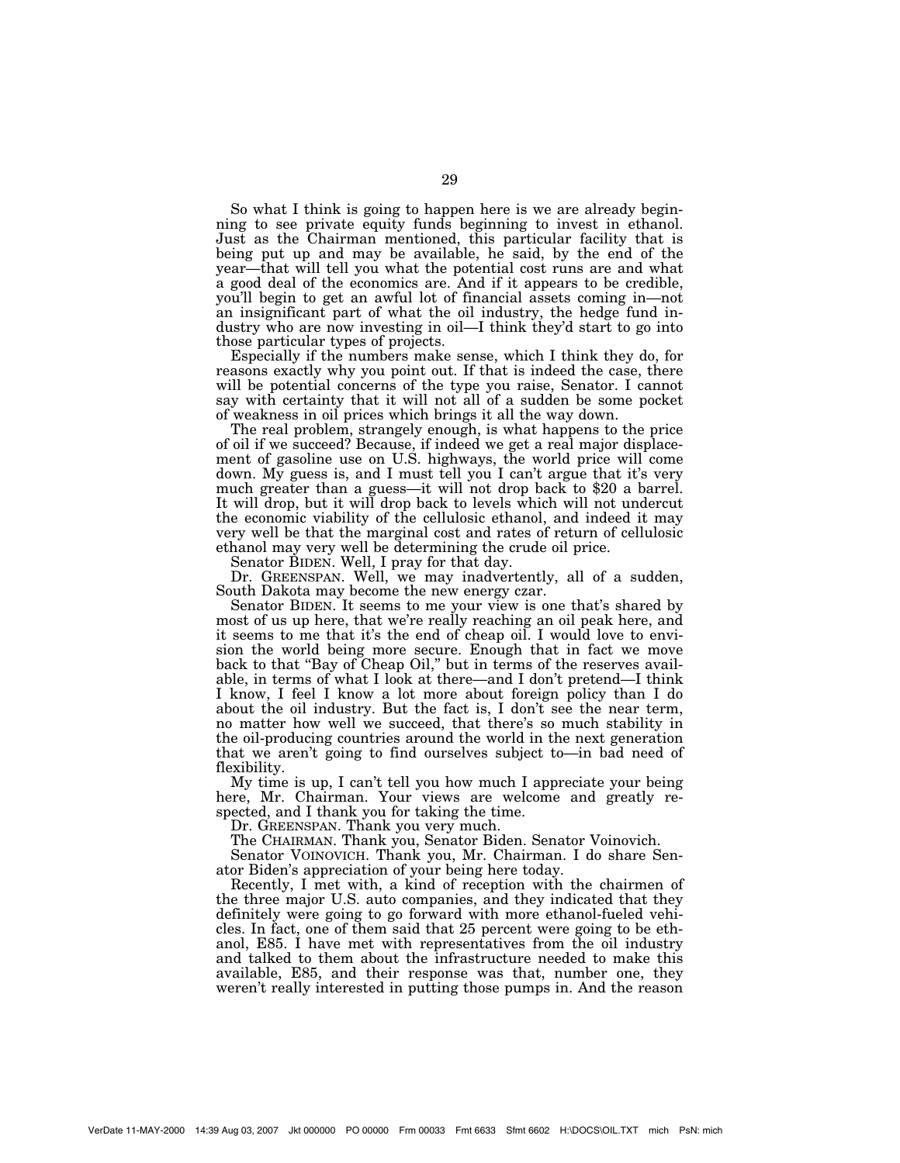So what I think is going to happen here is we are already beginning to see private equity funds beginning to invest in ethanol. Just as the Chairman mentioned, this particular facility that is being put up and may be available, he said, by the end of the year—that will tell you what the potential cost runs are and what a good deal of the economics are. And if it appears to be credible, you'll begin to get an awful lot of financial assets coming in—not an insignificant part of what the oil industry, the hedge fund industry who are now investing in oil—I think they'd start to go into those particular types of projects.

Especially if the numbers make sense, which I think they do, for reasons exactly why you point out. If that is indeed the case, there will be potential concerns of the type you raise, Senator. I cannot say with certainty that it will not all of a sudden be some pocket of weakness in oil prices which brings it all the way down.

The real problem, strangely enough, is what happens to the price of oil if we succeed? Because, if indeed we get a real major displacement of gasoline use on U.S. highways, the world price will come down. My guess is, and I must tell you I can't argue that it's very much greater than a guess—it will not drop back to \$20 a barrel. It will drop, but it will drop back to levels which will not undercut the economic viability of the cellulosic ethanol, and indeed it may very well be that the marginal cost and rates of return of cellulosic ethanol may very well be determining the crude oil price.

Senator BIDEN. Well, I pray for that day.

Dr. GREENSPAN. Well, we may inadvertently, all of a sudden, South Dakota may become the new energy czar.

Senator BIDEN. It seems to me your view is one that's shared by most of us up here, that we're really reaching an oil peak here, and it seems to me that it's the end of cheap oil. I would love to envision the world being more secure. Enough that in fact we move back to that "Bay of Cheap Oil," but in terms of the reserves available, in terms of what I look at there—and I don't pretend—I think I know, I feel I know a lot more about foreign policy than I do about the oil industry. But the fact is, I don't see the near term, no matter how well we succeed, that there's so much stability in the oil-producing countries around the world in the next generation that we aren't going to find ourselves subject to—in bad need of flexibility.

My time is up, I can't tell you how much I appreciate your being here, Mr. Chairman. Your views are welcome and greatly respected, and I thank you for taking the time.

Dr. GREENSPAN. Thank you very much.

The CHAIRMAN. Thank you, Senator Biden. Senator Voinovich.

Senator VOINOVICH. Thank you, Mr. Chairman. I do share Senator Biden's appreciation of your being here today.

Recently, I met with, a kind of reception with the chairmen of the three major U.S. auto companies, and they indicated that they definitely were going to go forward with more ethanol-fueled vehicles. In fact, one of them said that 25 percent were going to be ethanol, E85. I have met with representatives from the oil industry and talked to them about the infrastructure needed to make this available, E85, and their response was that, number one, they weren't really interested in putting those pumps in. And the reason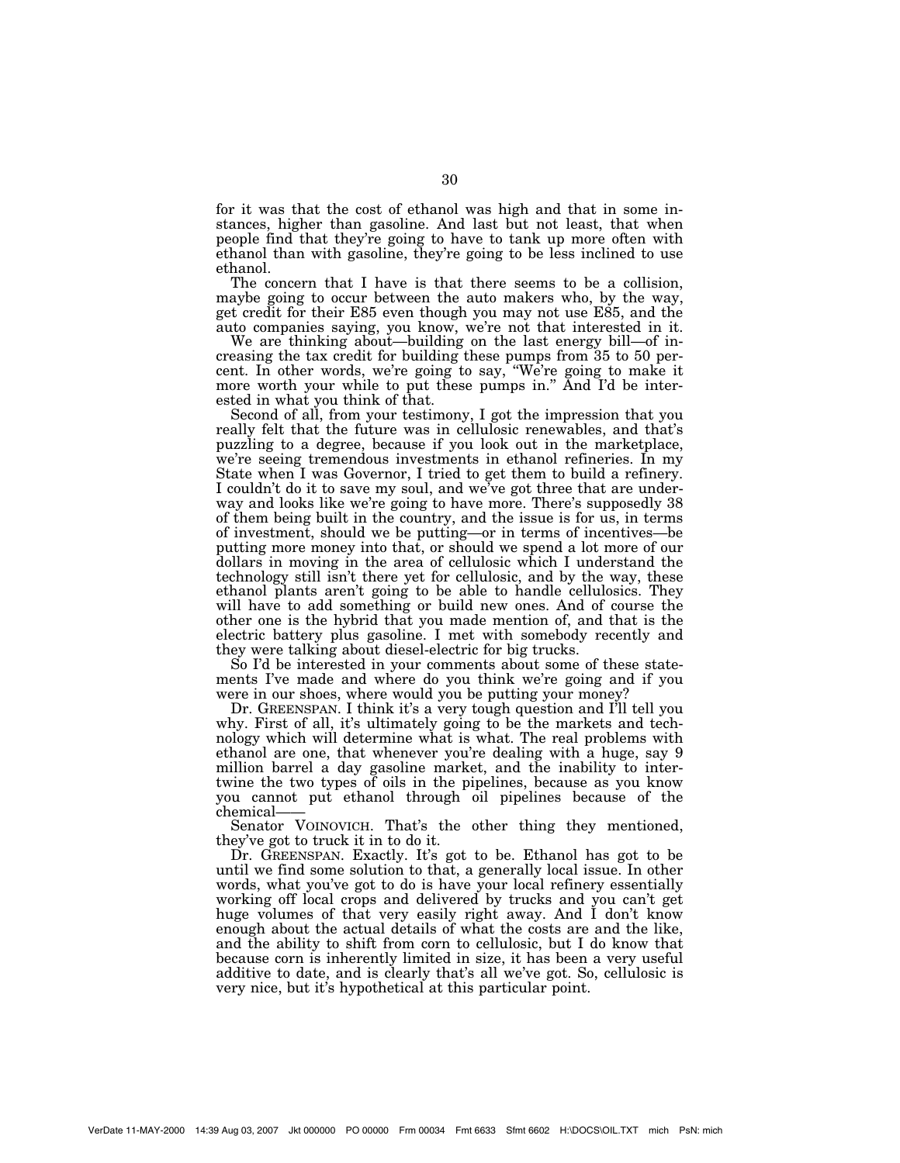for it was that the cost of ethanol was high and that in some instances, higher than gasoline. And last but not least, that when people find that they're going to have to tank up more often with ethanol than with gasoline, they're going to be less inclined to use ethanol.

The concern that I have is that there seems to be a collision, maybe going to occur between the auto makers who, by the way, get credit for their E85 even though you may not use E85, and the auto companies saying, you know, we're not that interested in it.

We are thinking about—building on the last energy bill—of increasing the tax credit for building these pumps from 35 to 50 percent. In other words, we're going to say, ''We're going to make it more worth your while to put these pumps in.'' And I'd be interested in what you think of that.

Second of all, from your testimony, I got the impression that you really felt that the future was in cellulosic renewables, and that's puzzling to a degree, because if you look out in the marketplace, we're seeing tremendous investments in ethanol refineries. In my State when I was Governor, I tried to get them to build a refinery. I couldn't do it to save my soul, and we've got three that are underway and looks like we're going to have more. There's supposedly 38 of them being built in the country, and the issue is for us, in terms of investment, should we be putting—or in terms of incentives—be putting more money into that, or should we spend a lot more of our dollars in moving in the area of cellulosic which I understand the technology still isn't there yet for cellulosic, and by the way, these ethanol plants aren't going to be able to handle cellulosics. They will have to add something or build new ones. And of course the other one is the hybrid that you made mention of, and that is the electric battery plus gasoline. I met with somebody recently and they were talking about diesel-electric for big trucks.

So I'd be interested in your comments about some of these statements I've made and where do you think we're going and if you were in our shoes, where would you be putting your money?

Dr. GREENSPAN. I think it's a very tough question and I'll tell you why. First of all, it's ultimately going to be the markets and technology which will determine what is what. The real problems with ethanol are one, that whenever you're dealing with a huge, say 9 million barrel a day gasoline market, and the inability to intertwine the two types of oils in the pipelines, because as you know you cannot put ethanol through oil pipelines because of the chemical——

Senator VOINOVICH. That's the other thing they mentioned, they've got to truck it in to do it.

Dr. GREENSPAN. Exactly. It's got to be. Ethanol has got to be until we find some solution to that, a generally local issue. In other words, what you've got to do is have your local refinery essentially working off local crops and delivered by trucks and you can't get huge volumes of that very easily right away. And I don't know enough about the actual details of what the costs are and the like, and the ability to shift from corn to cellulosic, but I do know that because corn is inherently limited in size, it has been a very useful additive to date, and is clearly that's all we've got. So, cellulosic is very nice, but it's hypothetical at this particular point.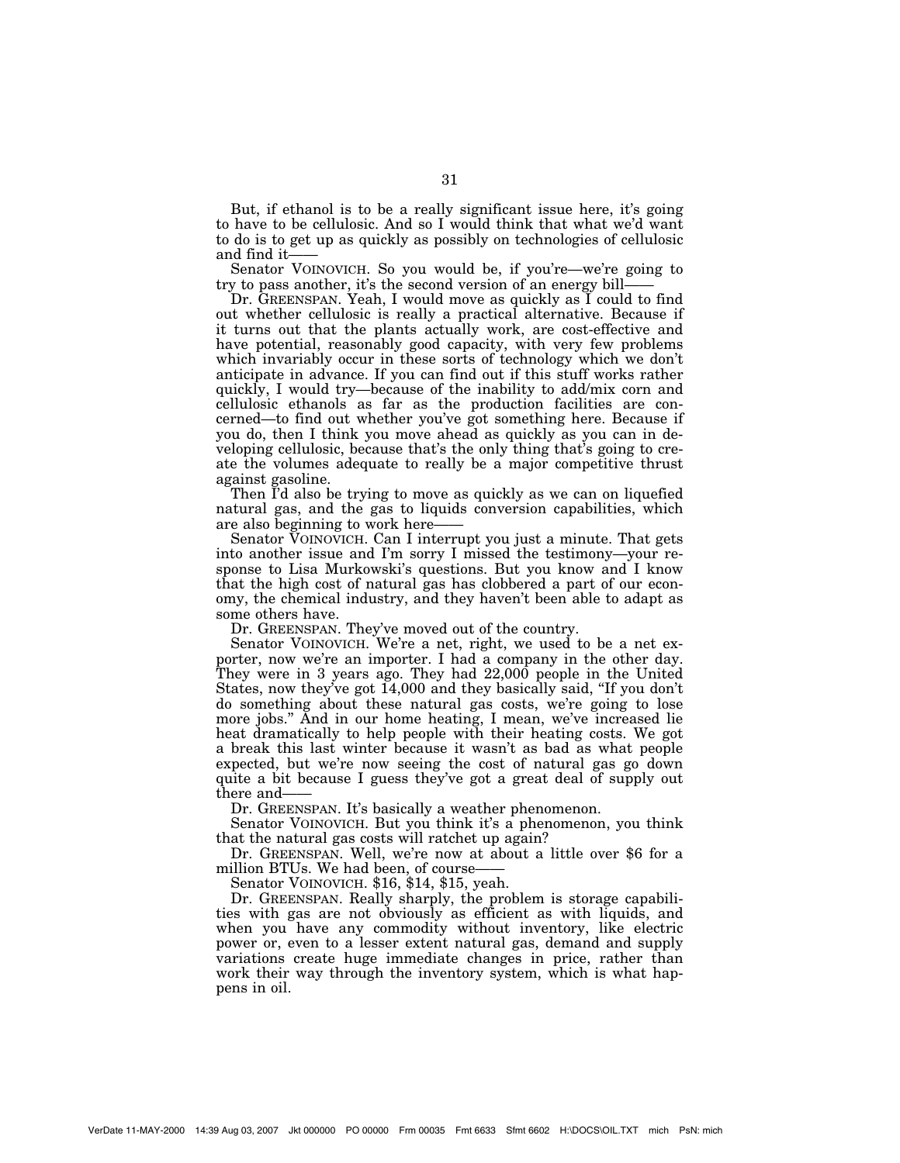But, if ethanol is to be a really significant issue here, it's going to have to be cellulosic. And so I would think that what we'd want to do is to get up as quickly as possibly on technologies of cellulosic and find it-

Senator VOINOVICH. So you would be, if you're—we're going to try to pass another, it's the second version of an energy bill——

Dr. GREENSPAN. Yeah, I would move as quickly as I could to find out whether cellulosic is really a practical alternative. Because if it turns out that the plants actually work, are cost-effective and have potential, reasonably good capacity, with very few problems which invariably occur in these sorts of technology which we don't anticipate in advance. If you can find out if this stuff works rather quickly, I would try—because of the inability to add/mix corn and cellulosic ethanols as far as the production facilities are concerned—to find out whether you've got something here. Because if you do, then I think you move ahead as quickly as you can in developing cellulosic, because that's the only thing that's going to create the volumes adequate to really be a major competitive thrust against gasoline.

Then I'd also be trying to move as quickly as we can on liquefied natural gas, and the gas to liquids conversion capabilities, which are also beginning to work here-

Senator VOINOVICH. Can I interrupt you just a minute. That gets into another issue and I'm sorry I missed the testimony—your response to Lisa Murkowski's questions. But you know and I know that the high cost of natural gas has clobbered a part of our economy, the chemical industry, and they haven't been able to adapt as some others have.

Dr. GREENSPAN. They've moved out of the country.

Senator VOINOVICH. We're a net, right, we used to be a net exporter, now we're an importer. I had a company in the other day. They were in 3 years ago. They had 22,000 people in the United States, now they've got 14,000 and they basically said, ''If you don't do something about these natural gas costs, we're going to lose more jobs.'' And in our home heating, I mean, we've increased lie heat dramatically to help people with their heating costs. We got a break this last winter because it wasn't as bad as what people expected, but we're now seeing the cost of natural gas go down quite a bit because I guess they've got a great deal of supply out there and-

Dr. GREENSPAN. It's basically a weather phenomenon.

Senator VOINOVICH. But you think it's a phenomenon, you think that the natural gas costs will ratchet up again?

Dr. GREENSPAN. Well, we're now at about a little over \$6 for a million BTUs. We had been, of course-

Senator VOINOVICH. \$16, \$14, \$15, yeah.

Dr. GREENSPAN. Really sharply, the problem is storage capabilities with gas are not obviously as efficient as with liquids, and when you have any commodity without inventory, like electric power or, even to a lesser extent natural gas, demand and supply variations create huge immediate changes in price, rather than work their way through the inventory system, which is what happens in oil.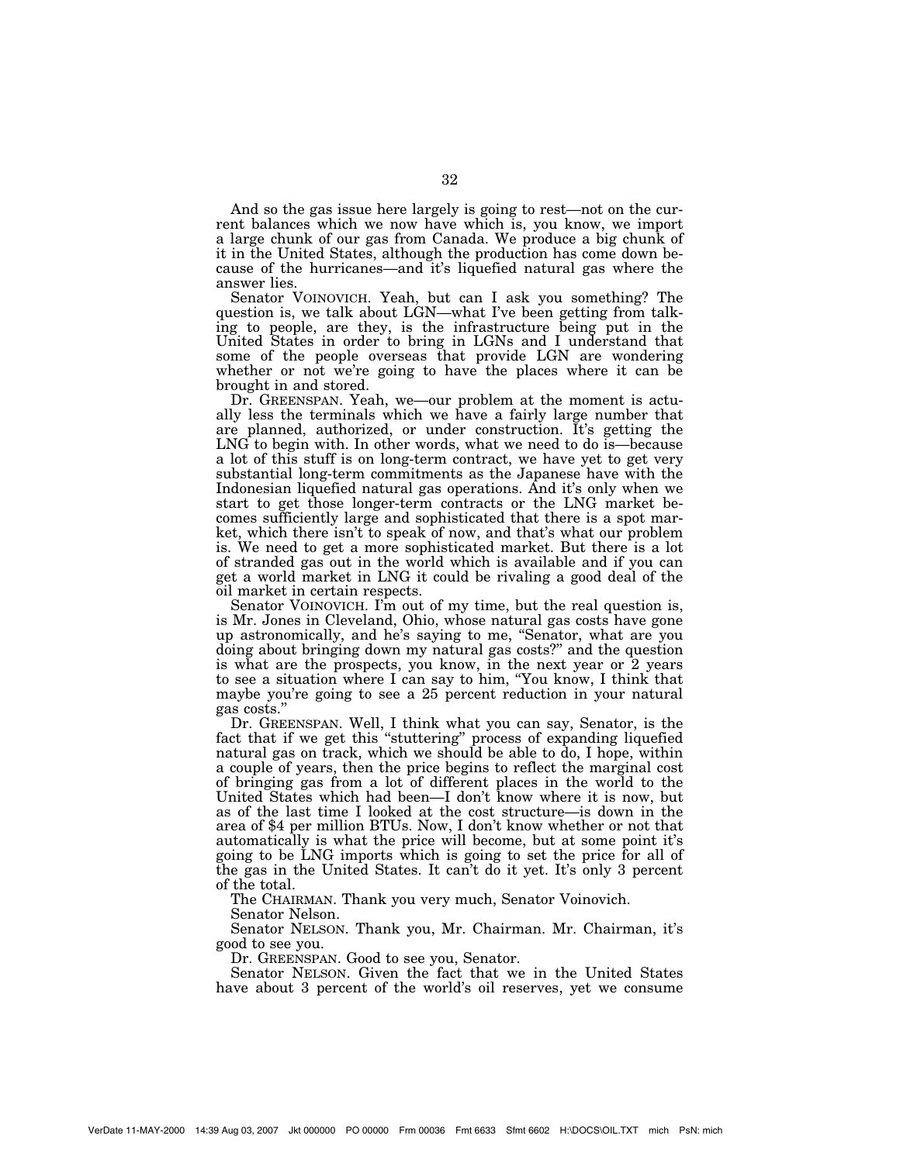And so the gas issue here largely is going to rest—not on the current balances which we now have which is, you know, we import a large chunk of our gas from Canada. We produce a big chunk of it in the United States, although the production has come down because of the hurricanes—and it's liquefied natural gas where the answer lies.

Senator VOINOVICH. Yeah, but can I ask you something? The question is, we talk about LGN—what I've been getting from talking to people, are they, is the infrastructure being put in the United States in order to bring in LGNs and I understand that some of the people overseas that provide LGN are wondering whether or not we're going to have the places where it can be brought in and stored.

Dr. GREENSPAN. Yeah, we—our problem at the moment is actually less the terminals which we have a fairly large number that are planned, authorized, or under construction. It's getting the LNG to begin with. In other words, what we need to do is—because a lot of this stuff is on long-term contract, we have yet to get very substantial long-term commitments as the Japanese have with the Indonesian liquefied natural gas operations. And it's only when we start to get those longer-term contracts or the LNG market becomes sufficiently large and sophisticated that there is a spot market, which there isn't to speak of now, and that's what our problem is. We need to get a more sophisticated market. But there is a lot of stranded gas out in the world which is available and if you can get a world market in LNG it could be rivaling a good deal of the oil market in certain respects.

Senator VOINOVICH. I'm out of my time, but the real question is, is Mr. Jones in Cleveland, Ohio, whose natural gas costs have gone up astronomically, and he's saying to me, ''Senator, what are you doing about bringing down my natural gas costs?'' and the question is what are the prospects, you know, in the next year or 2 years to see a situation where I can say to him, ''You know, I think that maybe you're going to see a 25 percent reduction in your natural gas costs.''

Dr. GREENSPAN. Well, I think what you can say, Senator, is the fact that if we get this "stuttering" process of expanding liquefied natural gas on track, which we should be able to do, I hope, within a couple of years, then the price begins to reflect the marginal cost of bringing gas from a lot of different places in the world to the United States which had been—I don't know where it is now, but as of the last time I looked at the cost structure—is down in the area of \$4 per million BTUs. Now, I don't know whether or not that automatically is what the price will become, but at some point it's going to be LNG imports which is going to set the price for all of the gas in the United States. It can't do it yet. It's only 3 percent of the total.

The CHAIRMAN. Thank you very much, Senator Voinovich.

Senator Nelson.

Senator NELSON. Thank you, Mr. Chairman. Mr. Chairman, it's good to see you.

Dr. GREENSPAN. Good to see you, Senator.

Senator NELSON. Given the fact that we in the United States have about 3 percent of the world's oil reserves, yet we consume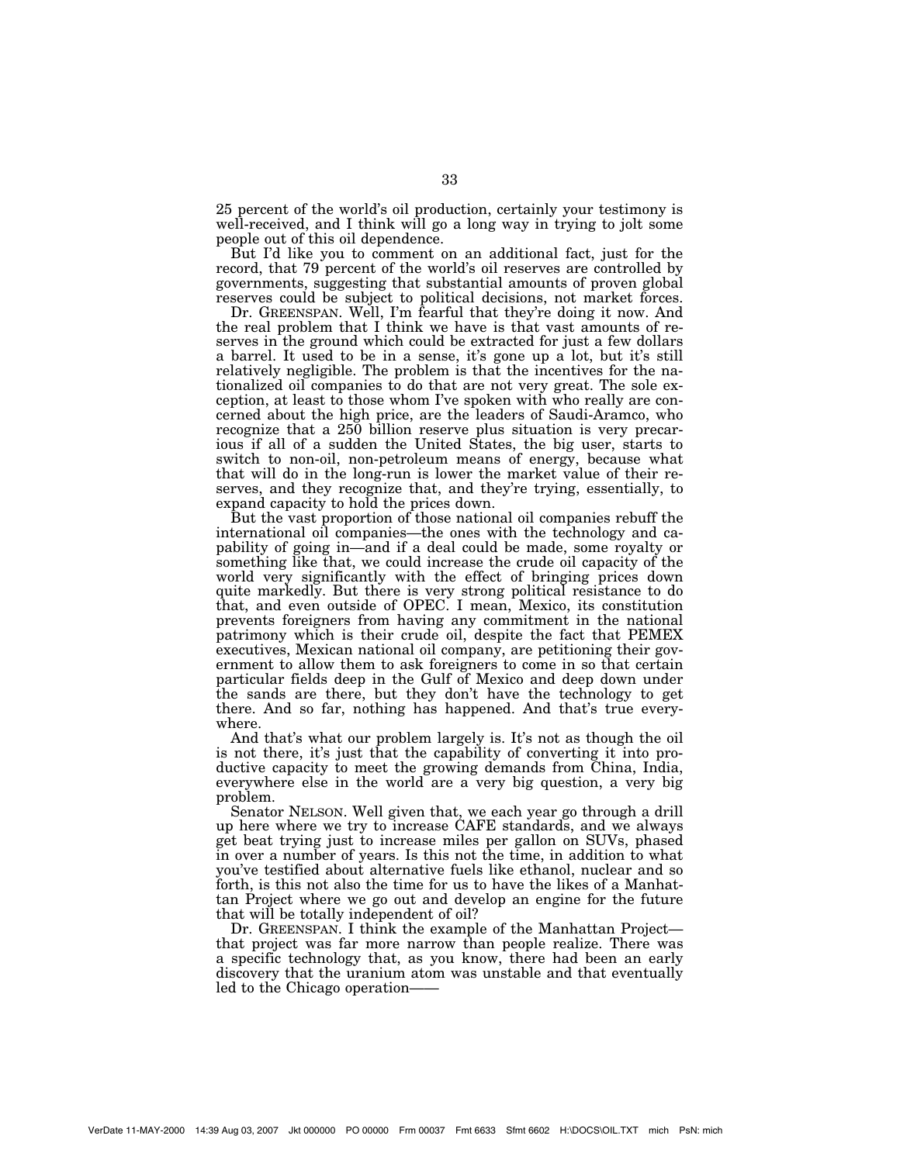25 percent of the world's oil production, certainly your testimony is well-received, and I think will go a long way in trying to jolt some people out of this oil dependence.

But I'd like you to comment on an additional fact, just for the record, that 79 percent of the world's oil reserves are controlled by governments, suggesting that substantial amounts of proven global reserves could be subject to political decisions, not market forces.

Dr. GREENSPAN. Well, I'm fearful that they're doing it now. And the real problem that I think we have is that vast amounts of reserves in the ground which could be extracted for just a few dollars a barrel. It used to be in a sense, it's gone up a lot, but it's still relatively negligible. The problem is that the incentives for the nationalized oil companies to do that are not very great. The sole exception, at least to those whom I've spoken with who really are concerned about the high price, are the leaders of Saudi-Aramco, who recognize that a 250 billion reserve plus situation is very precarious if all of a sudden the United States, the big user, starts to switch to non-oil, non-petroleum means of energy, because what that will do in the long-run is lower the market value of their reserves, and they recognize that, and they're trying, essentially, to expand capacity to hold the prices down.

But the vast proportion of those national oil companies rebuff the international oil companies—the ones with the technology and capability of going in—and if a deal could be made, some royalty or something like that, we could increase the crude oil capacity of the world very significantly with the effect of bringing prices down quite markedly. But there is very strong political resistance to do that, and even outside of OPEC. I mean, Mexico, its constitution prevents foreigners from having any commitment in the national patrimony which is their crude oil, despite the fact that PEMEX executives, Mexican national oil company, are petitioning their government to allow them to ask foreigners to come in so that certain particular fields deep in the Gulf of Mexico and deep down under the sands are there, but they don't have the technology to get there. And so far, nothing has happened. And that's true everywhere.

And that's what our problem largely is. It's not as though the oil is not there, it's just that the capability of converting it into productive capacity to meet the growing demands from China, India, everywhere else in the world are a very big question, a very big problem.

Senator NELSON. Well given that, we each year go through a drill up here where we try to increase CAFE standards, and we always get beat trying just to increase miles per gallon on SUVs, phased in over a number of years. Is this not the time, in addition to what you've testified about alternative fuels like ethanol, nuclear and so forth, is this not also the time for us to have the likes of a Manhattan Project where we go out and develop an engine for the future that will be totally independent of oil?

Dr. GREENSPAN. I think the example of the Manhattan Project that project was far more narrow than people realize. There was a specific technology that, as you know, there had been an early discovery that the uranium atom was unstable and that eventually led to the Chicago operation-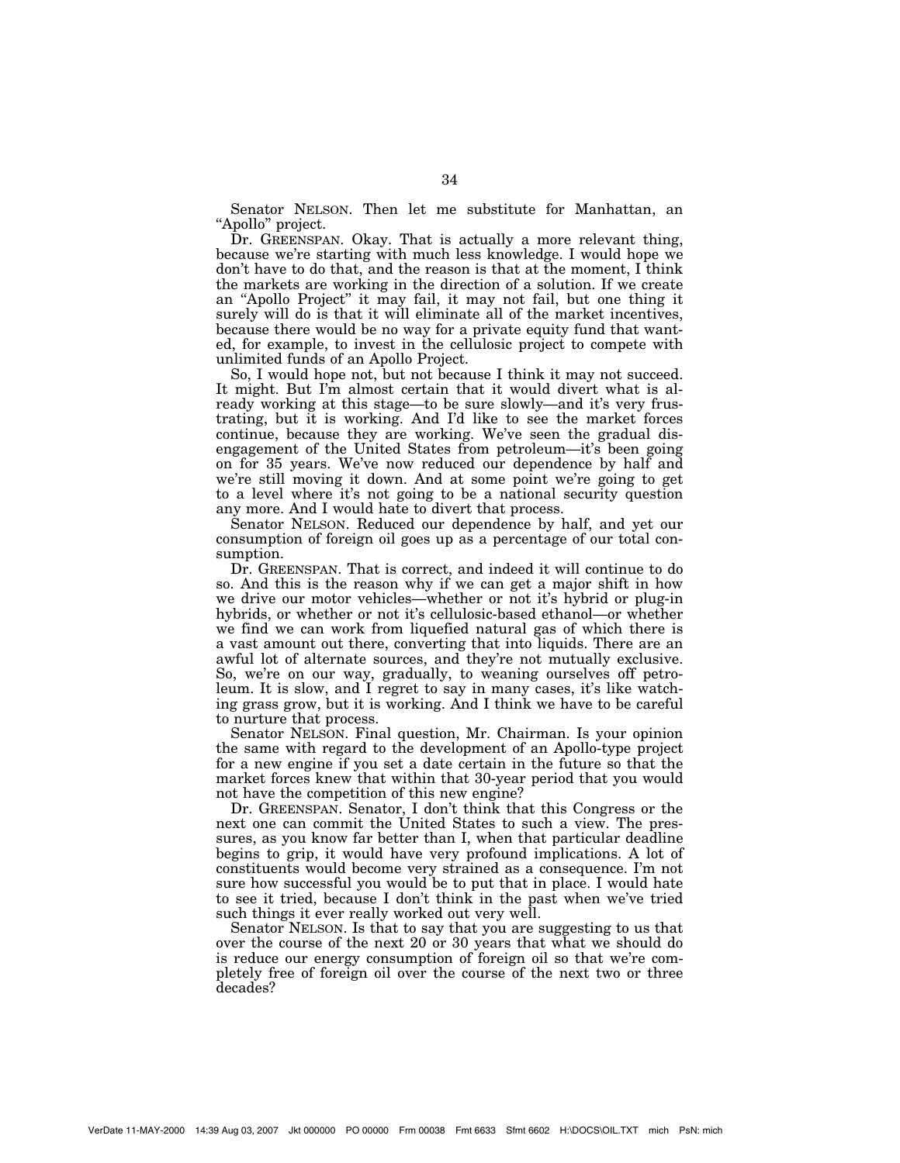Senator NELSON. Then let me substitute for Manhattan, an "Apollo" project.

Dr. GREENSPAN. Okay. That is actually a more relevant thing, because we're starting with much less knowledge. I would hope we don't have to do that, and the reason is that at the moment, I think the markets are working in the direction of a solution. If we create an ''Apollo Project'' it may fail, it may not fail, but one thing it surely will do is that it will eliminate all of the market incentives, because there would be no way for a private equity fund that wanted, for example, to invest in the cellulosic project to compete with unlimited funds of an Apollo Project.

So, I would hope not, but not because I think it may not succeed. It might. But I'm almost certain that it would divert what is already working at this stage—to be sure slowly—and it's very frustrating, but it is working. And I'd like to see the market forces continue, because they are working. We've seen the gradual disengagement of the United States from petroleum—it's been going on for 35 years. We've now reduced our dependence by half and we're still moving it down. And at some point we're going to get to a level where it's not going to be a national security question any more. And I would hate to divert that process.

Senator NELSON. Reduced our dependence by half, and yet our consumption of foreign oil goes up as a percentage of our total consumption.

Dr. GREENSPAN. That is correct, and indeed it will continue to do so. And this is the reason why if we can get a major shift in how we drive our motor vehicles—whether or not it's hybrid or plug-in hybrids, or whether or not it's cellulosic-based ethanol—or whether we find we can work from liquefied natural gas of which there is a vast amount out there, converting that into liquids. There are an awful lot of alternate sources, and they're not mutually exclusive. So, we're on our way, gradually, to weaning ourselves off petroleum. It is slow, and I regret to say in many cases, it's like watching grass grow, but it is working. And I think we have to be careful to nurture that process.

Senator NELSON. Final question, Mr. Chairman. Is your opinion the same with regard to the development of an Apollo-type project for a new engine if you set a date certain in the future so that the market forces knew that within that 30-year period that you would not have the competition of this new engine?

Dr. GREENSPAN. Senator, I don't think that this Congress or the next one can commit the United States to such a view. The pressures, as you know far better than I, when that particular deadline begins to grip, it would have very profound implications. A lot of constituents would become very strained as a consequence. I'm not sure how successful you would be to put that in place. I would hate to see it tried, because I don't think in the past when we've tried such things it ever really worked out very well.

Senator NELSON. Is that to say that you are suggesting to us that over the course of the next 20 or 30 years that what we should do is reduce our energy consumption of foreign oil so that we're completely free of foreign oil over the course of the next two or three decades?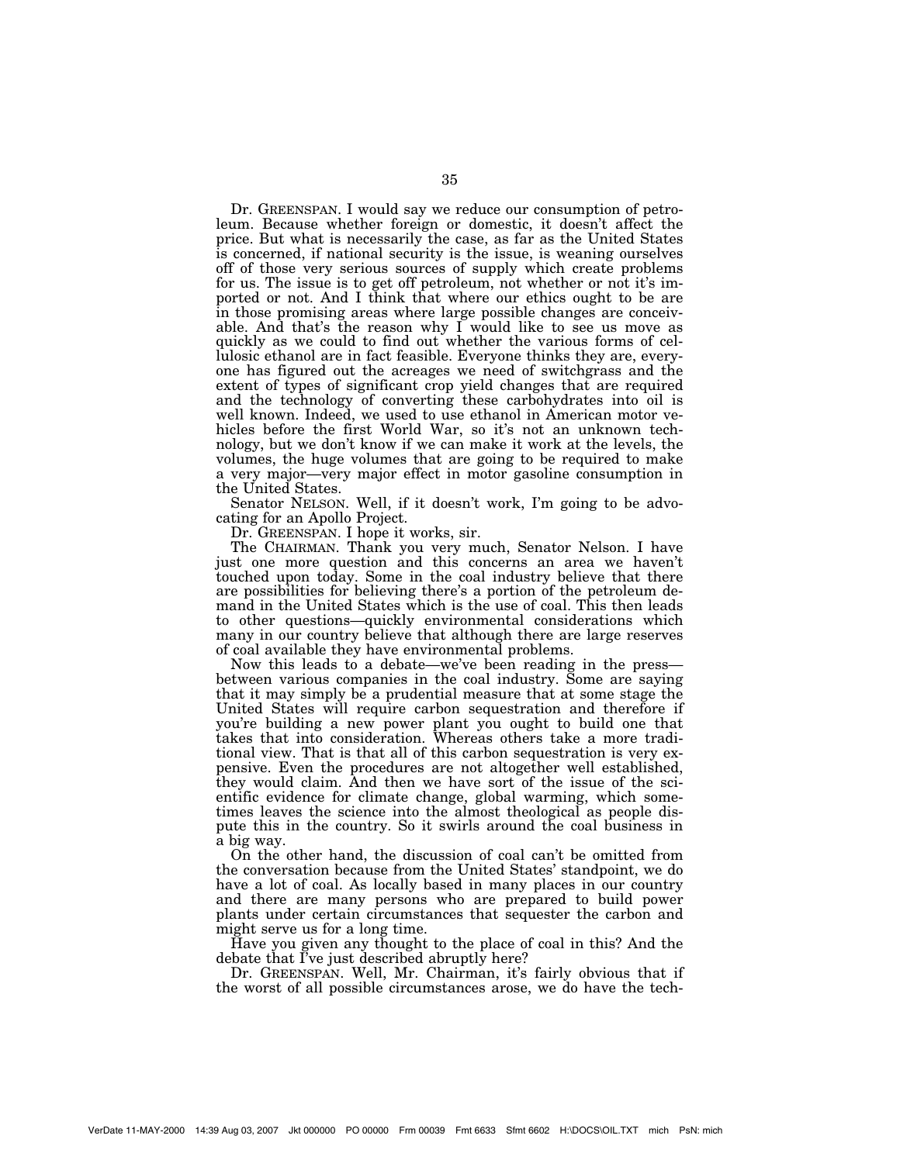Dr. GREENSPAN. I would say we reduce our consumption of petroleum. Because whether foreign or domestic, it doesn't affect the price. But what is necessarily the case, as far as the United States is concerned, if national security is the issue, is weaning ourselves off of those very serious sources of supply which create problems for us. The issue is to get off petroleum, not whether or not it's imported or not. And I think that where our ethics ought to be are in those promising areas where large possible changes are conceivable. And that's the reason why I would like to see us move as quickly as we could to find out whether the various forms of cellulosic ethanol are in fact feasible. Everyone thinks they are, everyone has figured out the acreages we need of switchgrass and the extent of types of significant crop yield changes that are required and the technology of converting these carbohydrates into oil is well known. Indeed, we used to use ethanol in American motor vehicles before the first World War, so it's not an unknown technology, but we don't know if we can make it work at the levels, the volumes, the huge volumes that are going to be required to make a very major—very major effect in motor gasoline consumption in the United States.

Senator NELSON. Well, if it doesn't work, I'm going to be advocating for an Apollo Project.

Dr. GREENSPAN. I hope it works, sir.

The CHAIRMAN. Thank you very much, Senator Nelson. I have just one more question and this concerns an area we haven't touched upon today. Some in the coal industry believe that there are possibilities for believing there's a portion of the petroleum demand in the United States which is the use of coal. This then leads to other questions—quickly environmental considerations which many in our country believe that although there are large reserves of coal available they have environmental problems.

Now this leads to a debate—we've been reading in the press between various companies in the coal industry. Some are saying that it may simply be a prudential measure that at some stage the United States will require carbon sequestration and therefore if you're building a new power plant you ought to build one that takes that into consideration. Whereas others take a more traditional view. That is that all of this carbon sequestration is very expensive. Even the procedures are not altogether well established, they would claim. And then we have sort of the issue of the scientific evidence for climate change, global warming, which sometimes leaves the science into the almost theological as people dispute this in the country. So it swirls around the coal business in a big way.

On the other hand, the discussion of coal can't be omitted from the conversation because from the United States' standpoint, we do have a lot of coal. As locally based in many places in our country and there are many persons who are prepared to build power plants under certain circumstances that sequester the carbon and might serve us for a long time.

Have you given any thought to the place of coal in this? And the debate that I've just described abruptly here?

Dr. GREENSPAN. Well, Mr. Chairman, it's fairly obvious that if the worst of all possible circumstances arose, we do have the tech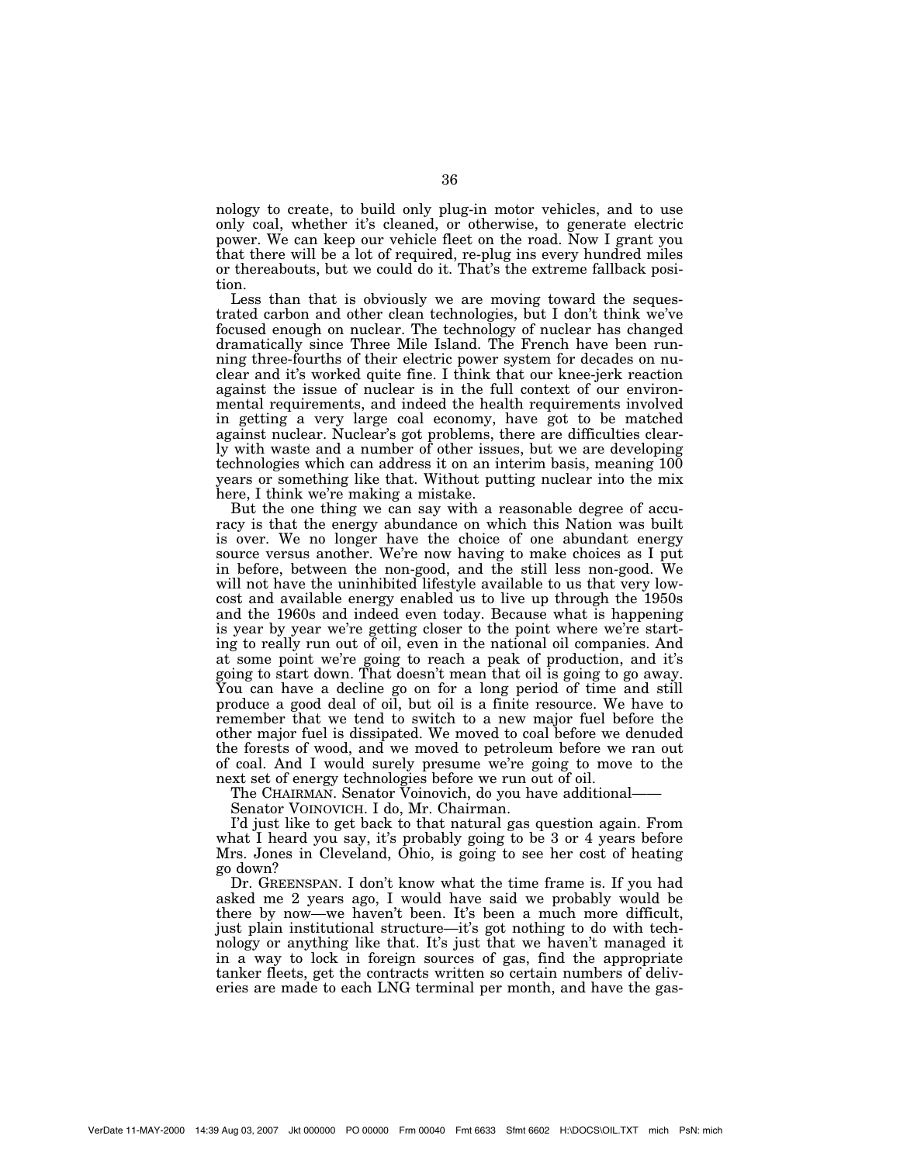nology to create, to build only plug-in motor vehicles, and to use only coal, whether it's cleaned, or otherwise, to generate electric power. We can keep our vehicle fleet on the road. Now I grant you that there will be a lot of required, re-plug ins every hundred miles or thereabouts, but we could do it. That's the extreme fallback position.

Less than that is obviously we are moving toward the sequestrated carbon and other clean technologies, but I don't think we've focused enough on nuclear. The technology of nuclear has changed dramatically since Three Mile Island. The French have been running three-fourths of their electric power system for decades on nuclear and it's worked quite fine. I think that our knee-jerk reaction against the issue of nuclear is in the full context of our environmental requirements, and indeed the health requirements involved in getting a very large coal economy, have got to be matched against nuclear. Nuclear's got problems, there are difficulties clearly with waste and a number of other issues, but we are developing technologies which can address it on an interim basis, meaning 100 years or something like that. Without putting nuclear into the mix here, I think we're making a mistake.

But the one thing we can say with a reasonable degree of accuracy is that the energy abundance on which this Nation was built is over. We no longer have the choice of one abundant energy source versus another. We're now having to make choices as I put in before, between the non-good, and the still less non-good. We will not have the uninhibited lifestyle available to us that very lowcost and available energy enabled us to live up through the 1950s and the 1960s and indeed even today. Because what is happening is year by year we're getting closer to the point where we're starting to really run out of oil, even in the national oil companies. And at some point we're going to reach a peak of production, and it's going to start down. That doesn't mean that oil is going to go away. You can have a decline go on for a long period of time and still produce a good deal of oil, but oil is a finite resource. We have to remember that we tend to switch to a new major fuel before the other major fuel is dissipated. We moved to coal before we denuded the forests of wood, and we moved to petroleum before we ran out of coal. And I would surely presume we're going to move to the next set of energy technologies before we run out of oil.

The CHAIRMAN. Senator Voinovich, do you have additional——

Senator VOINOVICH. I do, Mr. Chairman.

I'd just like to get back to that natural gas question again. From what I heard you say, it's probably going to be 3 or 4 years before Mrs. Jones in Cleveland, Ohio, is going to see her cost of heating go down?

Dr. GREENSPAN. I don't know what the time frame is. If you had asked me 2 years ago, I would have said we probably would be there by now—we haven't been. It's been a much more difficult, just plain institutional structure—it's got nothing to do with technology or anything like that. It's just that we haven't managed it in a way to lock in foreign sources of gas, find the appropriate tanker fleets, get the contracts written so certain numbers of deliveries are made to each LNG terminal per month, and have the gas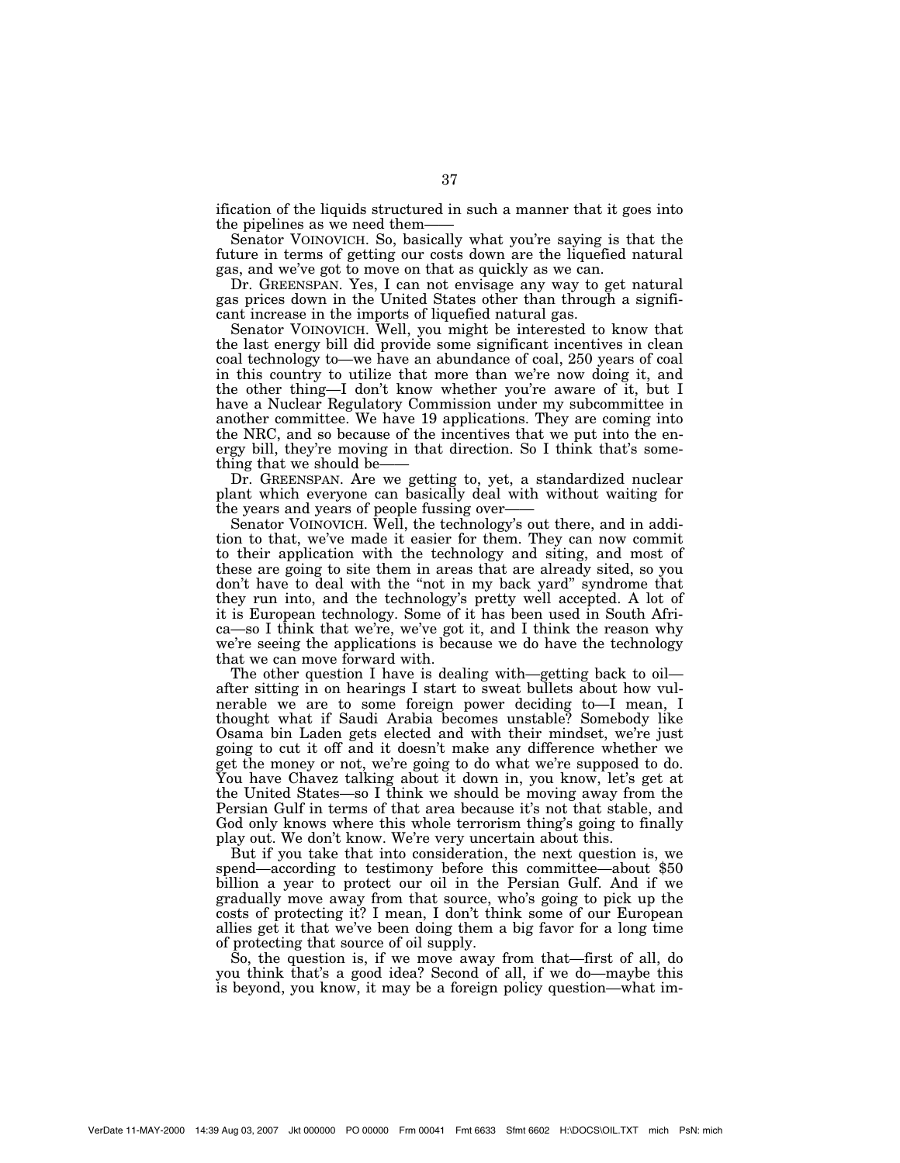ification of the liquids structured in such a manner that it goes into the pipelines as we need them-

Senator VOINOVICH. So, basically what you're saying is that the future in terms of getting our costs down are the liquefied natural gas, and we've got to move on that as quickly as we can.

Dr. GREENSPAN. Yes, I can not envisage any way to get natural gas prices down in the United States other than through a significant increase in the imports of liquefied natural gas.

Senator VOINOVICH. Well, you might be interested to know that the last energy bill did provide some significant incentives in clean coal technology to—we have an abundance of coal, 250 years of coal in this country to utilize that more than we're now doing it, and the other thing—I don't know whether you're aware of it, but I have a Nuclear Regulatory Commission under my subcommittee in another committee. We have 19 applications. They are coming into the NRC, and so because of the incentives that we put into the energy bill, they're moving in that direction. So I think that's something that we should be-

Dr. GREENSPAN. Are we getting to, yet, a standardized nuclear plant which everyone can basically deal with without waiting for the years and years of people fussing over——

Senator VOINOVICH. Well, the technology's out there, and in addition to that, we've made it easier for them. They can now commit to their application with the technology and siting, and most of these are going to site them in areas that are already sited, so you don't have to deal with the ''not in my back yard'' syndrome that they run into, and the technology's pretty well accepted. A lot of it is European technology. Some of it has been used in South Africa—so I think that we're, we've got it, and I think the reason why we're seeing the applications is because we do have the technology that we can move forward with.

The other question I have is dealing with—getting back to oil after sitting in on hearings I start to sweat bullets about how vulnerable we are to some foreign power deciding to—I mean, I thought what if Saudi Arabia becomes unstable? Somebody like Osama bin Laden gets elected and with their mindset, we're just going to cut it off and it doesn't make any difference whether we get the money or not, we're going to do what we're supposed to do. You have Chavez talking about it down in, you know, let's get at the United States—so I think we should be moving away from the Persian Gulf in terms of that area because it's not that stable, and God only knows where this whole terrorism thing's going to finally play out. We don't know. We're very uncertain about this.

But if you take that into consideration, the next question is, we spend—according to testimony before this committee—about \$50 billion a year to protect our oil in the Persian Gulf. And if we gradually move away from that source, who's going to pick up the costs of protecting it? I mean, I don't think some of our European allies get it that we've been doing them a big favor for a long time of protecting that source of oil supply.

So, the question is, if we move away from that—first of all, do you think that's a good idea? Second of all, if we do—maybe this is beyond, you know, it may be a foreign policy question—what im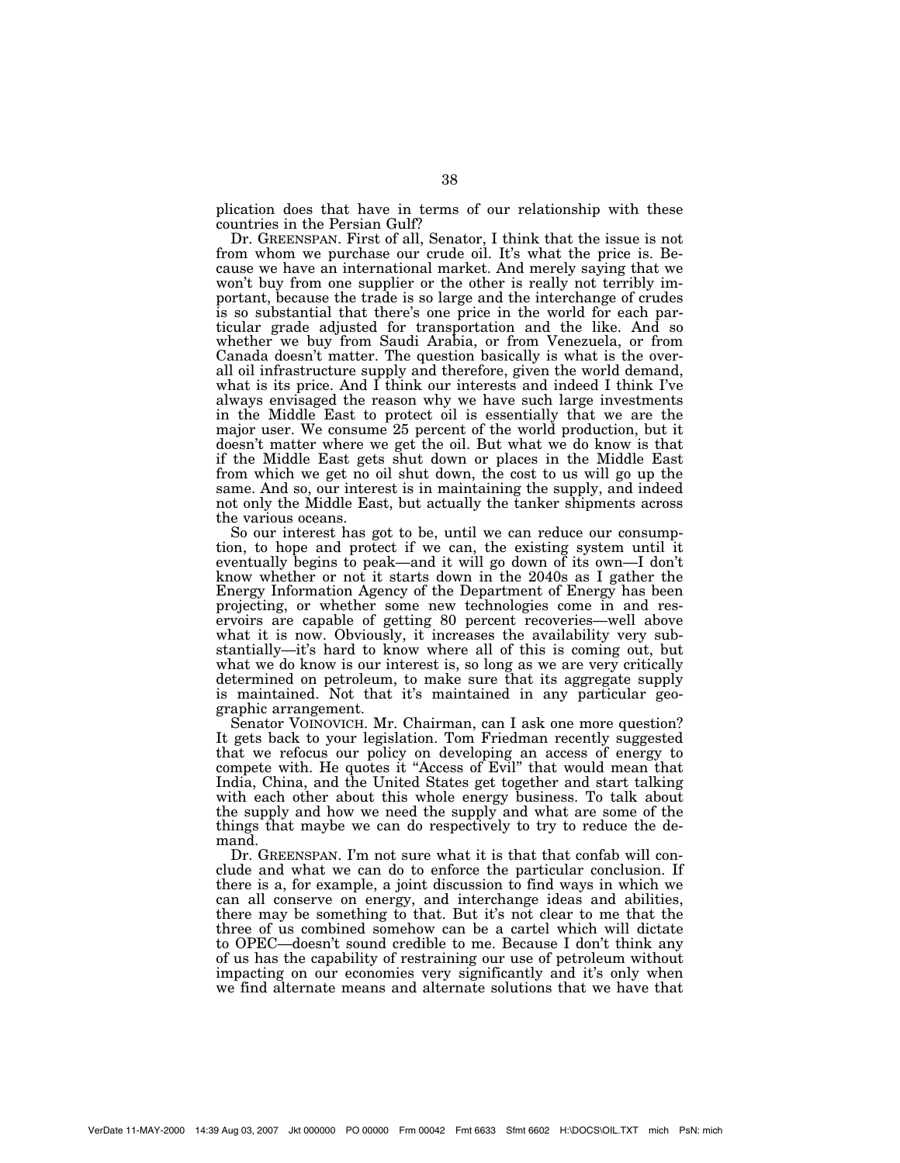plication does that have in terms of our relationship with these countries in the Persian Gulf?

Dr. GREENSPAN. First of all, Senator, I think that the issue is not from whom we purchase our crude oil. It's what the price is. Because we have an international market. And merely saying that we won't buy from one supplier or the other is really not terribly important, because the trade is so large and the interchange of crudes is so substantial that there's one price in the world for each particular grade adjusted for transportation and the like. And so whether we buy from Saudi Arabia, or from Venezuela, or from Canada doesn't matter. The question basically is what is the overall oil infrastructure supply and therefore, given the world demand, what is its price. And I think our interests and indeed I think I've always envisaged the reason why we have such large investments in the Middle East to protect oil is essentially that we are the major user. We consume 25 percent of the world production, but it doesn't matter where we get the oil. But what we do know is that if the Middle East gets shut down or places in the Middle East from which we get no oil shut down, the cost to us will go up the same. And so, our interest is in maintaining the supply, and indeed not only the Middle East, but actually the tanker shipments across the various oceans.

So our interest has got to be, until we can reduce our consumption, to hope and protect if we can, the existing system until it eventually begins to peak—and it will go down of its own—I don't know whether or not it starts down in the 2040s as I gather the Energy Information Agency of the Department of Energy has been projecting, or whether some new technologies come in and reservoirs are capable of getting 80 percent recoveries—well above what it is now. Obviously, it increases the availability very substantially—it's hard to know where all of this is coming out, but what we do know is our interest is, so long as we are very critically determined on petroleum, to make sure that its aggregate supply is maintained. Not that it's maintained in any particular geographic arrangement.

Senator VOINOVICH. Mr. Chairman, can I ask one more question? It gets back to your legislation. Tom Friedman recently suggested that we refocus our policy on developing an access of energy to compete with. He quotes it ''Access of Evil'' that would mean that India, China, and the United States get together and start talking with each other about this whole energy business. To talk about the supply and how we need the supply and what are some of the things that maybe we can do respectively to try to reduce the demand.

Dr. GREENSPAN. I'm not sure what it is that that confab will conclude and what we can do to enforce the particular conclusion. If there is a, for example, a joint discussion to find ways in which we can all conserve on energy, and interchange ideas and abilities, there may be something to that. But it's not clear to me that the three of us combined somehow can be a cartel which will dictate to OPEC—doesn't sound credible to me. Because I don't think any of us has the capability of restraining our use of petroleum without impacting on our economies very significantly and it's only when we find alternate means and alternate solutions that we have that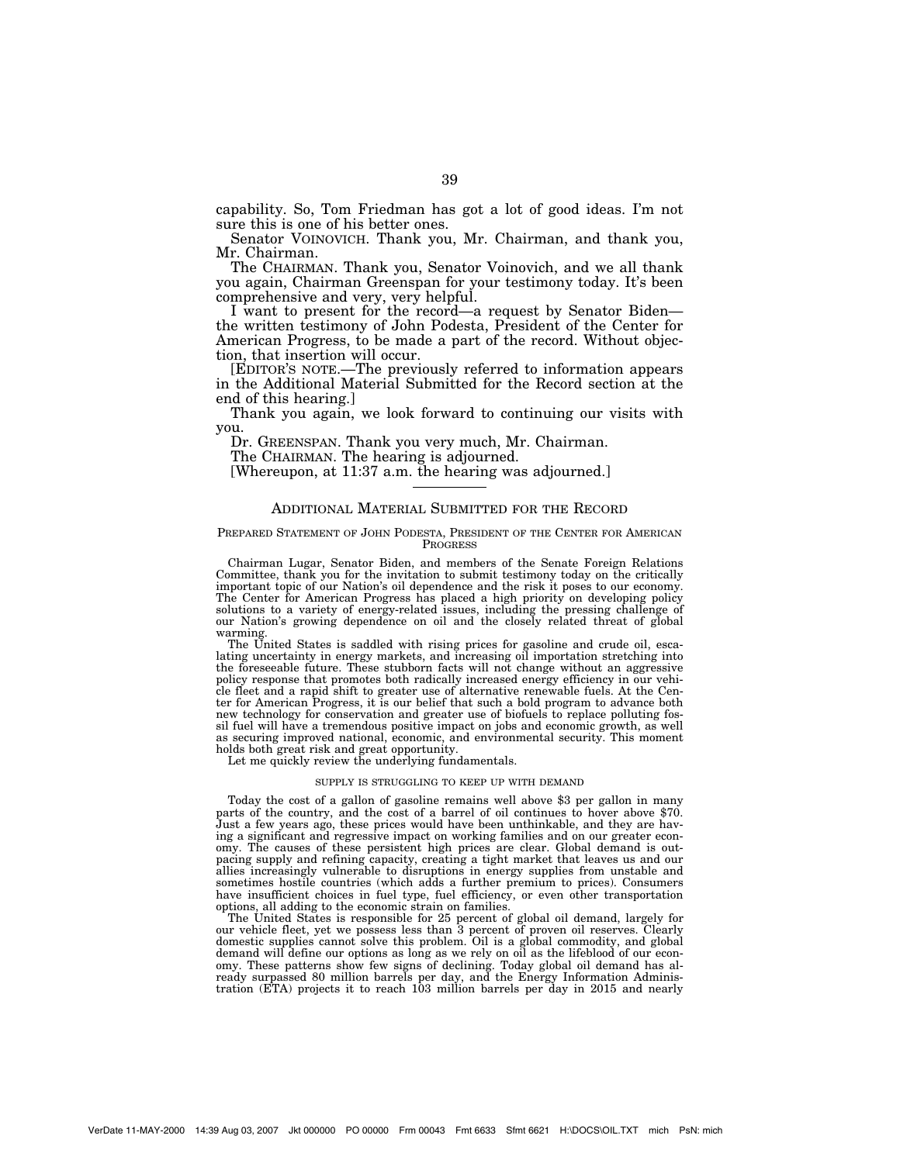capability. So, Tom Friedman has got a lot of good ideas. I'm not sure this is one of his better ones.

Senator VOINOVICH. Thank you, Mr. Chairman, and thank you, Mr. Chairman.

The CHAIRMAN. Thank you, Senator Voinovich, and we all thank you again, Chairman Greenspan for your testimony today. It's been comprehensive and very, very helpful.

I want to present for the record—a request by Senator Biden the written testimony of John Podesta, President of the Center for American Progress, to be made a part of the record. Without objection, that insertion will occur.

[EDITOR'S NOTE.—The previously referred to information appears in the Additional Material Submitted for the Record section at the end of this hearing.]

Thank you again, we look forward to continuing our visits with you.

Dr. GREENSPAN. Thank you very much, Mr. Chairman.

The CHAIRMAN. The hearing is adjourned.

[Whereupon, at 11:37 a.m. the hearing was adjourned.]

#### ADDITIONAL MATERIAL SUBMITTED FOR THE RECORD

#### PREPARED STATEMENT OF JOHN PODESTA, PRESIDENT OF THE CENTER FOR AMERICAN PROGRESS

Chairman Lugar, Senator Biden, and members of the Senate Foreign Relations Committee, thank you for the invitation to submit testimony today on the critically important topic of our Nation's oil dependence and the risk it poses to our economy. The Center for American Progress has placed a high priority on developing policy solutions to a variety of energy-related issues, including the pressing challenge of our Nation's growing dependence on oil and the closely related threat of global warming.

The United States is saddled with rising prices for gasoline and crude oil, esca-lating uncertainty in energy markets, and increasing oil importation stretching into the foreseeable future. These stubborn facts will not change without an aggressive policy response that promotes both radically increased energy efficiency in our vehicle fleet and a rapid shift to greater use of alternative renewable fuels. At the Cen-ter for American Progress, it is our belief that such a bold program to advance both new technology for conservation and greater use of biofuels to replace polluting fossil fuel will have a tremendous positive impact on jobs and economic growth, as well as securing improved national, economic, and environmental security. This moment holds both great risk and great opportunity.

Let me quickly review the underlying fundamentals.

#### SUPPLY IS STRUGGLING TO KEEP UP WITH DEMAND

Today the cost of a gallon of gasoline remains well above \$3 per gallon in many parts of the country, and the cost of a barrel of oil continues to hover above \$70. Just a few years ago, these prices would have been unthinkable, and they are having a significant and regressive impact on working families and on our greater economy. The causes of these persistent high prices are clear. Global demand is outpacing supply and refining capacity, creating a tight market that leaves us and our allies increasingly vulnerable to disruptions in energy supplies from unstable and sometimes hostile countries (which adds a further premium to prices). Consumers have insufficient choices in fuel type, fuel efficiency, or even other transportation options, all adding to the economic strain on families.

The United States is responsible for 25 percent of global oil demand, largely for our vehicle fleet, yet we possess less than 3 percent of proven oil reserves. Clearly domestic supplies cannot solve this problem. Oil is a global commodity, and global demand will define our options as long as we rely on oil as the lifeblood of our economy. These patterns show few signs of declining. Today global oil demand has al-<br>ready surpassed 80 million barrels per day, and the Energy Information Adminis-<br>tration (ETA) projects it to reach 103 million barrels per da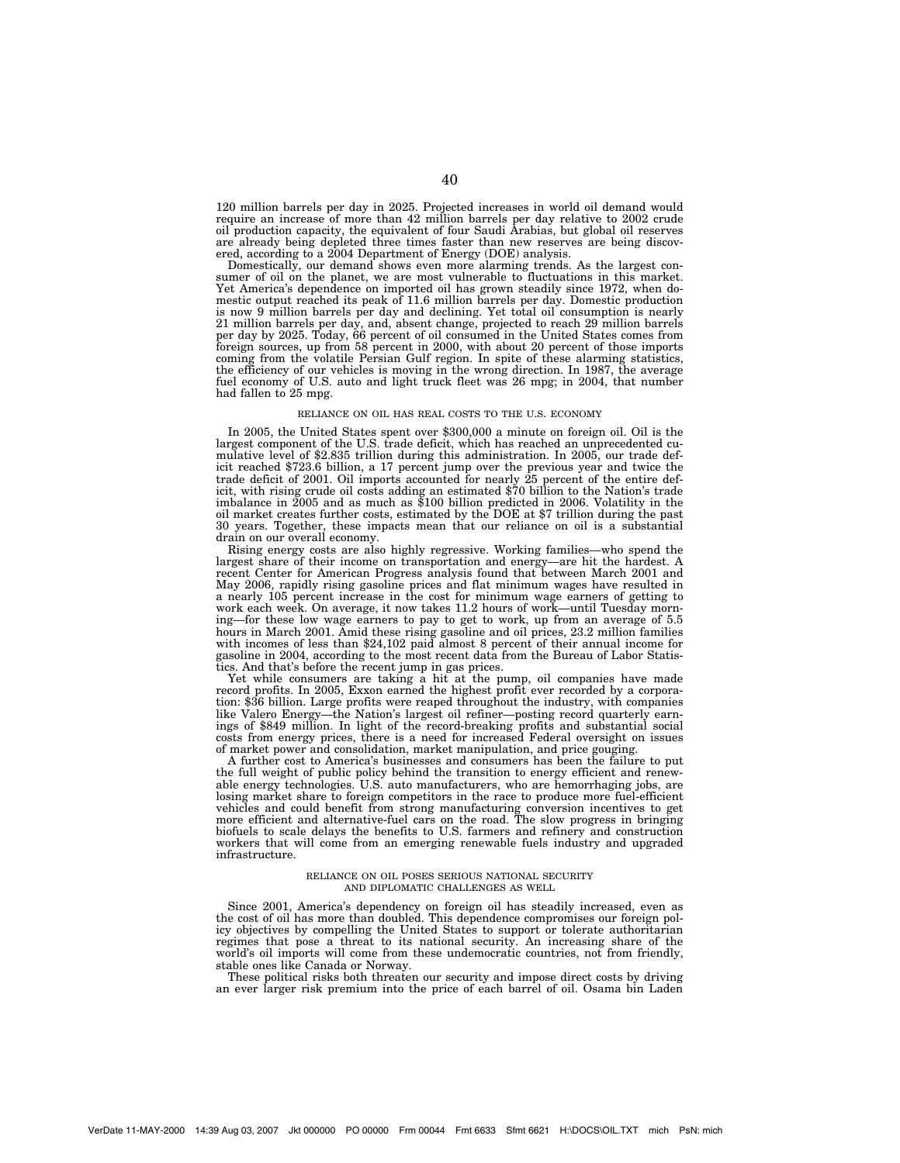120 million barrels per day in 2025. Projected increases in world oil demand would require an increase of more than 42 million barrels per day relative to 2002 crude oil production capacity, the equivalent of four Saudi Arabias, but global oil reserves are already being depleted three times faster than new reserves are being discov-ered, according to a 2004 Department of Energy (DOE) analysis.

Domestically, our demand shows even more alarming trends. As the largest consumer of oil on the planet, we are most vulnerable to fluctuations in this market. Yet America's dependence on imported oil has grown steadily since 1972, when do-mestic output reached its peak of 11.6 million barrels per day. Domestic production is now 9 million barrels per day and declining. Yet total oil consumption is nearly 21 million barrels per day, and, absent change, projected to reach 29 million barrels per day by 2025. Today, 66 percent of oil consumed in the United States comes from foreign sources, up from 58 percent in 2000, with about 20 percent of those imports coming from the volatile Persian Gulf region. In spite of these alarming statistics, the efficiency of our vehicles is moving in the wrong direction. In 1987, the average fuel economy of U.S. auto and light truck fleet was 26 mpg; in 2004, that number had fallen to 25 mpg.

#### RELIANCE ON OIL HAS REAL COSTS TO THE U.S. ECONOMY

In 2005, the United States spent over \$300,000 a minute on foreign oil. Oil is the largest component of the U.S. trade deficit, which has reached an unprecedented cu-mulative level of \$2.835 trillion during this administration. In 2005, our trade deficit reached \$723.6 billion, a 17 percent jump over the previous year and twice the trade deficit of 2001. Oil imports accounted for nearly 25 percent of the entire deficit, with rising crude oil costs adding an estimated \$70 billion to the Nation's trade imbalance in 2005 and as much as \$100 billion predicted in 2006. Volatility in the oil market creates further costs, estimated by the DOE at \$7 trillion during the past 30 years. Together, these impacts mean that our reliance on oil is a substantial drain on our overall economy.

Rising energy costs are also highly regressive. Working families—who spend the largest share of their income on transportation and energy—are hit the hardest. A recent Center for American Progress analysis found that between March 2001 and May 2006, rapidly rising gasoline prices and flat minimum wages have resulted in a nearly 105 percent increase in the cost for minimum wage earners of getting to work each week. On average, it now takes 11.2 hours of work—until Tuesday morning—for these low wage earners to pay to get to work, up from an average of 5.5 hours in March 2001. Amid these rising gasoline and oil prices, 23.2 million families with incomes of less than \$24,102 paid almost 8 percent of their annual income for gasoline in 2004, according to the most recent data from the Bureau of Labor Statistics. And that's before the recent jump in gas prices.

Yet while consumers are taking a hit at the pump, oil companies have made record profits. In 2005, Exxon earned the highest profit ever recorded by a corporation: \$36 billion. Large profits were reaped throughout the industry, with companies like Valero Energy—the Nation's largest oil refiner—posting record quarterly earnings of \$849 million. In light of the record-breaking profits and substantial social costs from energy prices, there is a need for increased Federal oversight on issues of market power and consolidation, market manipulation, and price gouging.

A further cost to America's businesses and consumers has been the failure to put the full weight of public policy behind the transition to energy efficient and renewable energy technologies. U.S. auto manufacturers, who are hemorrhaging jobs, are losing market share to foreign competitors in the race to produce more fuel-efficient vehicles and could benefit from strong manufacturing conversion incentives to get more efficient and alternative-fuel cars on the road. The slow progress in bringing biofuels to scale delays the benefits to U.S. farmers and refinery and construction workers that will come from an emerging renewable fuels industry and upgraded infrastructure.

#### RELIANCE ON OIL POSES SERIOUS NATIONAL SECURITY AND DIPLOMATIC CHALLENGES AS WELL

Since 2001, America's dependency on foreign oil has steadily increased, even as the cost of oil has more than doubled. This dependence compromises our foreign policy objectives by compelling the United States to support or tolerate authoritarian regimes that pose a threat to its national security. An increasing share of the world's oil imports will come from these undemocratic countries, not from friendly, stable ones like Canada or Norway.

These political risks both threaten our security and impose direct costs by driving an ever larger risk premium into the price of each barrel of oil. Osama bin Laden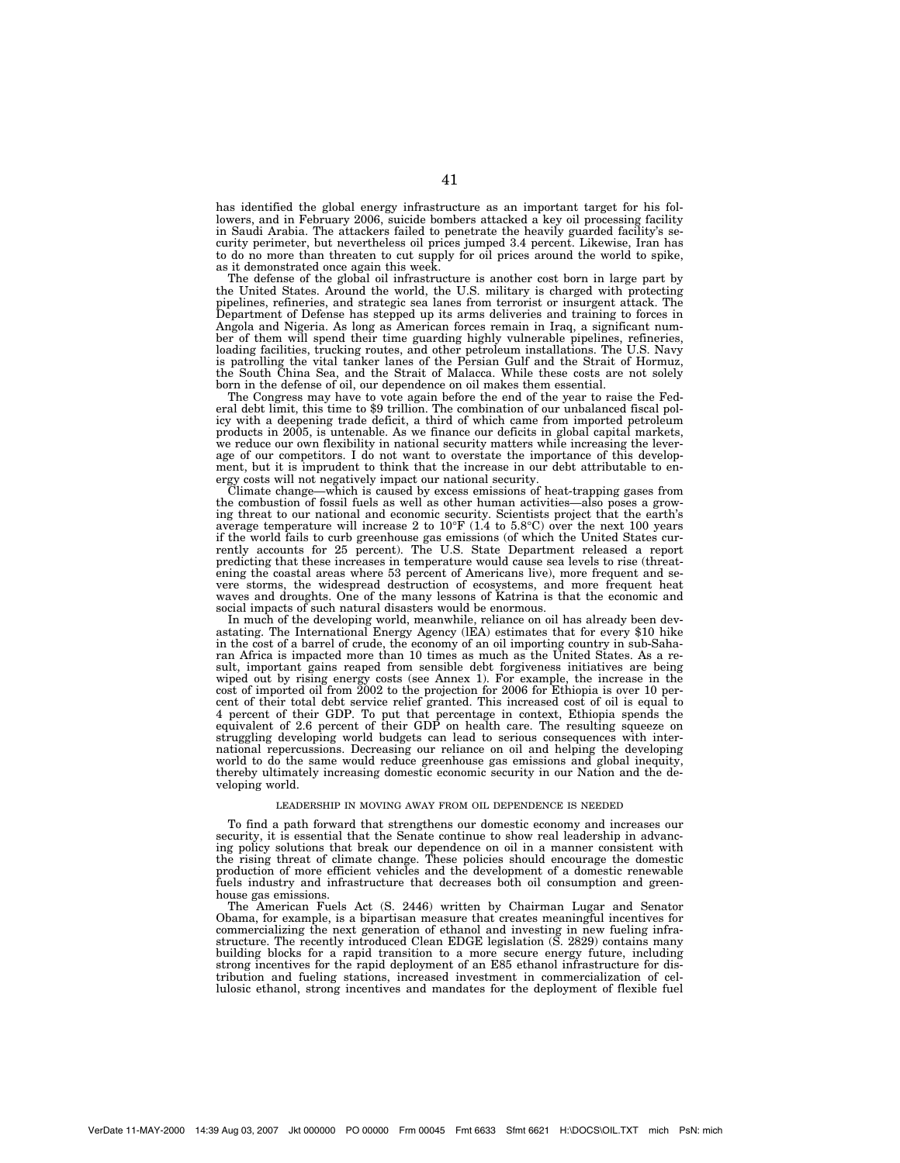has identified the global energy infrastructure as an important target for his followers, and in February 2006, suicide bombers attacked a key oil processing facility in Saudi Arabia. The attackers failed to penetrate the heavily guarded facility's security perimeter, but nevertheless oil prices jumped 3.4 percent. Likewise, Iran has to do no more than threaten to cut supply for oil prices around the world to spike, as it demonstrated once again this week.

The defense of the global oil infrastructure is another cost born in large part by the United States. Around the world, the U.S. military is charged with protecting pipelines, refineries, and strategic sea lanes from terrorist or insurgent attack. The Department of Defense has stepped up its arms deliveries and training to forces in Angola and Nigeria. As long as American forces remain in Iraq, a significant number of them will spend their time guarding highly vulnerable pipelines, refineries, loading facilities, trucking routes, and other petroleum installations. The U.S. Navy is patrolling the vital tanker lanes of the Persian Gulf and the Strait of Hormuz, the South China Sea, and the Strait of Malacca. While these costs are not solely born in the defense of oil, our dependence on oil makes them essential.

The Congress may have to vote again before the end of the year to raise the Federal debt limit, this time to \$9 trillion. The combination of our unbalanced fiscal policy with a deepening trade deficit, a third of which came from imported petroleum products in 2005, is untenable. As we finance our deficits in global capital markets, we reduce our own flexibility in national security matters while increasing the leverage of our competitors. I do not want to overstate the importance of this development, but it is imprudent to think that the increase in our debt attributable to energy costs will not negatively impact our national security.

Climate change—which is caused by excess emissions of heat-trapping gases from the combustion of fossil fuels as well as other human activities—also poses a growing threat to our national and economic security. Scientists project that the earth's average temperature will increase 2 to  $10^{\circ}$ F (1.4 to 5.8 $^{\circ}$ C) over the next 100 years if the world fails to curb greenhouse gas emissions (of which the United States currently accounts for 25 percent). The U.S. State Department released a report predicting that these increases in temperature would cause sea levels to rise (threatening the coastal areas where 53 percent of Americans live), more frequent and severe storms, the widespread destruction of ecosystems, and more frequent heat waves and droughts. One of the many lessons of Katrina is that the economic and social impacts of such natural disasters would be enormous.

In much of the developing world, meanwhile, reliance on oil has already been devastating. The International Energy Agency (lEA) estimates that for every \$10 hike in the cost of a barrel of crude, the economy of an oil importing country in sub-Saharan Africa is impacted more than 10 times as much as the United States. As a result, important gains reaped from sensible debt forgiveness initiatives are being wiped out by rising energy costs (see Annex 1). For example, the increase in the cost of imported oil from 2002 to the projection for 2006 for Ethiopia is over 10 percent of their total debt service relief granted. This increased cost of oil is equal to 4 percent of their GDP. To put that percentage in context, Ethiopia spends the equivalent of 2.6 percent of their GDP on health care. The resulting squeeze on struggling developing world budgets can lead to serious consequences with international repercussions. Decreasing our reliance on oil and helping the developing world to do the same would reduce greenhouse gas emissions and global inequity, thereby ultimately increasing domestic economic security in our Nation and the developing world.

#### LEADERSHIP IN MOVING AWAY FROM OIL DEPENDENCE IS NEEDED

To find a path forward that strengthens our domestic economy and increases our security, it is essential that the Senate continue to show real leadership in advancing policy solutions that break our dependence on oil in a manner consistent with the rising threat of climate change. These policies should encourage the domestic production of more efficient vehicles and the development of a domestic renewable fuels industry and infrastructure that decreases both oil consumption and greenhouse gas emissions.

The American Fuels Act (S. 2446) written by Chairman Lugar and Senator Obama, for example, is a bipartisan measure that creates meaningful incentives for commercializing the next generation of ethanol and investing in new fueling infrastructure. The recently introduced Clean EDGE legislation (S. 2829) contains many building blocks for a rapid transition to a more secure energy future, including strong incentives for the rapid deployment of an E85 ethanol infrastructure for distribution and fueling stations, increased investment in commercialization of cellulosic ethanol, strong incentives and mandates for the deployment of flexible fuel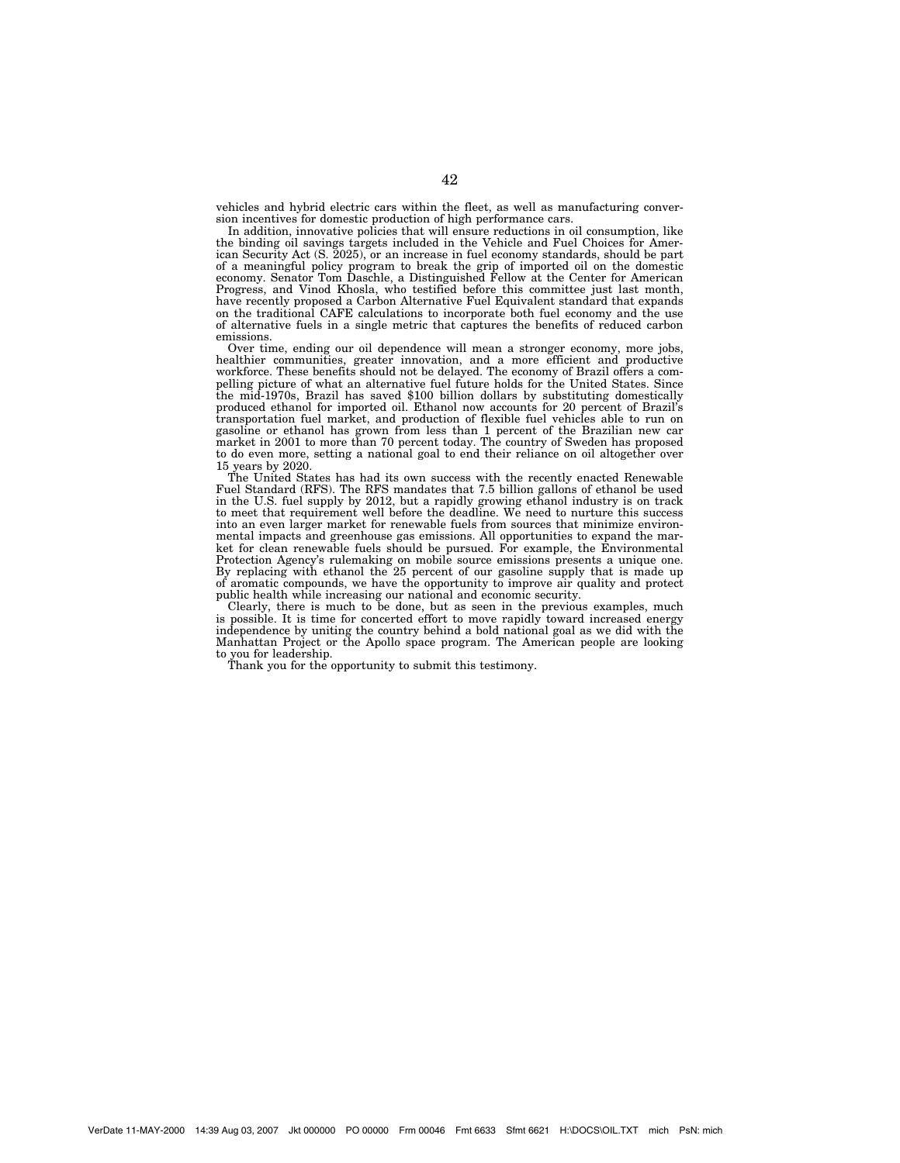vehicles and hybrid electric cars within the fleet, as well as manufacturing conversion incentives for domestic production of high performance cars.

In addition, innovative policies that will ensure reductions in oil consumption, like the binding oil savings targets included in the Vehicle and Fuel Choices for American Security Act (S. 2025), or an increase in fuel economy standards, should be part of a meaningful policy program to break the grip of imported oil on the domestic economy. Senator Tom Daschle, a Distinguished Fellow at the Center for American Progress, and Vinod Khosla, who testified before this committee just last month, have recently proposed a Carbon Alternative Fuel Equivalent standard that expands on the traditional CAFE calculations to incorporate both fuel economy and the use of alternative fuels in a single metric that captures the benefits of reduced carbon emissions.

Over time, ending our oil dependence will mean a stronger economy, more jobs, healthier communities, greater innovation, and a more efficient and productive workforce. These benefits should not be delayed. The economy of Brazil offers a compelling picture of what an alternative fuel future holds for the United States. Since the mid-1970s, Brazil has saved \$100 billion dollars by substituting domestically produced ethanol for imported oil. Ethanol now accounts for 20 percent of Brazil's transportation fuel market, and production of flexible fuel vehicles able to run on gasoline or ethanol has grown from less than 1 percent of the Brazilian new car market in 2001 to more than 70 percent today. The country of Sweden has proposed to do even more, setting a national goal to end their reliance on oil altogether over 15 years by 2020.

The United States has had its own success with the recently enacted Renewable Fuel Standard (RFS). The RFS mandates that 7.5 billion gallons of ethanol be used in the U.S. fuel supply by 2012, but a rapidly growing ethanol industry is on track to meet that requirement well before the deadline. We need to nurture this success into an even larger market for renewable fuels from sources that minimize environmental impacts and greenhouse gas emissions. All opportunities to expand the market for clean renewable fuels should be pursued. For example, the Environmental Protection Agency's rulemaking on mobile source emissions presents a unique one. By replacing with ethanol the 25 percent of our gasoline supply that is made up of aromatic compounds, we have the opportunity to improve air quality and protect public health while increasing our national and economic security.

Clearly, there is much to be done, but as seen in the previous examples, much is possible. It is time for concerted effort to move rapidly toward increased energy independence by uniting the country behind a bold national goal as we did with the Manhattan Project or the Apollo space program. The American people are looking to you for leadership.

Thank you for the opportunity to submit this testimony.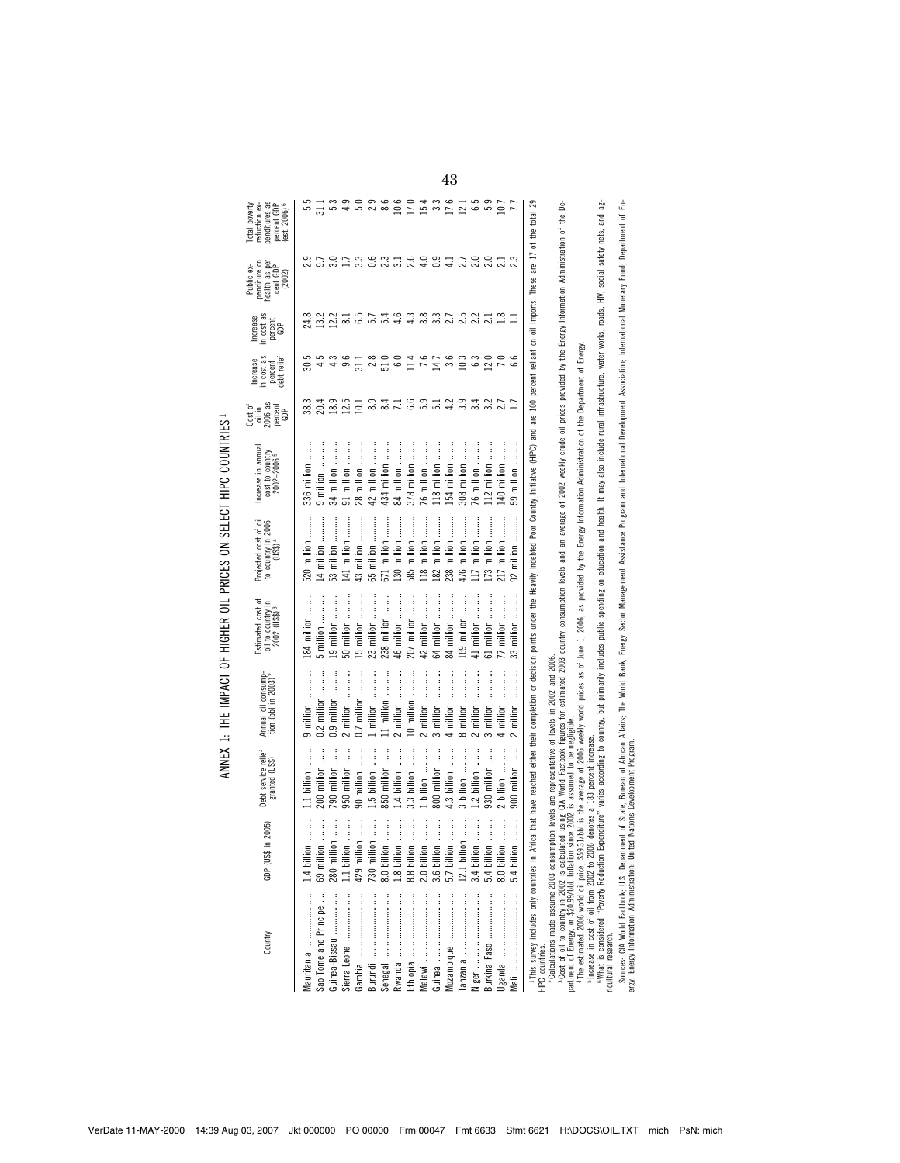| benditures as<br>percent GDP<br>(est. 2006) <sup>6</sup><br>reduction ex-<br>Total poverty |                       |                       | ි              |             |                                  |             | $\frac{6}{8}$ | 10.6                                                                        | 17.0                                                                     | 15.4                       | 33                                                                        | 17.6             | $\overline{121}$                          | 5.9<br>5.9                                                                |                                     | 10.7                                                                       | 7.7                              |                                                                                                                                                                                                        |
|--------------------------------------------------------------------------------------------|-----------------------|-----------------------|----------------|-------------|----------------------------------|-------------|---------------|-----------------------------------------------------------------------------|--------------------------------------------------------------------------|----------------------------|---------------------------------------------------------------------------|------------------|-------------------------------------------|---------------------------------------------------------------------------|-------------------------------------|----------------------------------------------------------------------------|----------------------------------|--------------------------------------------------------------------------------------------------------------------------------------------------------------------------------------------------------|
| penditure on<br>health as per-<br>cent GDP<br>(2002)<br>Public ex-                         |                       |                       |                |             |                                  |             |               |                                                                             |                                                                          |                            | $\mathbb{S}^3$                                                            |                  | 2.7                                       |                                                                           |                                     |                                                                            |                                  |                                                                                                                                                                                                        |
| Increase<br>in cost as<br>percent<br>GDP                                                   | 24.8                  | 13.2                  | 122            |             |                                  |             |               |                                                                             |                                                                          |                            |                                                                           |                  | 2.5                                       | 2.2                                                                       |                                     |                                                                            |                                  |                                                                                                                                                                                                        |
| Increase<br>in cost as<br>percent<br>debt relief                                           |                       |                       |                |             | 31.1                             | 2.8         | 51.0          | 6.0                                                                         | $\overline{11}$                                                          | 7.6                        | $\overline{47}$                                                           | 3.6              | 0.3                                       |                                                                           | 12.0                                |                                                                            | 6.6                              |                                                                                                                                                                                                        |
| oil in<br>2006 as<br>percent<br>GDP<br>Cost of                                             | 38.3                  | 20.4                  | 8.9            | 12.5        | ਤ                                |             |               |                                                                             |                                                                          |                            |                                                                           |                  |                                           |                                                                           |                                     |                                                                            |                                  |                                                                                                                                                                                                        |
| Increase in annua<br>cost to country<br>2002-2006 <sup>5</sup>                             | 336 million           |                       | 34 million     | 91 million  | <br> <br> <br> <br>28 million    | 42 million  | 434 million   | 84 million                                                                  | 378 million                                                              | 76 million                 | 118 million                                                               | j<br>154 million | $\vdots$<br>308 million                   | 76 million                                                                | $112$ million                       | 140 million                                                                | <br> <br> <br>59 million         |                                                                                                                                                                                                        |
| Projected cost of oil<br>to country in 2006<br>(US\$) <sup>4</sup>                         | 520 million           | 14 million            | 53 million     | 141 million | 43 million                       | 65 million  | 671 million   | İ<br>L30 million                                                            | j<br>585 million                                                         | :<br>:<br>:<br>.18 million | $\ddot{}}$<br>million<br>$\approx$                                        | j<br>238 million | :<br>:<br>:<br>million<br>476             | :<br>:<br>:<br>million                                                    | $\ddot{}}$<br>million<br>$\ddot{v}$ | 217 million                                                                | 92 million                       | Africa that have reached either their completion or decision points under the Heavily Indebted Poor Country Initiative (HIPC) and are 100 percent reliant on oil imports. These are 17 of the total 29 |
| Estimated cost of<br>oil to country in<br>2002 (US\$) <sup>3</sup>                         | 184 million           | 5 million             | $\overline{a}$ | 50 million  | million<br>$\overline{5}$        |             | 238 million   | 46 million                                                                  | 207 million                                                              | million<br>$\frac{1}{2}$   | million<br>$\frac{1}{4}$                                                  | 84 million       | $\frac{1}{2}$<br>169 million              | 41 million                                                                |                                     | million<br>$\overline{z}$                                                  | <br> <br> <br> <br>mullion<br>33 |                                                                                                                                                                                                        |
| Annual oil consump<br>tion (bbl in $2003$ ) <sup>2</sup>                                   | 9 million             |                       |                |             | <br> <br> <br> <br>$0.7$ million |             | L1 million    |                                                                             | 10 million                                                               | million                    | million                                                                   |                  | million                                   | million                                                                   | million                             | million                                                                    | <br>mullion                      |                                                                                                                                                                                                        |
| Debt service relief<br>granted (US\$)                                                      | $.1$ billion $\ldots$ | j<br>200 million      | "90 million    |             | 90 million                       | .5 billion  | 850 million   | $4$ billion $$                                                              | 3.3 billion                                                              | billion                    | 800 million                                                               | 4.3 billion      | billion                                   | .2 billion                                                                |                                     | 2 billion                                                                  | Ì<br>900 million                 |                                                                                                                                                                                                        |
| in $2005$<br>GDP (US\$                                                                     | 1.4 billion           | 69 million            | 280 million    | 1.1 billion | 429 million                      | 730 million | 8.0 billion   | $\begin{array}{ccc}\n0 & \dots & \dots & \dots\n\end{array}$<br>1.8 billion | $\begin{array}{ccc}\n0 & \dots & \dots & \dots\n\end{array}$<br>8.8 bill | $\frac{1}{2}$ .            | $\begin{array}{ccc}\n0 & \dots & \dots & \dots\n\end{array}$<br>3.6 billi | 5.7 billion      | $\lim_{m \to \infty}$<br><b>L2.1 bill</b> | $\begin{array}{ccc}\n0 & \dots & \dots & \dots\n\end{array}$<br>3.4 billi | 5.4 billio                          | $\begin{array}{ccc}\n0 & \dots & \dots & \dots\n\end{array}$<br>8.0 billio | 5.4 billion                      |                                                                                                                                                                                                        |
| Country                                                                                    |                       | Sao Tome and Principe |                |             |                                  |             |               |                                                                             |                                                                          |                            |                                                                           |                  |                                           |                                                                           |                                     |                                                                            |                                  | "This survey includes only countries in                                                                                                                                                                |

ANNEX 1: THE IMPACT OF HIGHER OIL PRICES ON SELECT HIPC COUNTRIES 1 ANNEX 1: THE IMPACT OF HIGHER OIL PRICES ON SELECT HIPC COUNTRIES 1

HIPC countries.<br><sup>2</sup> Calculations made assume 2003 consumption levels are representative of levels in 2002 and 2006.

<sup>8</sup>Cost of oil to coulded using CIA World Factbook figures for estimated 2003 country consumption levels and an average of 2002 weekly crude oil prices provided by the Energy Information Administration of the De-

aadment of Energy or \$20.99bbl. Inflation since 2002 is assumed to be negligible.<br>- The estimated 206 wroton of the State of 2003 weekly world prices as of June 1, 2006, as provided by the Energy Information of the Departm

Mhat is considered "Powerly Reduction Expenditure" varies according to country, but primarily includes public spending on education and health. It may also include rural infrastructure, water works, neds, HIV, social safet ricultural research.

HPC countries<br>- Rock of the Same of the Same of Allymore in the state of hele in 2002 and 2006.<br>- Scalar of the Same 2008 one annulus heads are presentative of hele in 2002 and 2003 counts who same of 2002 weekly cruce of Sources: CIA World Pactment of State, Bureau of African of African of Maries, The World Bank, Energy Sector Management Assistance Program and International Development Association; International Monetary Fund; Department o ergy, Energy Information Administration; United Nations Development Program.